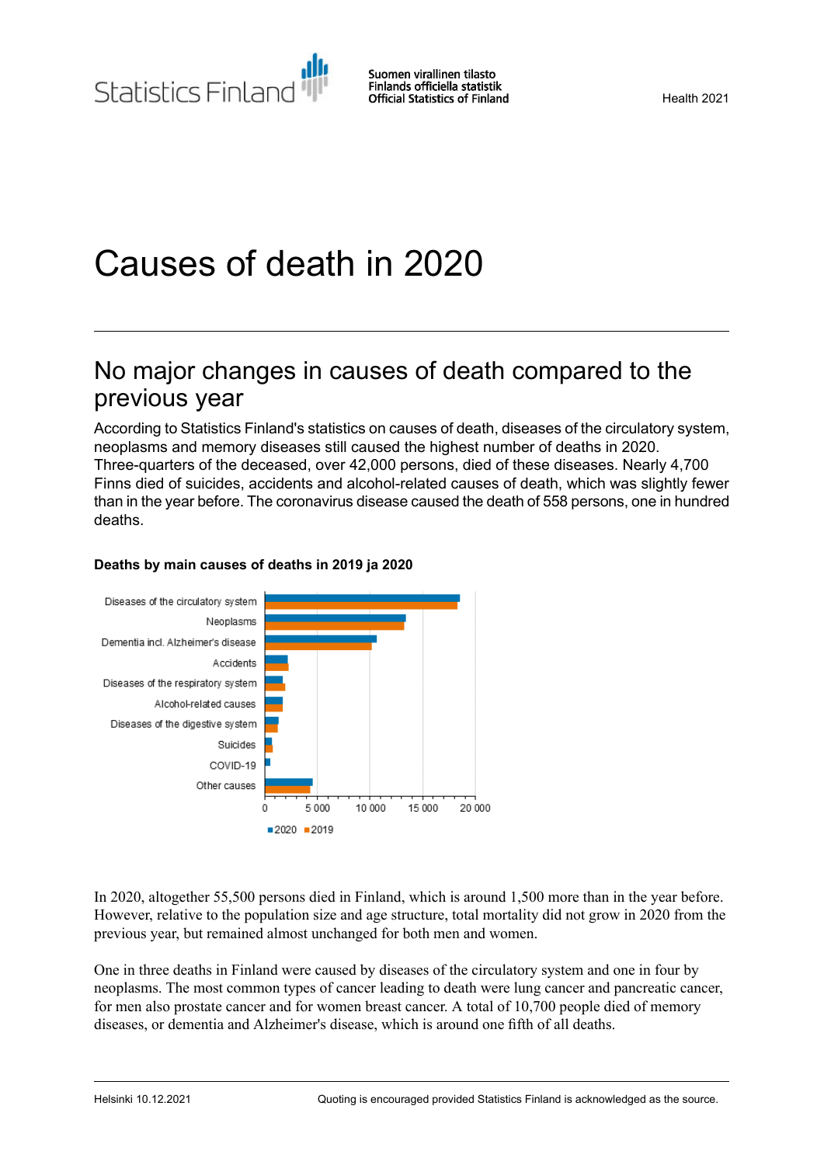# Causes of death in 2020

## No major changes in causes of death compared to the previous year

According to Statistics Finland's statistics on causes of death, diseases of the circulatory system, neoplasms and memory diseases still caused the highest number of deaths in 2020. Three-quarters of the deceased, over 42,000 persons, died of these diseases. Nearly 4,700 Finns died of suicides, accidents and alcohol-related causes of death, which was slightly fewer than in the year before. The coronavirus disease caused the death of 558 persons, one in hundred deaths.



### **Deaths by main causes of deaths in 2019 ja 2020**

In 2020, altogether 55,500 persons died in Finland, which is around 1,500 more than in the year before. However, relative to the population size and age structure, total mortality did not grow in 2020 from the previous year, but remained almost unchanged for both men and women.

One in three deaths in Finland were caused by diseases of the circulatory system and one in four by neoplasms. The most common types of cancer leading to death were lung cancer and pancreatic cancer, for men also prostate cancer and for women breast cancer. A total of 10,700 people died of memory diseases, or dementia and Alzheimer's disease, which is around one fifth of all deaths.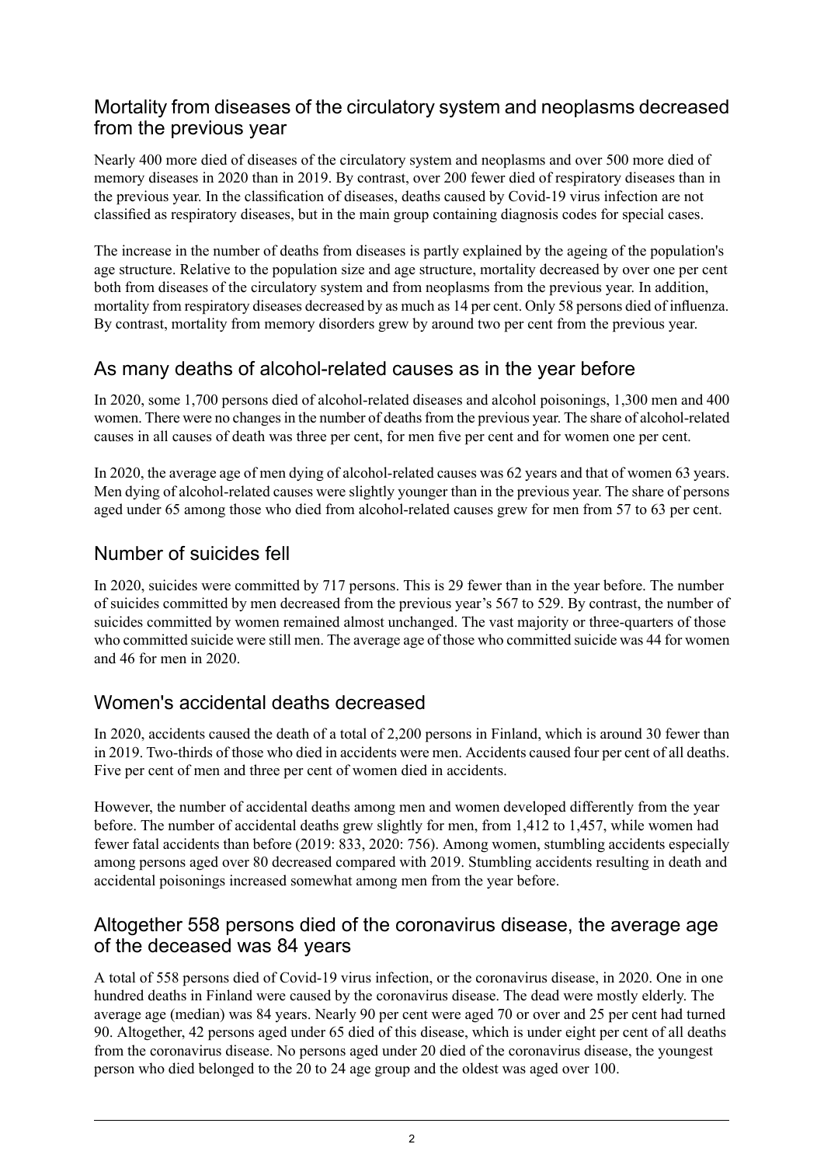### Mortality from diseases of the circulatory system and neoplasms decreased from the previous year

Nearly 400 more died of diseases of the circulatory system and neoplasms and over 500 more died of memory diseases in 2020 than in 2019. By contrast, over 200 fewer died of respiratory diseases than in the previous year. In the classification of diseases, deaths caused by Covid-19 virus infection are not classified as respiratory diseases, but in the main group containing diagnosis codes for special cases.

The increase in the number of deaths from diseases is partly explained by the ageing of the population's age structure. Relative to the population size and age structure, mortality decreased by over one per cent both from diseases of the circulatory system and from neoplasms from the previous year. In addition, mortality from respiratory diseases decreased by as much as 14 per cent. Only 58 persons died of influenza. By contrast, mortality from memory disorders grew by around two per cent from the previous year.

## As many deaths of alcohol-related causes as in the year before

In 2020, some 1,700 persons died of alcohol-related diseases and alcohol poisonings, 1,300 men and 400 women. There were no changes in the number of deaths from the previous year. The share of alcohol-related causes in all causes of death was three per cent, for men five per cent and for women one per cent.

In 2020, the average age of men dying of alcohol-related causes was 62 years and that of women 63 years. Men dying of alcohol-related causes were slightly younger than in the previous year. The share of persons aged under 65 among those who died from alcohol-related causes grew for men from 57 to 63 per cent.

### Number of suicides fell

In 2020, suicides were committed by 717 persons. This is 29 fewer than in the year before. The number of suicides committed by men decreased from the previous year's 567 to 529. By contrast, the number of suicides committed by women remained almost unchanged. The vast majority or three-quarters of those who committed suicide were still men. The average age of those who committed suicide was 44 for women and 46 for men in 2020.

## Women's accidental deaths decreased

In 2020, accidents caused the death of a total of 2,200 persons in Finland, which is around 30 fewer than in 2019. Two-thirds of those who died in accidents were men. Accidents caused four per cent of all deaths. Five per cent of men and three per cent of women died in accidents.

However, the number of accidental deaths among men and women developed differently from the year before. The number of accidental deaths grew slightly for men, from 1,412 to 1,457, while women had fewer fatal accidents than before (2019: 833, 2020: 756). Among women, stumbling accidents especially among persons aged over 80 decreased compared with 2019. Stumbling accidents resulting in death and accidental poisonings increased somewhat among men from the year before.

### Altogether 558 persons died of the coronavirus disease, the average age of the deceased was 84 years

A total of 558 persons died of Covid-19 virus infection, or the coronavirus disease, in 2020. One in one hundred deaths in Finland were caused by the coronavirus disease. The dead were mostly elderly. The average age (median) was 84 years. Nearly 90 per cent were aged 70 or over and 25 per cent had turned 90. Altogether, 42 persons aged under 65 died of this disease, which is under eight per cent of all deaths from the coronavirus disease. No persons aged under 20 died of the coronavirus disease, the youngest person who died belonged to the 20 to 24 age group and the oldest was aged over 100.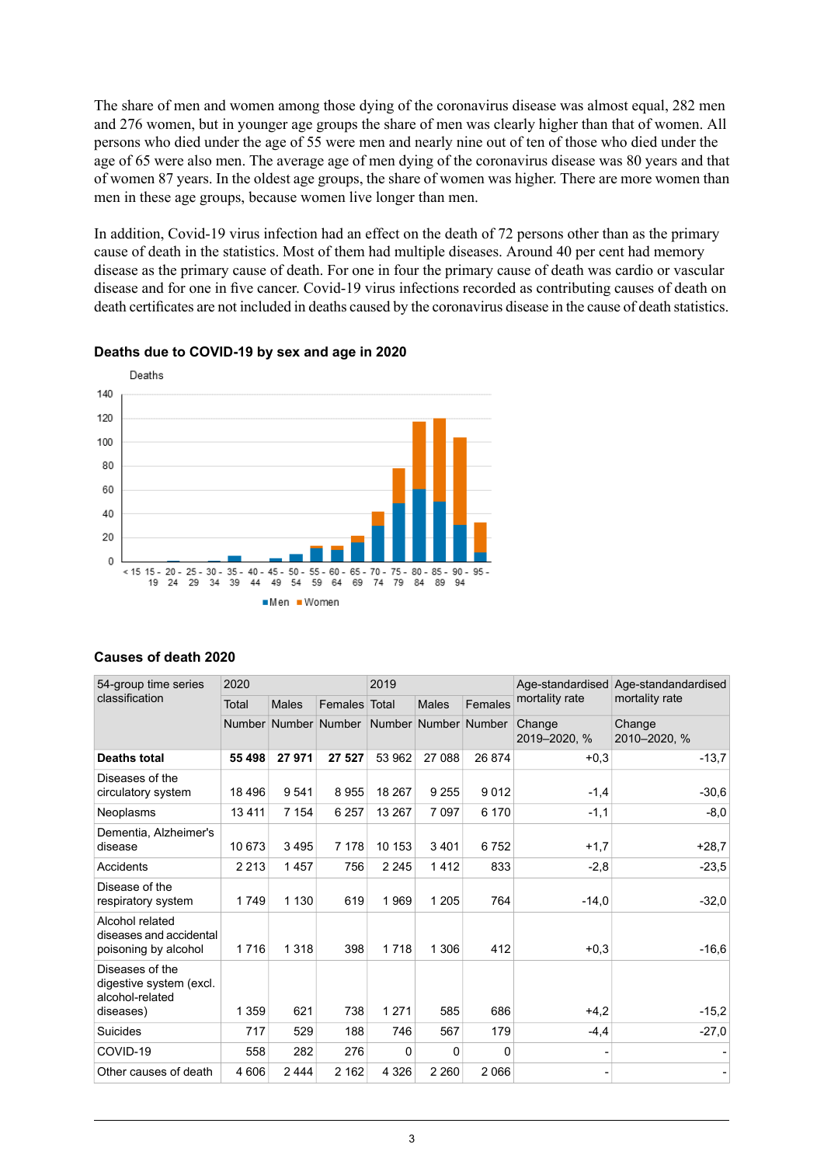The share of men and women among those dying of the coronavirus disease was almost equal, 282 men and 276 women, but in younger age groups the share of men was clearly higher than that of women. All persons who died under the age of 55 were men and nearly nine out of ten of those who died under the age of 65 were also men. The average age of men dying of the coronavirus disease was 80 years and that of women 87 years. In the oldest age groups, the share of women was higher. There are more women than men in these age groups, because women live longer than men.

In addition, Covid-19 virus infection had an effect on the death of 72 persons other than as the primary cause of death in the statistics. Most of them had multiple diseases. Around 40 per cent had memory disease as the primary cause of death. For one in four the primary cause of death was cardio or vascular disease and for one in five cancer. Covid-19 virus infections recorded as contributing causes of death on death certificates are not included in deaths caused by the coronavirus disease in the cause of death statistics.



#### **Deaths due to COVID-19 by sex and age in 2020**

| 54-group time series                                                       | 2020          |              |                | 2019    |                      |         | Age-standardised       | Age-standandardised    |  |  |
|----------------------------------------------------------------------------|---------------|--------------|----------------|---------|----------------------|---------|------------------------|------------------------|--|--|
| classification                                                             | Total         | <b>Males</b> | <b>Females</b> | Total   | <b>Males</b>         | Females | mortality rate         | mortality rate         |  |  |
|                                                                            | <b>Number</b> |              | Number Number  |         | Number Number Number |         | Change<br>2019-2020, % | Change<br>2010-2020, % |  |  |
| <b>Deaths total</b>                                                        | 55 498        | 27 971       | 27 527         | 53 962  | 27 088               | 26 874  | $+0,3$                 | $-13,7$                |  |  |
| Diseases of the<br>circulatory system                                      | 18 4 96       | 9541         | 8955           | 18 267  | 9 2 5 5              | 9012    | $-1,4$                 | $-30,6$                |  |  |
| Neoplasms                                                                  | 13411         | 7 1 5 4      | 6 2 5 7        | 13 267  | 7097                 | 6 170   | $-1,1$                 | $-8,0$                 |  |  |
| Dementia, Alzheimer's<br>disease                                           | 10 673        | 3495         | 7 1 7 8        | 10 153  | 3401                 | 6752    | $+1,7$                 | $+28,7$                |  |  |
| Accidents                                                                  | 2 2 1 3       | 1457         | 756            | 2 2 4 5 | 1412                 | 833     | $-2,8$                 | $-23,5$                |  |  |
| Disease of the<br>respiratory system                                       | 1749          | 1 1 3 0      | 619            | 1969    | 1 2 0 5              | 764     | $-14,0$                | $-32,0$                |  |  |
| Alcohol related<br>diseases and accidental<br>poisoning by alcohol         | 1716          | 1 3 1 8      | 398            | 1718    | 1 3 0 6              | 412     | $+0.3$                 | $-16,6$                |  |  |
| Diseases of the<br>digestive system (excl.<br>alcohol-related<br>diseases) | 1 3 5 9       | 621          | 738            | 1 2 7 1 | 585                  | 686     | $+4,2$                 | $-15,2$                |  |  |
| Suicides                                                                   | 717           | 529          | 188            | 746     | 567                  | 179     | $-4,4$                 | $-27,0$                |  |  |
| COVID-19                                                                   | 558           | 282          | 276            | 0       | 0                    | 0       |                        |                        |  |  |
| Other causes of death                                                      | 4 60 6        | 2444         | 2 1 6 2        | 4 3 2 6 | 2 2 6 0              | 2066    |                        |                        |  |  |

#### **Causes of death 2020**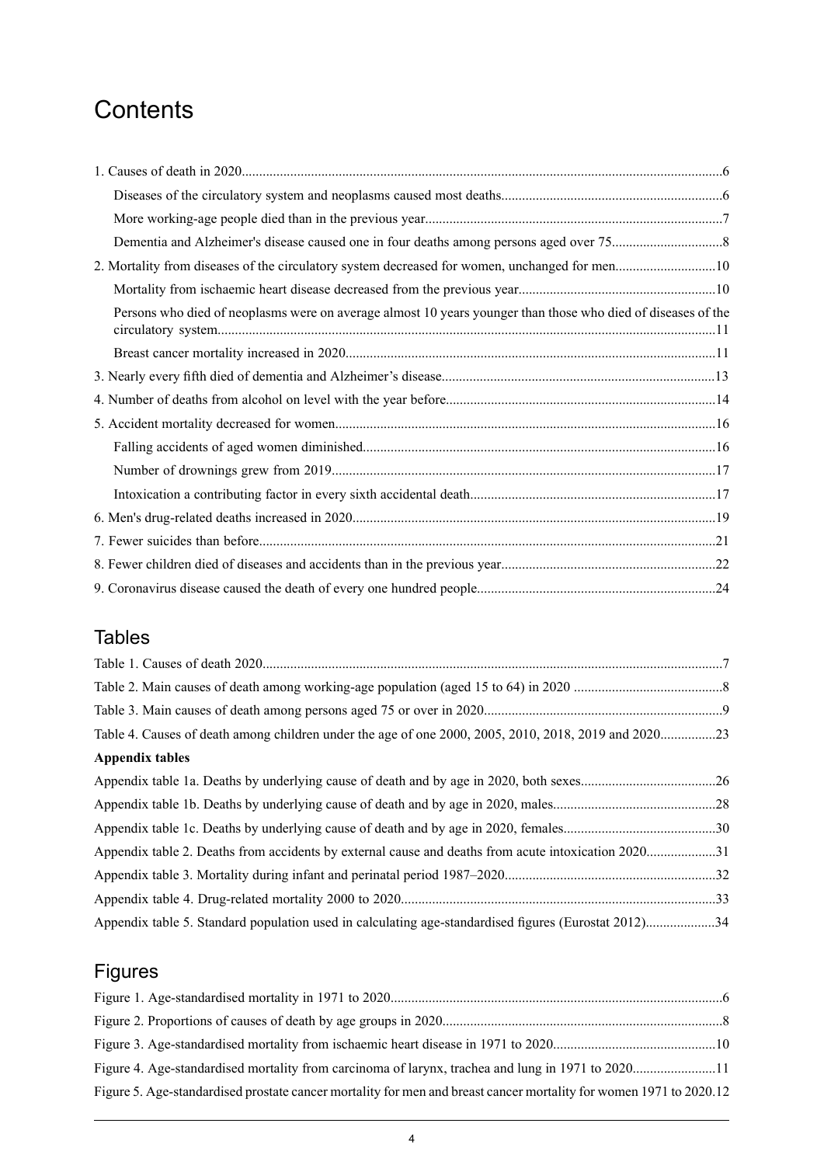## **Contents**

| 2. Mortality from diseases of the circulatory system decreased for women, unchanged for men10                |  |
|--------------------------------------------------------------------------------------------------------------|--|
|                                                                                                              |  |
| Persons who died of neoplasms were on average almost 10 years younger than those who died of diseases of the |  |
|                                                                                                              |  |
|                                                                                                              |  |
|                                                                                                              |  |
|                                                                                                              |  |
|                                                                                                              |  |
|                                                                                                              |  |
|                                                                                                              |  |
|                                                                                                              |  |
|                                                                                                              |  |
|                                                                                                              |  |
|                                                                                                              |  |

## Tables

| Table 4. Causes of death among children under the age of one 2000, 2005, 2010, 2018, 2019 and 202023 |  |
|------------------------------------------------------------------------------------------------------|--|
| Appendix tables                                                                                      |  |
|                                                                                                      |  |
|                                                                                                      |  |
|                                                                                                      |  |
| Appendix table 2. Deaths from accidents by external cause and deaths from acute intoxication 202031  |  |
|                                                                                                      |  |
|                                                                                                      |  |
| Appendix table 5. Standard population used in calculating age-standardised figures (Eurostat 2012)34 |  |
|                                                                                                      |  |

## Figures

| Figure 5. Age-standardised prostate cancer mortality for men and breast cancer mortality for women 1971 to 2020.12 |  |
|--------------------------------------------------------------------------------------------------------------------|--|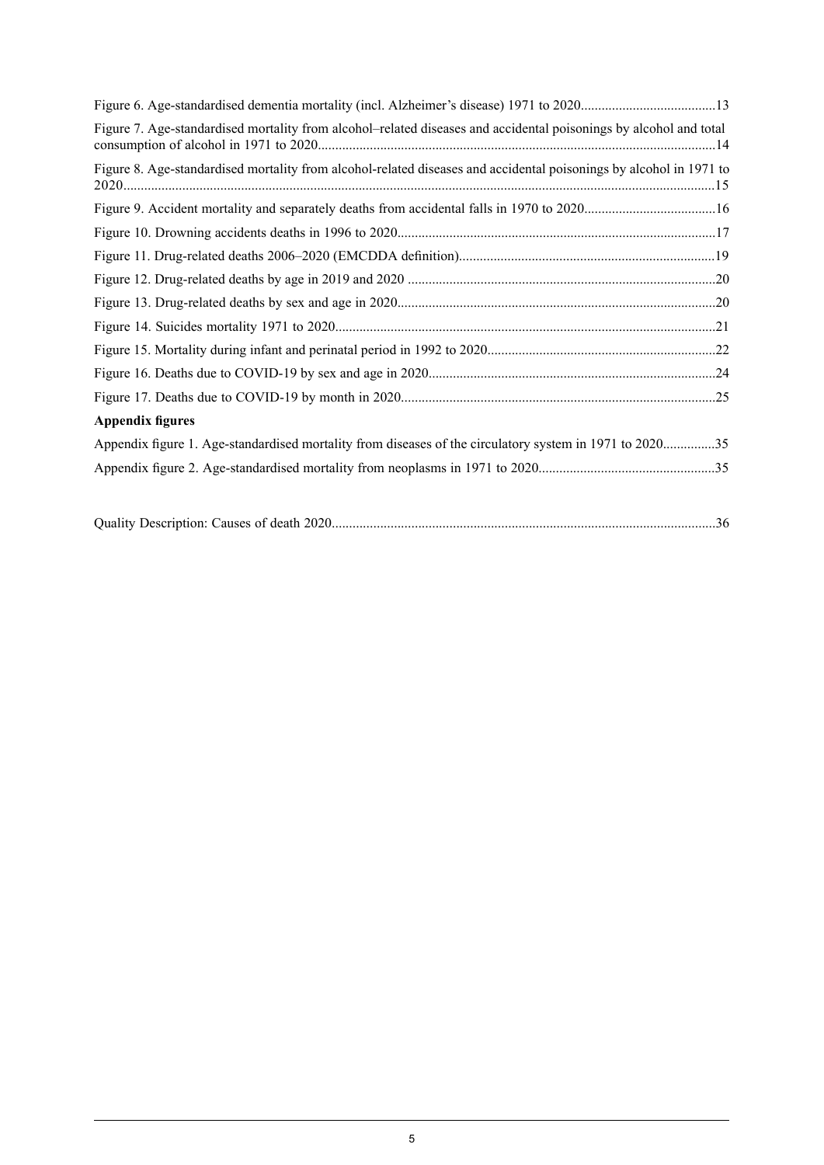| Figure 7. Age-standardised mortality from alcohol-related diseases and accidental poisonings by alcohol and total  |  |
|--------------------------------------------------------------------------------------------------------------------|--|
| Figure 8. Age-standardised mortality from alcohol-related diseases and accidental poisonings by alcohol in 1971 to |  |
|                                                                                                                    |  |
|                                                                                                                    |  |
|                                                                                                                    |  |
|                                                                                                                    |  |
|                                                                                                                    |  |
|                                                                                                                    |  |
|                                                                                                                    |  |
|                                                                                                                    |  |
|                                                                                                                    |  |
| <b>Appendix figures</b>                                                                                            |  |
| Appendix figure 1. Age-standardised mortality from diseases of the circulatory system in 1971 to 202035            |  |
|                                                                                                                    |  |
|                                                                                                                    |  |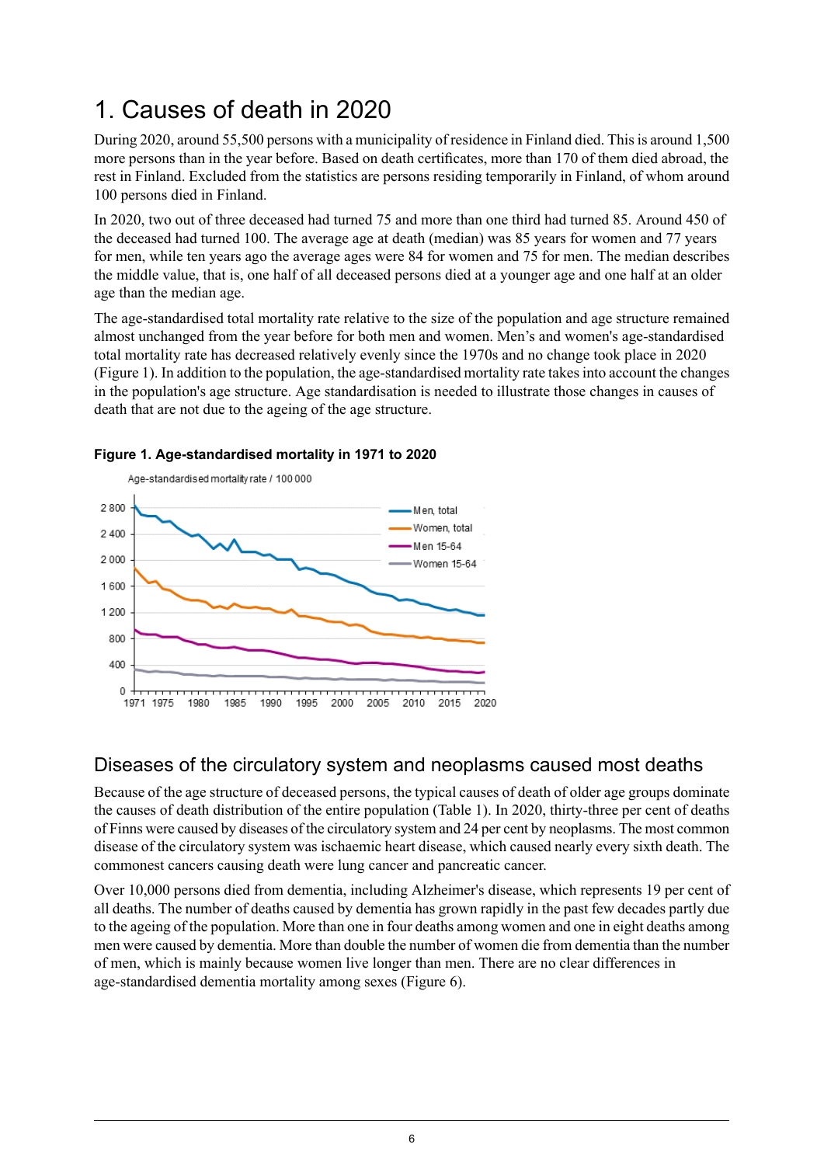## <span id="page-5-0"></span>1. Causes of death in 2020

During 2020, around 55,500 persons with a municipality of residence in Finland died. This is around 1,500 more persons than in the year before. Based on death certificates, more than 170 of them died abroad, the rest in Finland. Excluded from the statistics are persons residing temporarily in Finland, of whom around 100 persons died in Finland.

In 2020, two out of three deceased had turned 75 and more than one third had turned 85. Around 450 of the deceased had turned 100. The average age at death (median) was 85 years for women and 77 years for men, while ten years ago the average ages were 84 for women and 75 for men. The median describes the middle value, that is, one half of all deceased persons died at a younger age and one half at an older age than the median age.

The age-standardised total mortality rate relative to the size of the population and age structure remained almost unchanged from the year before for both men and women. Men's and women's age-standardised total mortality rate has decreased relatively evenly since the 1970s and no change took place in 2020 (Figure 1). In addition to the population, the age-standardised mortality rate takesinto account the changes in the population's age structure. Age standardisation is needed to illustrate those changes in causes of death that are not due to the ageing of the age structure.



### <span id="page-5-2"></span>**Figure 1. Age-standardised mortality in 1971 to 2020**

## <span id="page-5-1"></span>Diseases of the circulatory system and neoplasms caused most deaths

Because of the age structure of deceased persons, the typical causes of death of older age groups dominate the causes of death distribution of the entire population (Table 1). In 2020, thirty-three per cent of deaths of Finns were caused by diseases of the circulatory system and 24 per cent by neoplasms. The most common disease of the circulatory system was ischaemic heart disease, which caused nearly every sixth death. The commonest cancers causing death were lung cancer and pancreatic cancer.

Over 10,000 persons died from dementia, including Alzheimer's disease, which represents 19 per cent of all deaths. The number of deaths caused by dementia has grown rapidly in the past few decades partly due to the ageing of the population. More than one in four deaths among women and one in eight deaths among men were caused by dementia. More than double the number of women die from dementia than the number of men, which is mainly because women live longer than men. There are no clear differences in age-standardised dementia mortality among sexes (Figure 6).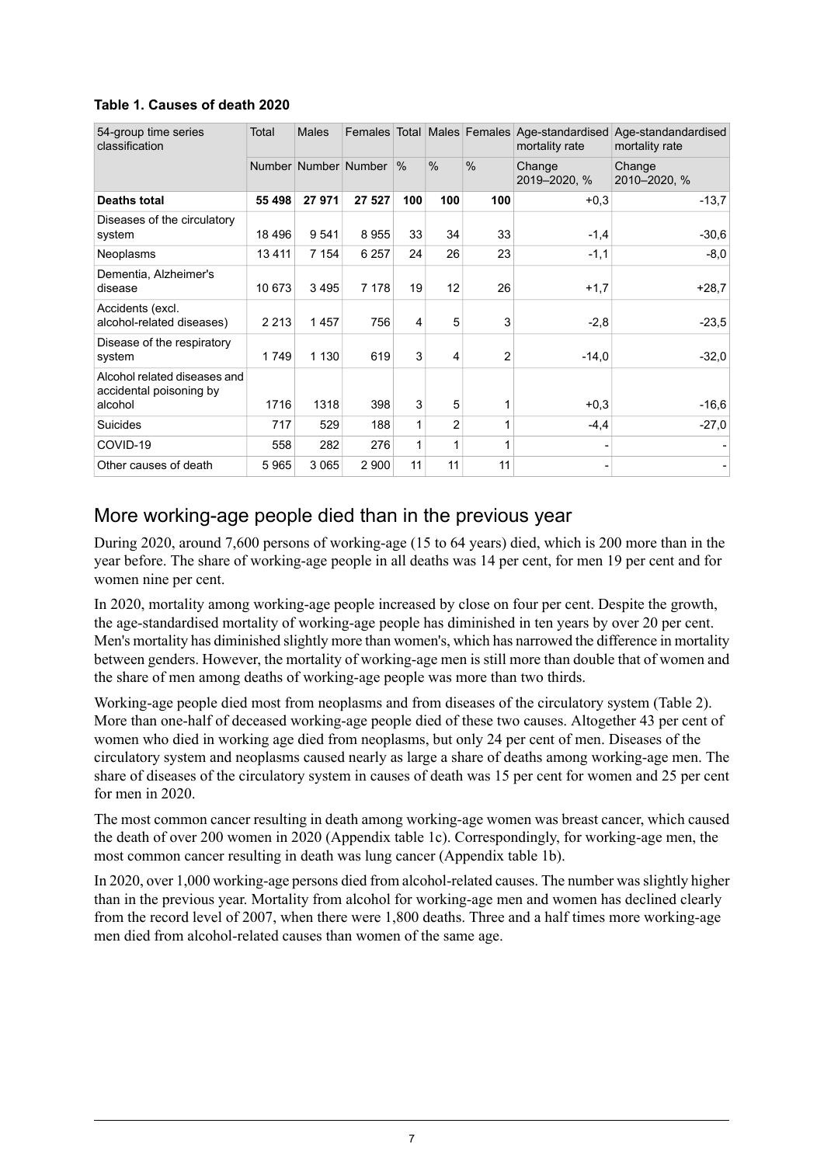| 54-group time series<br>classification                  | Total   | <b>Males</b> | Females              |      |               |                | Total Males Females Age-standardised<br>mortality rate | Age-standandardised<br>mortality rate |
|---------------------------------------------------------|---------|--------------|----------------------|------|---------------|----------------|--------------------------------------------------------|---------------------------------------|
|                                                         |         |              | Number Number Number | $\%$ | $\frac{0}{0}$ | $\frac{0}{0}$  | Change<br>2019-2020, %                                 | Change<br>2010-2020, %                |
| <b>Deaths total</b>                                     | 55 498  | 27971        | 27 527               | 100  | 100           | 100            | $+0.3$                                                 | $-13.7$                               |
| Diseases of the circulatory<br>system                   | 18496   | 9541         | 8955                 | 33   | 34            | 33             | $-1,4$                                                 | $-30,6$                               |
| Neoplasms                                               | 13411   | 7 1 5 4      | 6 2 5 7              | 24   | 26            | 23             | $-1,1$                                                 | $-8,0$                                |
| Dementia, Alzheimer's<br>disease                        | 10 673  | 3495         | 7 1 7 8              | 19   | 12            | 26             | $+1,7$                                                 | $+28.7$                               |
| Accidents (excl.<br>alcohol-related diseases)           | 2 2 1 3 | 1457         | 756                  | 4    | 5             | 3              | $-2,8$                                                 | $-23.5$                               |
| Disease of the respiratory<br>system                    | 1749    | 1 1 3 0      | 619                  | 3    | 4             | $\overline{2}$ | $-14,0$                                                | $-32.0$                               |
| Alcohol related diseases and<br>accidental poisoning by |         |              |                      |      |               |                |                                                        |                                       |
| alcohol                                                 | 1716    | 1318         | 398                  | 3    | 5             | 1              | $+0.3$                                                 | $-16,6$                               |
| Suicides                                                | 717     | 529          | 188                  | 1    | 2             | 1              | $-4,4$                                                 | $-27,0$                               |
| COVID-19                                                | 558     | 282          | 276                  | 1    | 1             | 1              |                                                        |                                       |
| Other causes of death                                   | 5965    | 3 0 6 5      | 2 9 0 0              | 11   | 11            | 11             |                                                        |                                       |

### <span id="page-6-1"></span>**Table 1. Causes of death 2020**

### <span id="page-6-0"></span>More working-age people died than in the previous year

During 2020, around 7,600 persons of working-age (15 to 64 years) died, which is 200 more than in the year before. The share of working-age people in all deaths was 14 per cent, for men 19 per cent and for women nine per cent.

In 2020, mortality among working-age people increased by close on four per cent. Despite the growth, the age-standardised mortality of working-age people has diminished in ten years by over 20 per cent. Men's mortality has diminished slightly more than women's, which has narrowed the difference in mortality between genders. However, the mortality of working-age men is still more than double that of women and the share of men among deaths of working-age people was more than two thirds.

Working-age people died most from neoplasms and from diseases of the circulatory system (Table 2). More than one-half of deceased working-age people died of these two causes. Altogether 43 per cent of women who died in working age died from neoplasms, but only 24 per cent of men. Diseases of the circulatory system and neoplasms caused nearly as large a share of deaths among working-age men. The share of diseases of the circulatory system in causes of death was 15 per cent for women and 25 per cent for men in 2020.

The most common cancer resulting in death among working-age women was breast cancer, which caused the death of over 200 women in 2020 (Appendix table 1c). Correspondingly, for working-age men, the most common cancer resulting in death was lung cancer (Appendix table 1b).

In 2020, over 1,000 working-age persons died from alcohol-related causes. The number wasslightly higher than in the previous year. Mortality from alcohol for working-age men and women has declined clearly from the record level of 2007, when there were 1,800 deaths. Three and a half times more working-age men died from alcohol-related causes than women of the same age.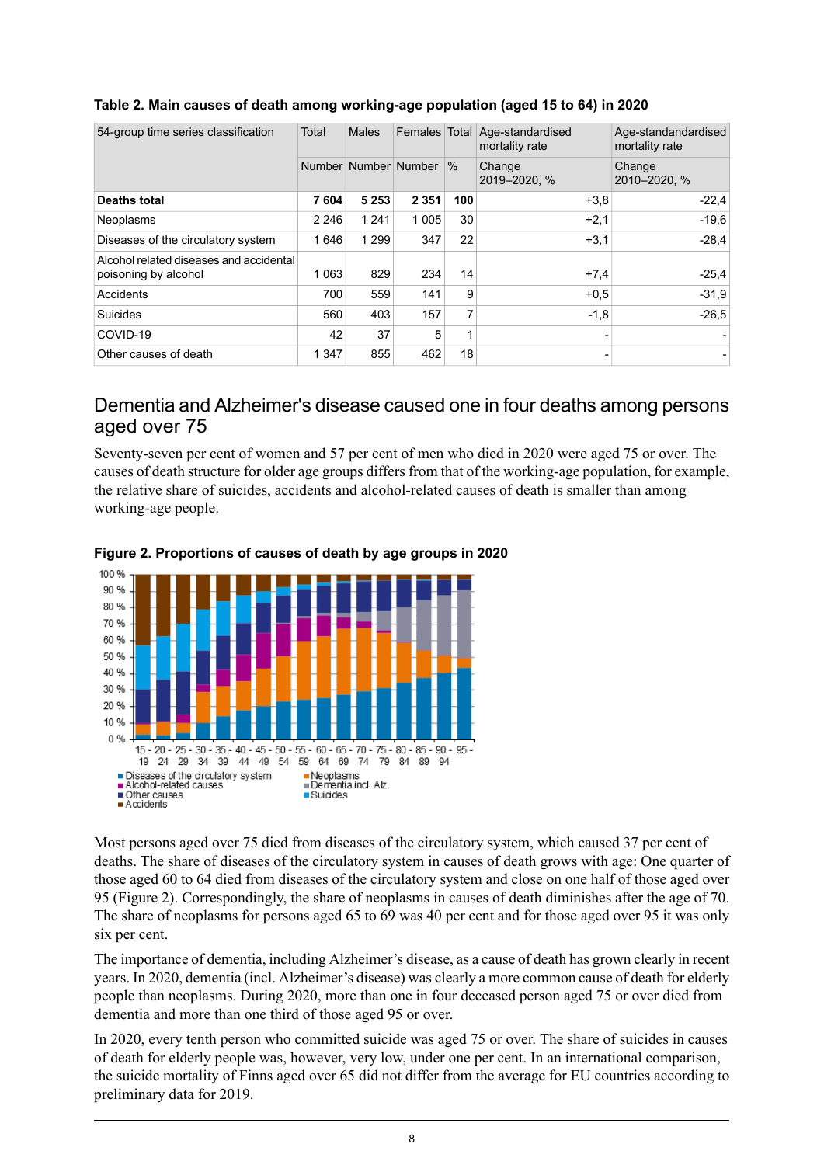| 54-group time series classification                             | Total   | Males   | Females Total        |      | Age-standardised<br>mortality rate | Age-standandardised<br>mortality rate |  |  |
|-----------------------------------------------------------------|---------|---------|----------------------|------|------------------------------------|---------------------------------------|--|--|
|                                                                 |         |         | Number Number Number | $\%$ | Change<br>2019-2020, %             | Change<br>2010-2020, %                |  |  |
| <b>Deaths total</b>                                             | 7604    | 5 2 5 3 | 2 3 5 1              | 100  | $+3.8$                             | $-22.4$                               |  |  |
| Neoplasms                                                       | 2 2 4 6 | 1 2 4 1 | 1 0 0 5              | 30   | $+2,1$                             | $-19.6$                               |  |  |
| Diseases of the circulatory system                              | 1646    | 1 2 9 9 | 347                  | 22   | $+3.1$                             | $-28.4$                               |  |  |
| Alcohol related diseases and accidental<br>poisoning by alcohol | 1 0 6 3 | 829     | 234                  | 14   | $+7,4$                             | $-25.4$                               |  |  |
| Accidents                                                       | 700     | 559     | 141                  | 9    | $+0.5$                             | $-31.9$                               |  |  |
| Suicides                                                        | 560     | 403     | 157                  | 7    | $-1,8$                             | $-26,5$                               |  |  |
| COVID-19                                                        | 42      | 37      | 5                    | 1    |                                    |                                       |  |  |
| Other causes of death                                           | 1 3 4 7 | 855     | 462                  | 18   | $\overline{\phantom{0}}$           |                                       |  |  |

### <span id="page-7-1"></span>**Table 2. Main causes of death among working-age population (aged 15 to 64) in 2020**

### <span id="page-7-0"></span>Dementia and Alzheimer's disease caused one in four deaths among persons aged over 75

<span id="page-7-2"></span>Seventy-seven per cent of women and 57 per cent of men who died in 2020 were aged 75 or over. The causes of death structure for older age groups differs from that of the working-age population, for example, the relative share of suicides, accidents and alcohol-related causes of death is smaller than among working-age people.



### **Figure 2. Proportions of causes of death by age groups in 2020**

Most persons aged over 75 died from diseases of the circulatory system, which caused 37 per cent of deaths. The share of diseases of the circulatory system in causes of death grows with age: One quarter of those aged 60 to 64 died from diseases of the circulatory system and close on one half of those aged over 95 (Figure 2). Correspondingly, the share of neoplasms in causes of death diminishes after the age of 70. The share of neoplasms for persons aged 65 to 69 was 40 per cent and for those aged over 95 it was only six per cent.

The importance of dementia, including Alzheimer's disease, as a cause of death has grown clearly in recent years. In 2020, dementia (incl. Alzheimer's disease) was clearly a more common cause of death for elderly people than neoplasms. During 2020, more than one in four deceased person aged 75 or over died from dementia and more than one third of those aged 95 or over.

In 2020, every tenth person who committed suicide was aged 75 or over. The share of suicides in causes of death for elderly people was, however, very low, under one per cent. In an international comparison, the suicide mortality of Finns aged over 65 did not differ from the average for EU countries according to preliminary data for 2019.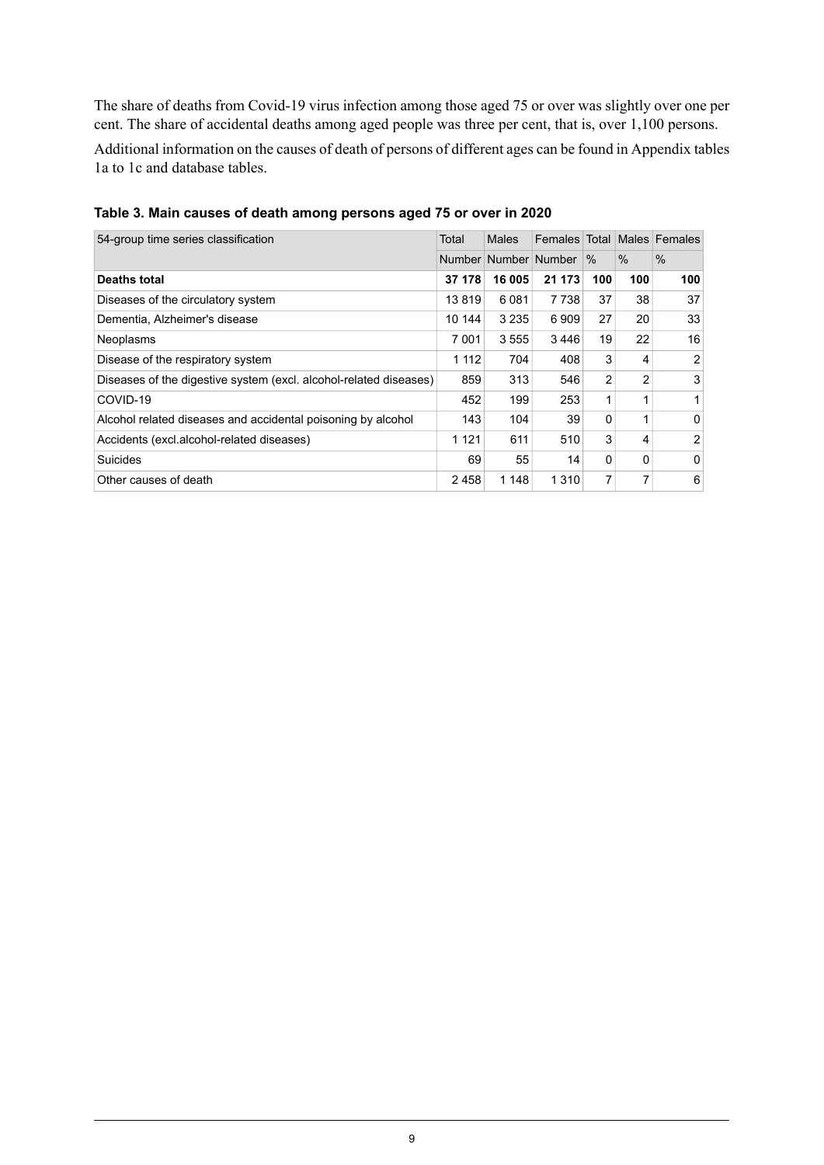The share of deaths from Covid-19 virus infection among those aged 75 or over was slightly over one per cent. The share of accidental deaths among aged people was three per cent, that is, over 1,100 persons.

Additional information on the causes of death of persons of different ages can be found in Appendix tables 1a to 1c and database tables.

| 54-group time series classification                               | Total   | Males                | Females Total |                |                | Males Females |
|-------------------------------------------------------------------|---------|----------------------|---------------|----------------|----------------|---------------|
|                                                                   |         | Number Number Number |               | $\%$           | $\%$           | $\%$          |
| <b>Deaths total</b>                                               | 37 178  | 16 005               | 21 173        | 100            | 100            | 100           |
| Diseases of the circulatory system                                | 13819   | 6081                 | 7 7 3 8       | 37             | 38             | 37            |
| Dementia, Alzheimer's disease                                     | 10 144  | 3 2 3 5              | 6909          | 27             | 20             | 33            |
| Neoplasms                                                         | 7 001   | 3555                 | 3446          | 19             | 22             | 16            |
| Disease of the respiratory system                                 | 1 1 1 2 | 704                  | 408           | 3              | 4              | 2             |
| Diseases of the digestive system (excl. alcohol-related diseases) | 859     | 313                  | 546           | $\overline{2}$ | $\overline{2}$ | 3             |
| COVID-19                                                          | 452     | 199                  | 253           |                | 4              |               |
| Alcohol related diseases and accidental poisoning by alcohol      | 143     | 104                  | 39            | $\Omega$       | 1              | $\Omega$      |
| Accidents (excl.alcohol-related diseases)                         | 1 1 2 1 | 611                  | 510           | 3              | 4              | 2             |
| Suicides                                                          | 69      | 55                   | 14            | $\Omega$       | $\Omega$       | $\Omega$      |
| Other causes of death                                             | 2458    | 1 148                | 1 3 1 0       | 7              | 7              | 6             |

<span id="page-8-0"></span>**Table 3. Main causes of death among persons aged 75 or over in 2020**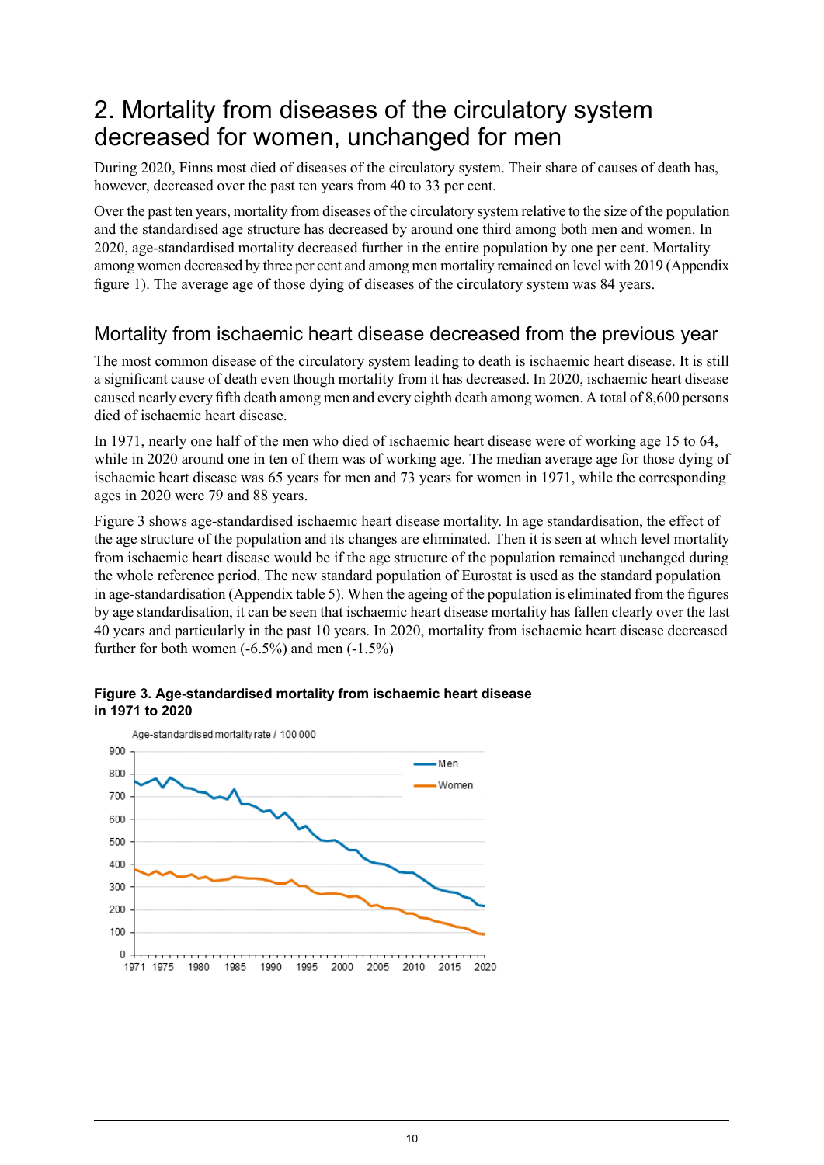## <span id="page-9-0"></span>2. Mortality from diseases of the circulatory system decreased for women, unchanged for men

During 2020, Finns most died of diseases of the circulatory system. Their share of causes of death has, however, decreased over the past ten years from 40 to 33 per cent.

Over the past ten years, mortality from diseases of the circulatory system relative to the size of the population and the standardised age structure has decreased by around one third among both men and women. In 2020, age-standardised mortality decreased further in the entire population by one per cent. Mortality among women decreased by three per cent and among men mortality remained on level with 2019 (Appendix figure 1). The average age of those dying of diseases of the circulatory system was 84 years.

## <span id="page-9-1"></span>Mortality from ischaemic heart disease decreased from the previous year

The most common disease of the circulatory system leading to death is ischaemic heart disease. It is still a significant cause of death even though mortality from it has decreased. In 2020, ischaemic heart disease caused nearly every fifth death among men and every eighth death among women. A total of 8,600 persons died of ischaemic heart disease.

In 1971, nearly one half of the men who died of ischaemic heart disease were of working age 15 to 64, while in 2020 around one in ten of them was of working age. The median average age for those dying of ischaemic heart disease was 65 years for men and 73 years for women in 1971, while the corresponding ages in 2020 were 79 and 88 years.

Figure 3 shows age-standardised ischaemic heart disease mortality. In age standardisation, the effect of the age structure of the population and its changes are eliminated. Then it is seen at which level mortality from ischaemic heart disease would be if the age structure of the population remained unchanged during the whole reference period. The new standard population of Eurostat is used as the standard population in age-standardisation (Appendix table 5). When the ageing of the population is eliminated from the figures by age standardisation, it can be seen that ischaemic heart disease mortality has fallen clearly over the last 40 years and particularly in the past 10 years. In 2020, mortality from ischaemic heart disease decreased further for both women  $(-6.5\%)$  and men  $(-1.5\%)$ 



### <span id="page-9-2"></span>**Figure 3. Age-standardised mortality from ischaemic heart disease in 1971 to 2020**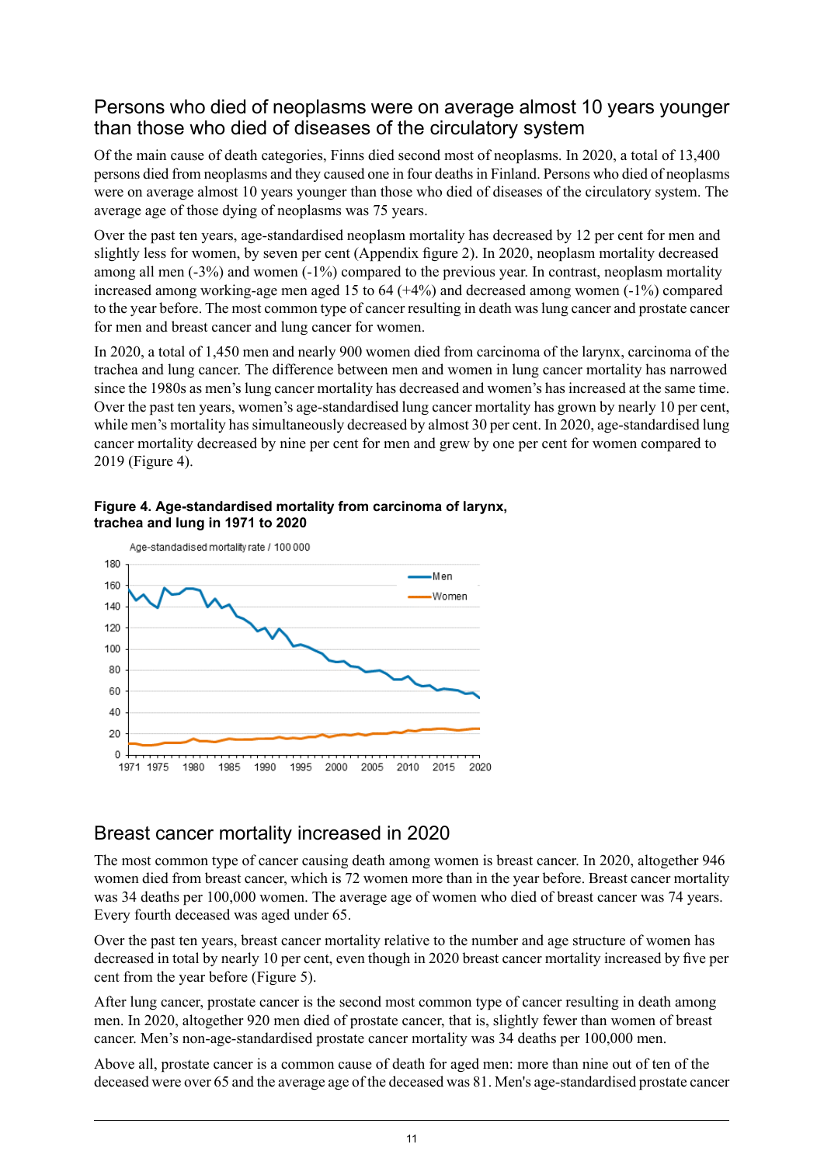### <span id="page-10-0"></span>Persons who died of neoplasms were on average almost 10 years younger than those who died of diseases of the circulatory system

Of the main cause of death categories, Finns died second most of neoplasms. In 2020, a total of 13,400 persons died from neoplasms and they caused one in four deathsin Finland. Persons who died of neoplasms were on average almost 10 years younger than those who died of diseases of the circulatory system. The average age of those dying of neoplasms was 75 years.

Over the past ten years, age-standardised neoplasm mortality has decreased by 12 per cent for men and slightly less for women, by seven per cent (Appendix figure 2). In 2020, neoplasm mortality decreased among all men (-3%) and women (-1%) compared to the previous year. In contrast, neoplasm mortality increased among working-age men aged 15 to 64 (+4%) and decreased among women (-1%) compared to the year before. The most common type of cancer resulting in death waslung cancer and prostate cancer for men and breast cancer and lung cancer for women.

In 2020, a total of 1,450 men and nearly 900 women died from carcinoma of the larynx, carcinoma of the trachea and lung cancer. The difference between men and women in lung cancer mortality has narrowed since the 1980s as men's lung cancer mortality has decreased and women's has increased at the same time. Over the past ten years, women's age-standardised lung cancer mortality has grown by nearly 10 per cent, while men's mortality has simultaneously decreased by almost 30 per cent. In 2020, age-standardised lung cancer mortality decreased by nine per cent for men and grew by one per cent for women compared to 2019 (Figure 4).



<span id="page-10-2"></span>

## <span id="page-10-1"></span>Breast cancer mortality increased in 2020

The most common type of cancer causing death among women is breast cancer. In 2020, altogether 946 women died from breast cancer, which is 72 women more than in the year before. Breast cancer mortality was 34 deaths per 100,000 women. The average age of women who died of breast cancer was 74 years. Every fourth deceased was aged under 65.

Over the past ten years, breast cancer mortality relative to the number and age structure of women has decreased in total by nearly 10 per cent, even though in 2020 breast cancer mortality increased by five per cent from the year before (Figure 5).

After lung cancer, prostate cancer is the second most common type of cancer resulting in death among men. In 2020, altogether 920 men died of prostate cancer, that is, slightly fewer than women of breast cancer. Men's non-age-standardised prostate cancer mortality was 34 deaths per 100,000 men.

Above all, prostate cancer is a common cause of death for aged men: more than nine out of ten of the deceased were over 65 and the average age of the deceased was 81. Men's age-standardised prostate cancer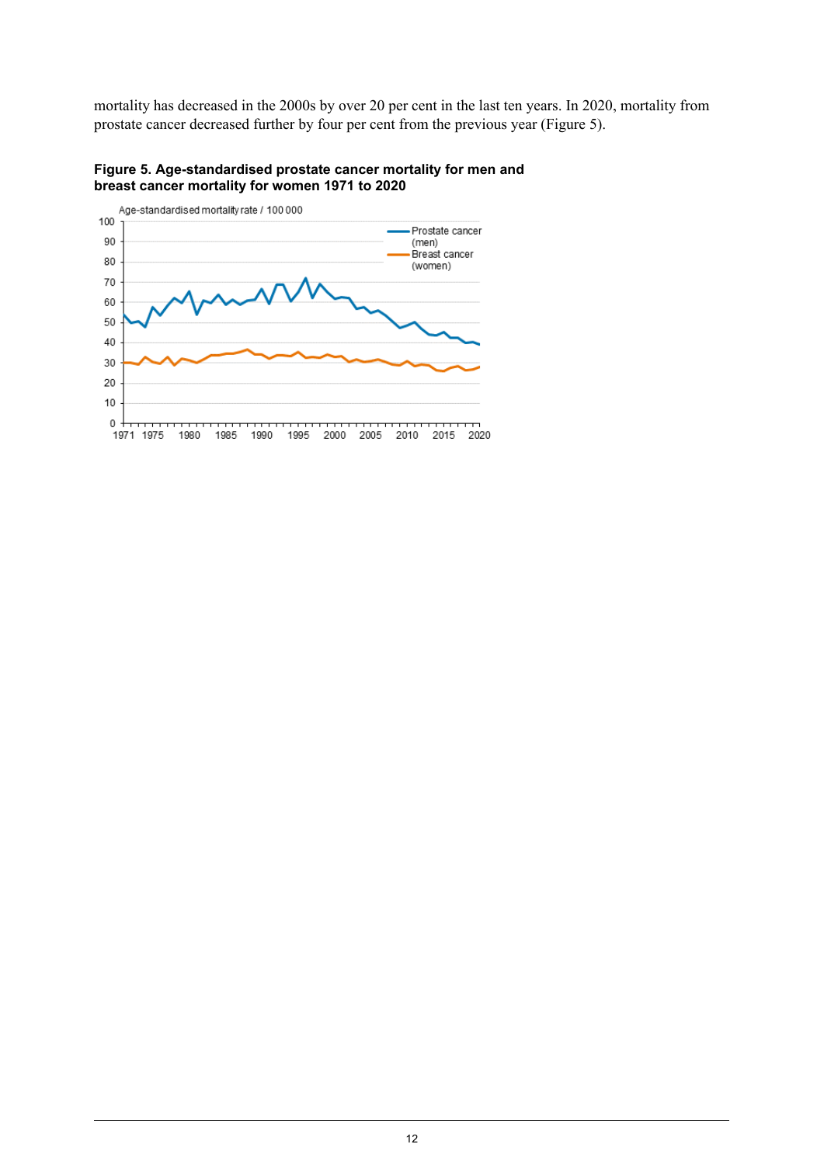mortality has decreased in the 2000s by over 20 per cent in the last ten years. In 2020, mortality from prostate cancer decreased further by four per cent from the previous year (Figure 5).



<span id="page-11-0"></span>**Figure 5. Age-standardised prostate cancer mortality for men and breast cancer mortality for women 1971 to 2020**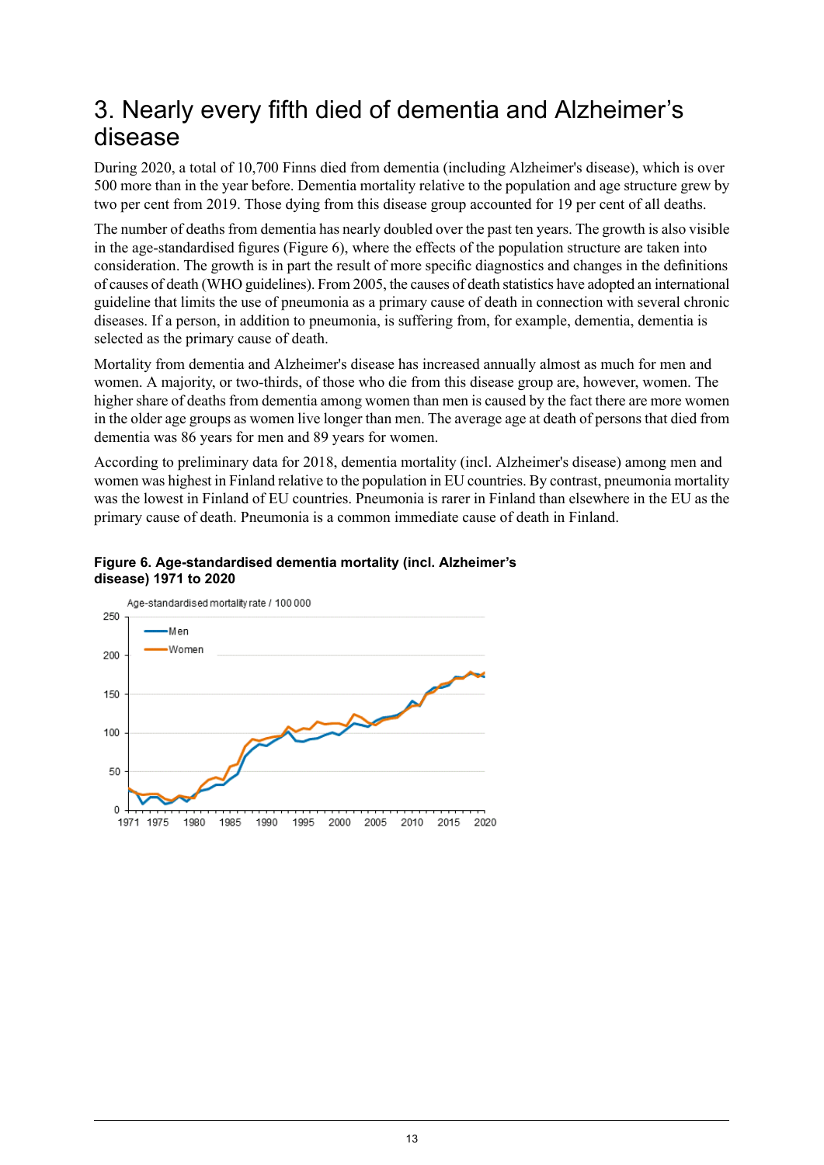## <span id="page-12-0"></span>3. Nearly every fifth died of dementia and Alzheimer's disease

During 2020, a total of 10,700 Finns died from dementia (including Alzheimer's disease), which is over 500 more than in the year before. Dementia mortality relative to the population and age structure grew by two per cent from 2019. Those dying from this disease group accounted for 19 per cent of all deaths.

The number of deaths from dementia has nearly doubled over the past ten years. The growth is also visible in the age-standardised figures (Figure 6), where the effects of the population structure are taken into consideration. The growth is in part the result of more specific diagnostics and changes in the definitions of causes of death (WHO guidelines). From 2005, the causes of death statistics have adopted an international guideline that limits the use of pneumonia as a primary cause of death in connection with several chronic diseases. If a person, in addition to pneumonia, is suffering from, for example, dementia, dementia is selected as the primary cause of death.

Mortality from dementia and Alzheimer's disease has increased annually almost as much for men and women. A majority, or two-thirds, of those who die from this disease group are, however, women. The higher share of deaths from dementia among women than men is caused by the fact there are more women in the older age groups as women live longer than men. The average age at death of persons that died from dementia was 86 years for men and 89 years for women.

<span id="page-12-1"></span>According to preliminary data for 2018, dementia mortality (incl. Alzheimer's disease) among men and women was highest in Finland relative to the population in EU countries. By contrast, pneumonia mortality was the lowest in Finland of EU countries. Pneumonia is rarer in Finland than elsewhere in the EU as the primary cause of death. Pneumonia is a common immediate cause of death in Finland.

#### **Figure 6. Age-standardised dementia mortality (incl. Alzheimer's disease) 1971 to 2020**

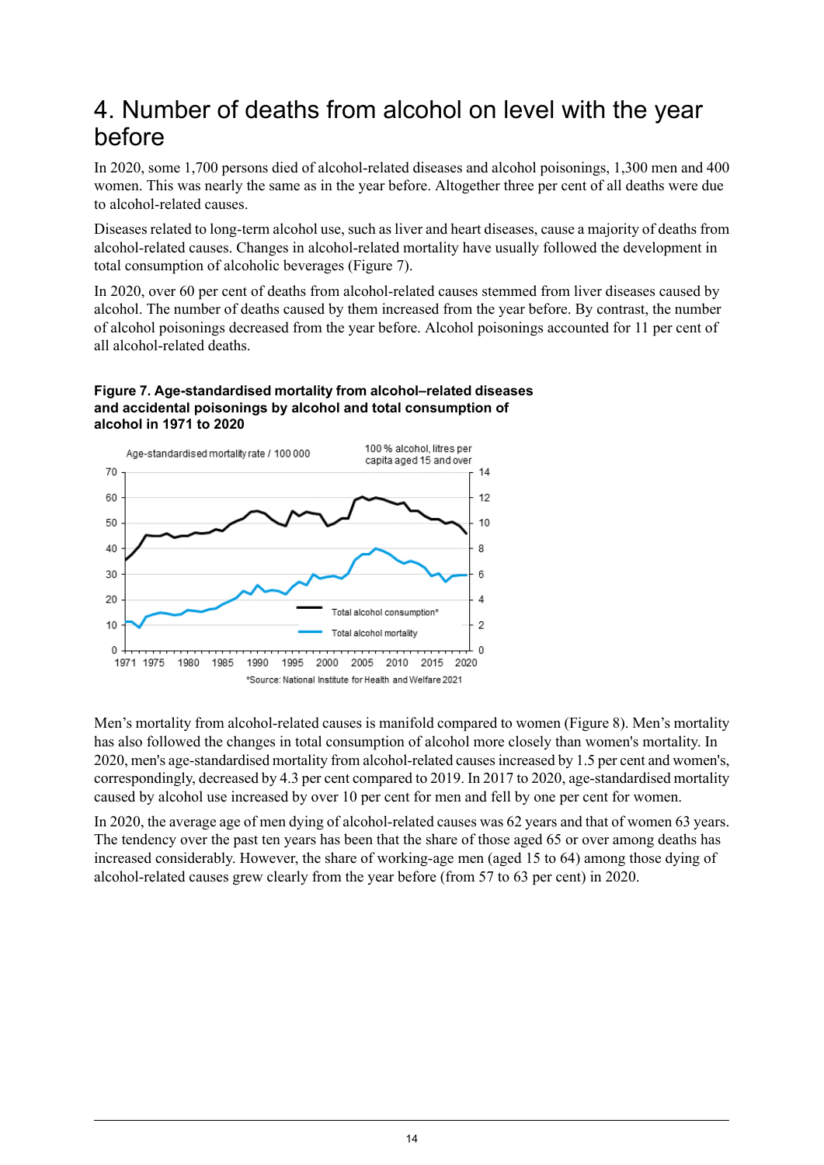## <span id="page-13-0"></span>4. Number of deaths from alcohol on level with the year before

In 2020, some 1,700 persons died of alcohol-related diseases and alcohol poisonings, 1,300 men and 400 women. This was nearly the same as in the year before. Altogether three per cent of all deaths were due to alcohol-related causes.

Diseases related to long-term alcohol use, such as liver and heart diseases, cause a majority of deaths from alcohol-related causes. Changes in alcohol-related mortality have usually followed the development in total consumption of alcoholic beverages (Figure 7).

In 2020, over 60 per cent of deaths from alcohol-related causes stemmed from liver diseases caused by alcohol. The number of deaths caused by them increased from the year before. By contrast, the number of alcohol poisonings decreased from the year before. Alcohol poisonings accounted for 11 per cent of all alcohol-related deaths.

#### <span id="page-13-1"></span>**Figure 7. Age-standardised mortality from alcohol–related diseases and accidental poisonings by alcohol and total consumption of alcohol in 1971 to 2020**



Men's mortality from alcohol-related causes is manifold compared to women (Figure 8). Men's mortality has also followed the changes in total consumption of alcohol more closely than women's mortality. In 2020, men's age-standardised mortality from alcohol-related causesincreased by 1.5 per cent and women's, correspondingly, decreased by 4.3 per cent compared to 2019. In 2017 to 2020, age-standardised mortality caused by alcohol use increased by over 10 per cent for men and fell by one per cent for women.

In 2020, the average age of men dying of alcohol-related causes was 62 years and that of women 63 years. The tendency over the past ten years has been that the share of those aged 65 or over among deaths has increased considerably. However, the share of working-age men (aged 15 to 64) among those dying of alcohol-related causes grew clearly from the year before (from 57 to 63 per cent) in 2020.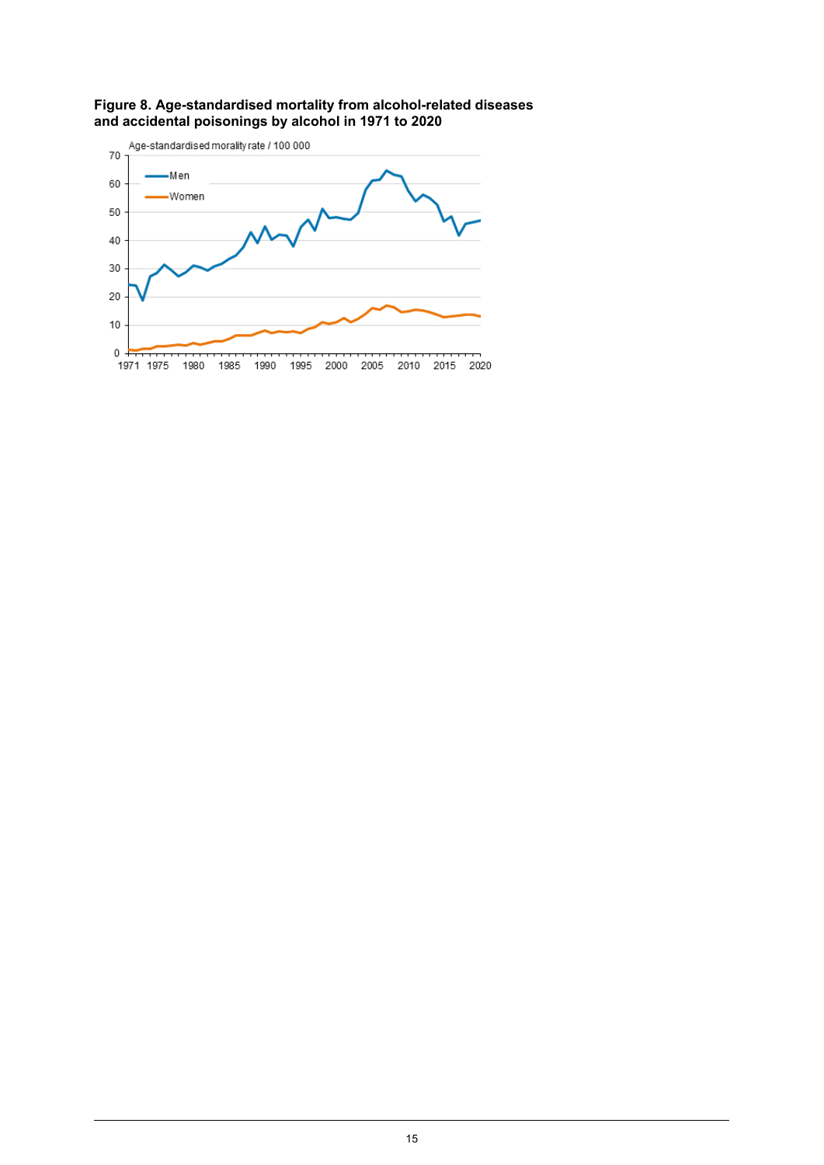

<span id="page-14-0"></span>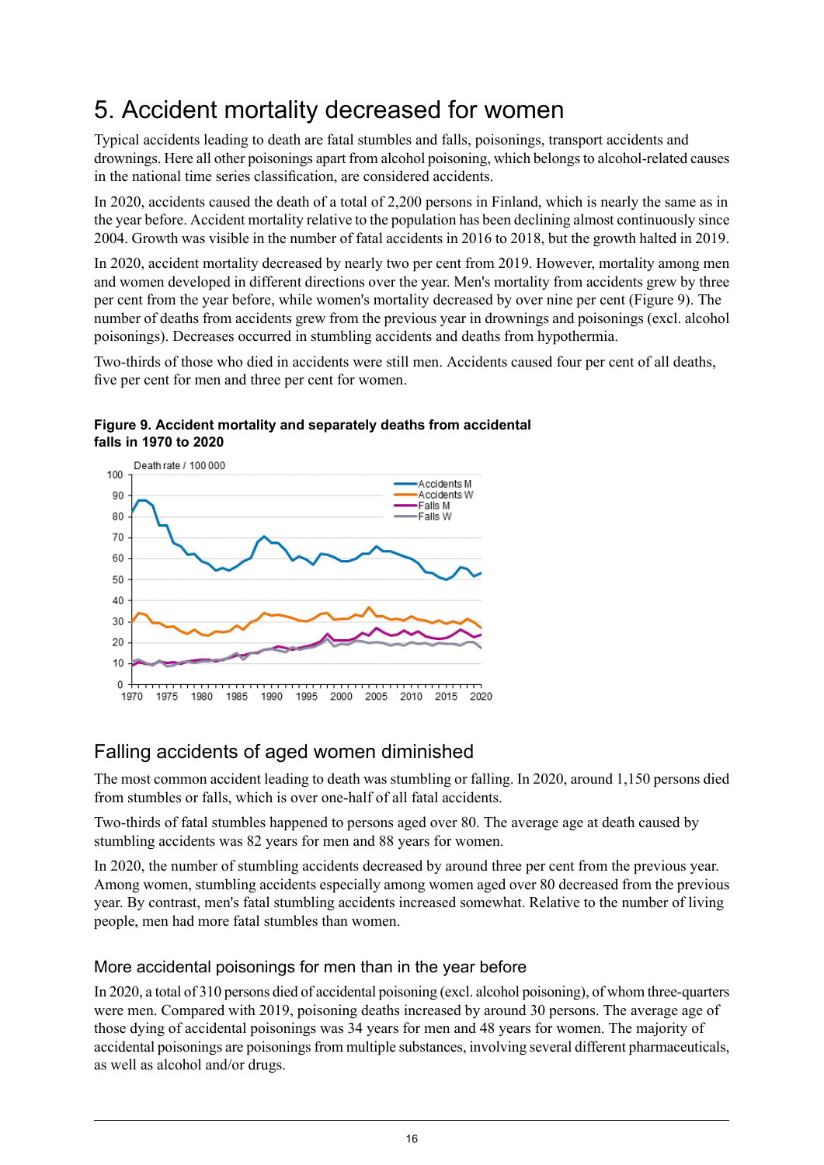## <span id="page-15-0"></span>5. Accident mortality decreased for women

Typical accidents leading to death are fatal stumbles and falls, poisonings, transport accidents and drownings. Here all other poisonings apart from alcohol poisoning, which belongsto alcohol-related causes in the national time series classification, are considered accidents.

In 2020, accidents caused the death of a total of 2,200 persons in Finland, which is nearly the same as in the year before. Accident mortality relative to the population has been declining almost continuously since 2004. Growth was visible in the number of fatal accidents in 2016 to 2018, but the growth halted in 2019.

In 2020, accident mortality decreased by nearly two per cent from 2019. However, mortality among men and women developed in different directions over the year. Men's mortality from accidents grew by three per cent from the year before, while women's mortality decreased by over nine per cent (Figure 9). The number of deaths from accidents grew from the previous year in drownings and poisonings (excl. alcohol poisonings). Decreases occurred in stumbling accidents and deaths from hypothermia.

<span id="page-15-2"></span>Two-thirds of those who died in accidents were still men. Accidents caused four per cent of all deaths, five per cent for men and three per cent for women.

**Figure 9. Accident mortality and separately deaths from accidental falls in 1970 to 2020**



## <span id="page-15-1"></span>Falling accidents of aged women diminished

The most common accident leading to death was stumbling or falling. In 2020, around 1,150 persons died from stumbles or falls, which is over one-half of all fatal accidents.

Two-thirds of fatal stumbles happened to persons aged over 80. The average age at death caused by stumbling accidents was 82 years for men and 88 years for women.

In 2020, the number of stumbling accidents decreased by around three per cent from the previous year. Among women, stumbling accidents especially among women aged over 80 decreased from the previous year. By contrast, men's fatal stumbling accidents increased somewhat. Relative to the number of living people, men had more fatal stumbles than women.

### More accidental poisonings for men than in the year before

In 2020, a total of 310 persons died of accidental poisoning (excl. alcohol poisoning), of whom three-quarters were men. Compared with 2019, poisoning deaths increased by around 30 persons. The average age of those dying of accidental poisonings was 34 years for men and 48 years for women. The majority of accidental poisonings are poisonings from multiple substances, involving several different pharmaceuticals, as well as alcohol and/or drugs.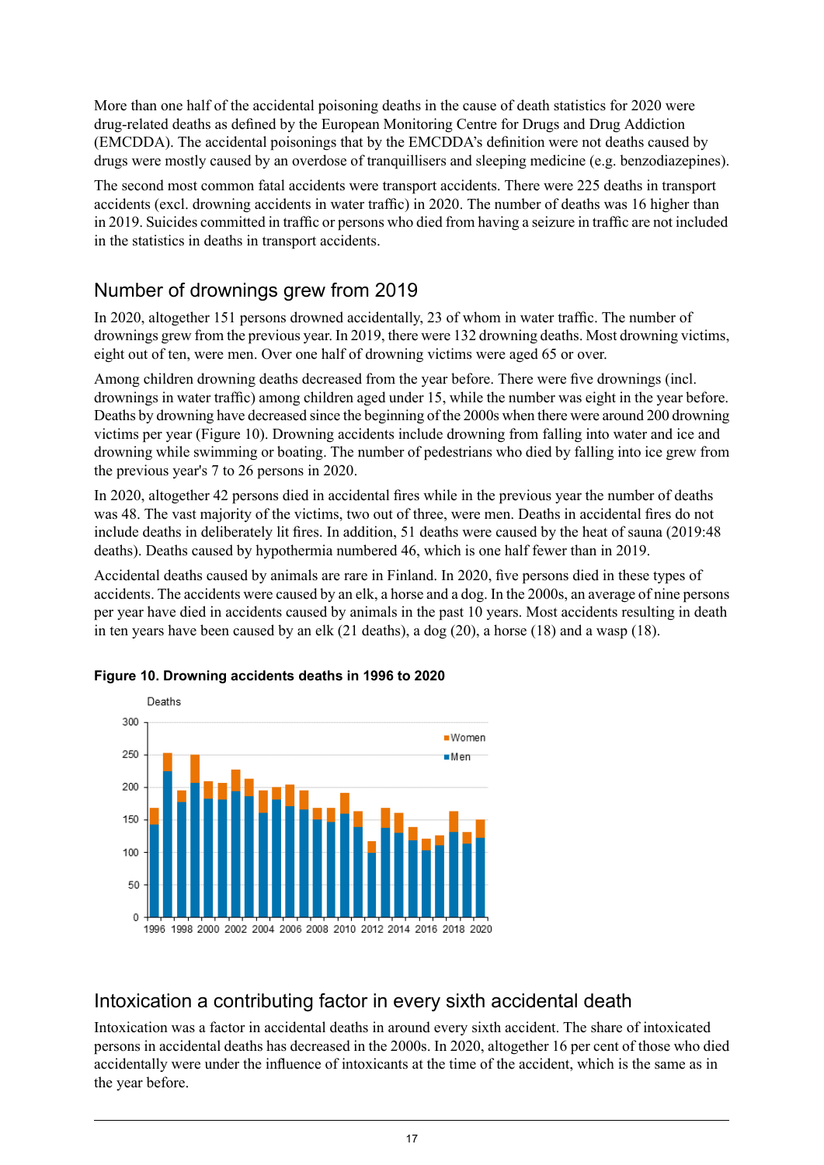More than one half of the accidental poisoning deaths in the cause of death statistics for 2020 were drug-related deaths as defined by the European Monitoring Centre for Drugs and Drug Addiction (EMCDDA). The accidental poisonings that by the EMCDDA's definition were not deaths caused by drugs were mostly caused by an overdose of tranquillisers and sleeping medicine (e.g. benzodiazepines).

The second most common fatal accidents were transport accidents. There were 225 deaths in transport accidents (excl. drowning accidents in water traffic) in 2020. The number of deaths was 16 higher than in 2019. Suicides committed in traffic or persons who died from having a seizure in traffic are not included in the statistics in deaths in transport accidents.

## <span id="page-16-0"></span>Number of drownings grew from 2019

In 2020, altogether 151 persons drowned accidentally, 23 of whom in water traffic. The number of drownings grew from the previous year. In 2019, there were 132 drowning deaths. Most drowning victims, eight out of ten, were men. Over one half of drowning victims were aged 65 or over.

Among children drowning deaths decreased from the year before. There were five drownings (incl. drownings in water traffic) among children aged under 15, while the number was eight in the year before. Deaths by drowning have decreased since the beginning of the 2000s when there were around 200 drowning victims per year (Figure 10). Drowning accidents include drowning from falling into water and ice and drowning while swimming or boating. The number of pedestrians who died by falling into ice grew from the previous year's 7 to 26 persons in 2020.

In 2020, altogether 42 persons died in accidental fires while in the previous year the number of deaths was 48. The vast majority of the victims, two out of three, were men. Deaths in accidental fires do not include deaths in deliberately lit fires. In addition, 51 deaths were caused by the heat of sauna (2019:48 deaths). Deaths caused by hypothermia numbered 46, which is one half fewer than in 2019.

<span id="page-16-2"></span>Accidental deaths caused by animals are rare in Finland. In 2020, five persons died in these types of accidents. The accidents were caused by an elk, a horse and a dog. In the 2000s, an average of nine persons per year have died in accidents caused by animals in the past 10 years. Most accidents resulting in death in ten years have been caused by an elk (21 deaths), a dog (20), a horse (18) and a wasp (18).



### **Figure 10. Drowning accidents deaths in 1996 to 2020**

## <span id="page-16-1"></span>Intoxication a contributing factor in every sixth accidental death

Intoxication was a factor in accidental deaths in around every sixth accident. The share of intoxicated persons in accidental deaths has decreased in the 2000s. In 2020, altogether 16 per cent of those who died accidentally were under the influence of intoxicants at the time of the accident, which is the same as in the year before.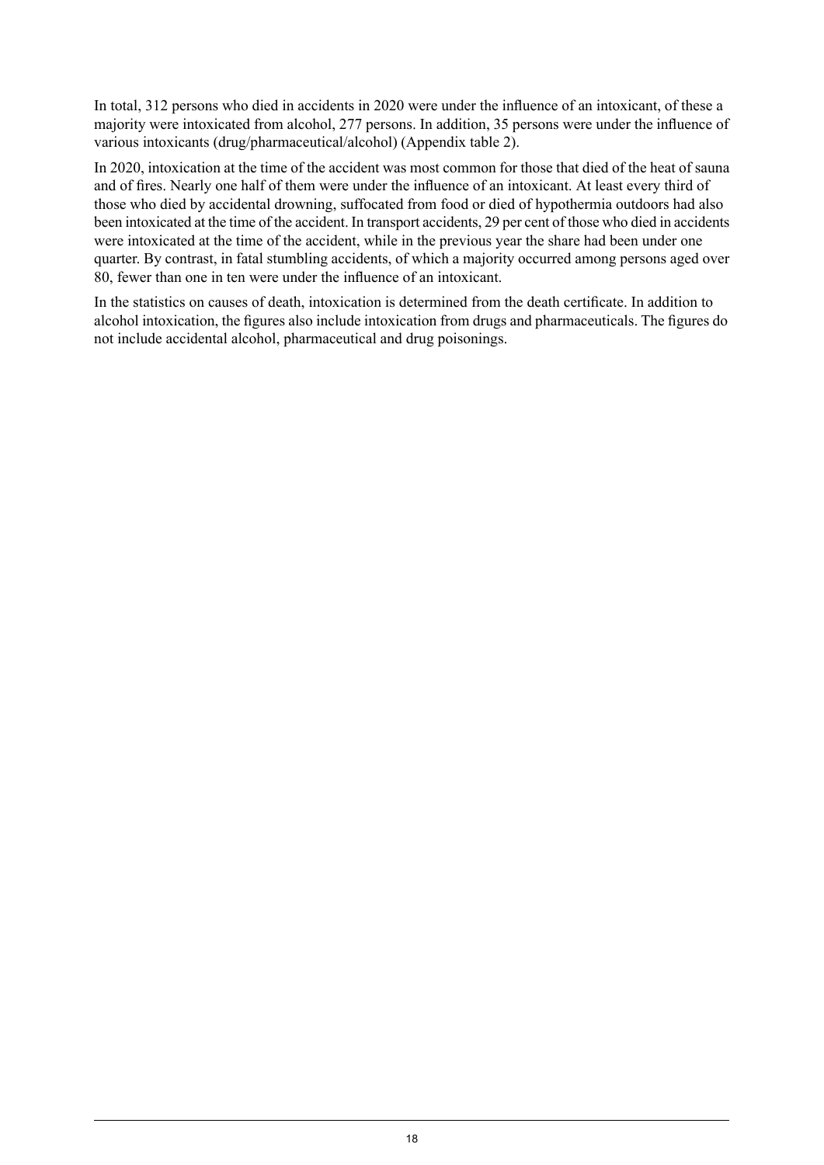In total, 312 persons who died in accidents in 2020 were under the influence of an intoxicant, of these a majority were intoxicated from alcohol, 277 persons. In addition, 35 persons were under the influence of various intoxicants (drug/pharmaceutical/alcohol) (Appendix table 2).

In 2020, intoxication at the time of the accident was most common for those that died of the heat of sauna and of fires. Nearly one half of them were under the influence of an intoxicant. At least every third of those who died by accidental drowning, suffocated from food or died of hypothermia outdoors had also been intoxicated at the time of the accident. In transport accidents, 29 per cent of those who died in accidents were intoxicated at the time of the accident, while in the previous year the share had been under one quarter. By contrast, in fatal stumbling accidents, of which a majority occurred among persons aged over 80, fewer than one in ten were under the influence of an intoxicant.

In the statistics on causes of death, intoxication is determined from the death certificate. In addition to alcohol intoxication, the figures also include intoxication from drugs and pharmaceuticals. The figures do not include accidental alcohol, pharmaceutical and drug poisonings.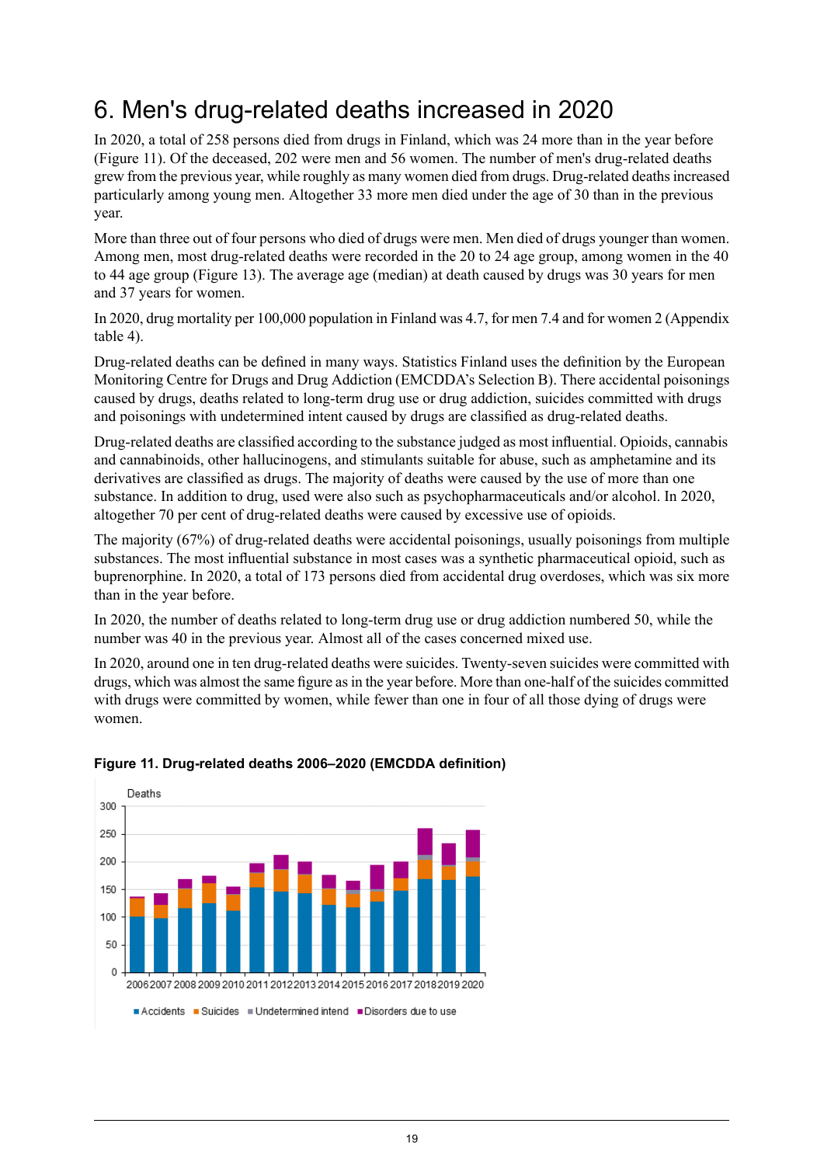## <span id="page-18-0"></span>6. Men's drug-related deaths increased in 2020

In 2020, a total of 258 persons died from drugs in Finland, which was 24 more than in the year before (Figure 11). Of the deceased, 202 were men and 56 women. The number of men's drug-related deaths grew from the previous year, while roughly as many women died from drugs. Drug-related deathsincreased particularly among young men. Altogether 33 more men died under the age of 30 than in the previous year.

More than three out of four persons who died of drugs were men. Men died of drugs younger than women. Among men, most drug-related deaths were recorded in the 20 to 24 age group, among women in the 40 to 44 age group (Figure 13). The average age (median) at death caused by drugs was 30 years for men and 37 years for women.

In 2020, drug mortality per 100,000 population in Finland was 4.7, for men 7.4 and for women 2 (Appendix table 4).

Drug-related deaths can be defined in many ways. Statistics Finland uses the definition by the European Monitoring Centre for Drugs and Drug Addiction (EMCDDA's Selection B). There accidental poisonings caused by drugs, deaths related to long-term drug use or drug addiction, suicides committed with drugs and poisonings with undetermined intent caused by drugs are classified as drug-related deaths.

Drug-related deaths are classified according to the substance judged as most influential. Opioids, cannabis and cannabinoids, other hallucinogens, and stimulants suitable for abuse, such as amphetamine and its derivatives are classified as drugs. The majority of deaths were caused by the use of more than one substance. In addition to drug, used were also such as psychopharmaceuticals and/or alcohol. In 2020, altogether 70 per cent of drug-related deaths were caused by excessive use of opioids.

The majority (67%) of drug-related deaths were accidental poisonings, usually poisonings from multiple substances. The most influential substance in most cases was a synthetic pharmaceutical opioid, such as buprenorphine. In 2020, a total of 173 persons died from accidental drug overdoses, which was six more than in the year before.

In 2020, the number of deaths related to long-term drug use or drug addiction numbered 50, while the number was 40 in the previous year. Almost all of the cases concerned mixed use.

<span id="page-18-1"></span>In 2020, around one in ten drug-related deaths were suicides. Twenty-seven suicides were committed with drugs, which was almost the same figure asin the year before. More than one-half of the suicides committed with drugs were committed by women, while fewer than one in four of all those dying of drugs were women.



### **Figure 11. Drug-related deaths 2006–2020 (EMCDDA definition)**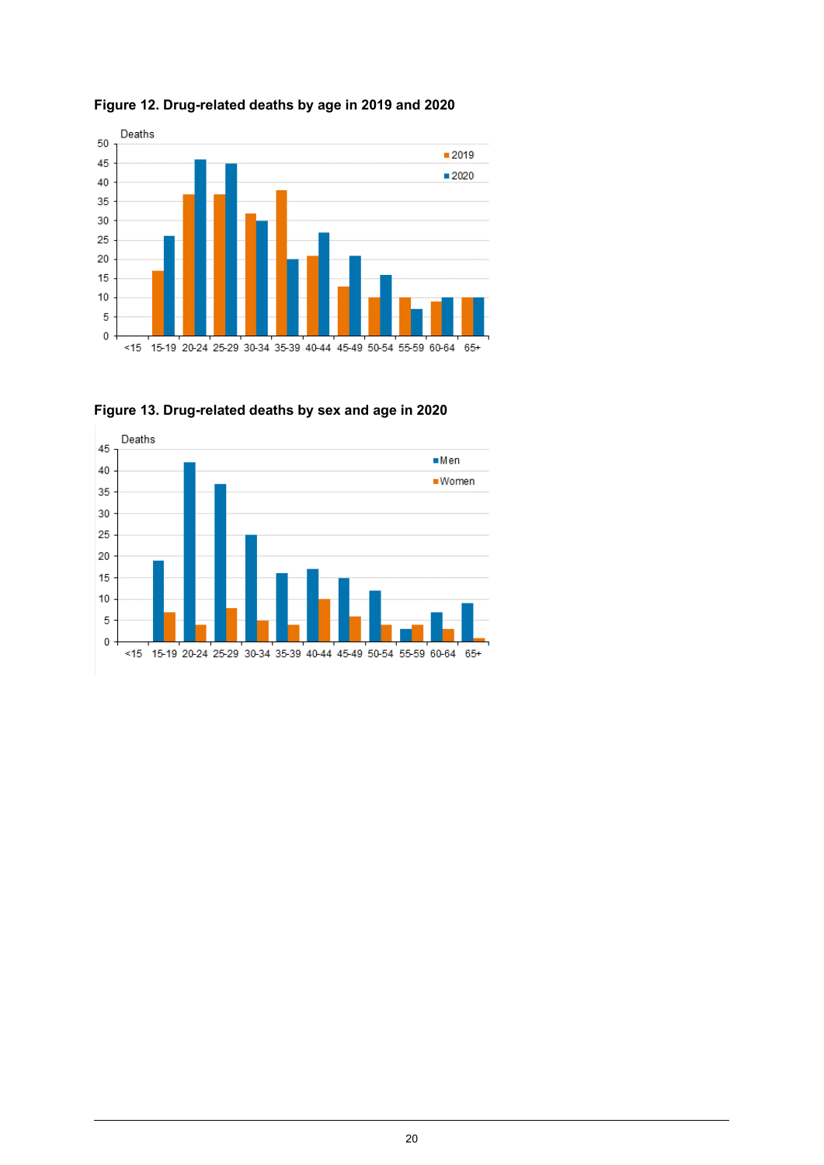

<span id="page-19-0"></span>**Figure 12. Drug-related deaths by age in 2019 and 2020**

<span id="page-19-1"></span>

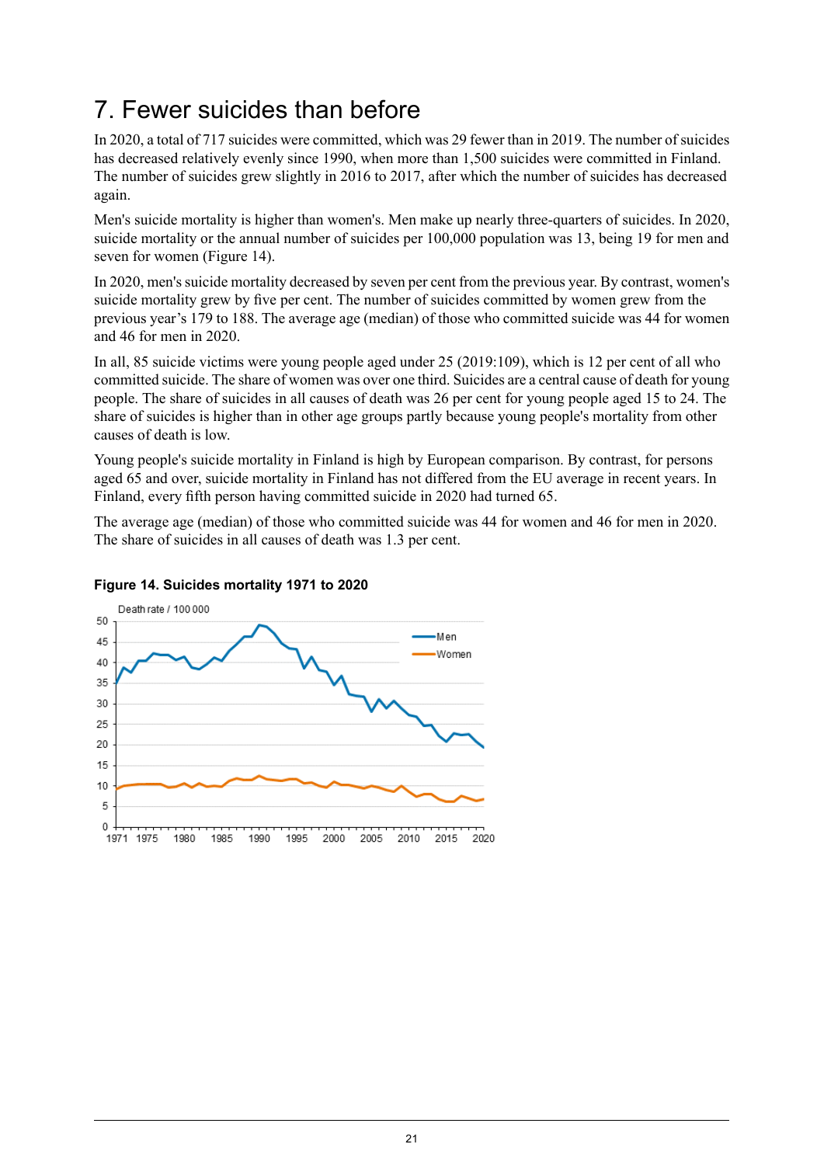## <span id="page-20-0"></span>7. Fewer suicides than before

In 2020, a total of 717 suicides were committed, which was 29 fewer than in 2019. The number of suicides has decreased relatively evenly since 1990, when more than 1,500 suicides were committed in Finland. The number of suicides grew slightly in 2016 to 2017, after which the number of suicides has decreased again.

Men's suicide mortality is higher than women's. Men make up nearly three-quarters of suicides. In 2020, suicide mortality or the annual number of suicides per 100,000 population was 13, being 19 for men and seven for women (Figure 14).

In 2020, men's suicide mortality decreased by seven per cent from the previous year. By contrast, women's suicide mortality grew by five per cent. The number of suicides committed by women grew from the previous year's 179 to 188. The average age (median) of those who committed suicide was 44 for women and 46 for men in 2020.

In all, 85 suicide victims were young people aged under 25 (2019:109), which is 12 per cent of all who committed suicide. The share of women was over one third. Suicides are a central cause of death for young people. The share of suicides in all causes of death was 26 per cent for young people aged 15 to 24. The share of suicides is higher than in other age groups partly because young people's mortality from other causes of death is low.

Young people's suicide mortality in Finland is high by European comparison. By contrast, for persons aged 65 and over, suicide mortality in Finland has not differed from the EU average in recent years. In Finland, every fifth person having committed suicide in 2020 had turned 65.

<span id="page-20-1"></span>The average age (median) of those who committed suicide was 44 for women and 46 for men in 2020. The share of suicides in all causes of death was 1.3 per cent.



### **Figure 14. Suicides mortality 1971 to 2020**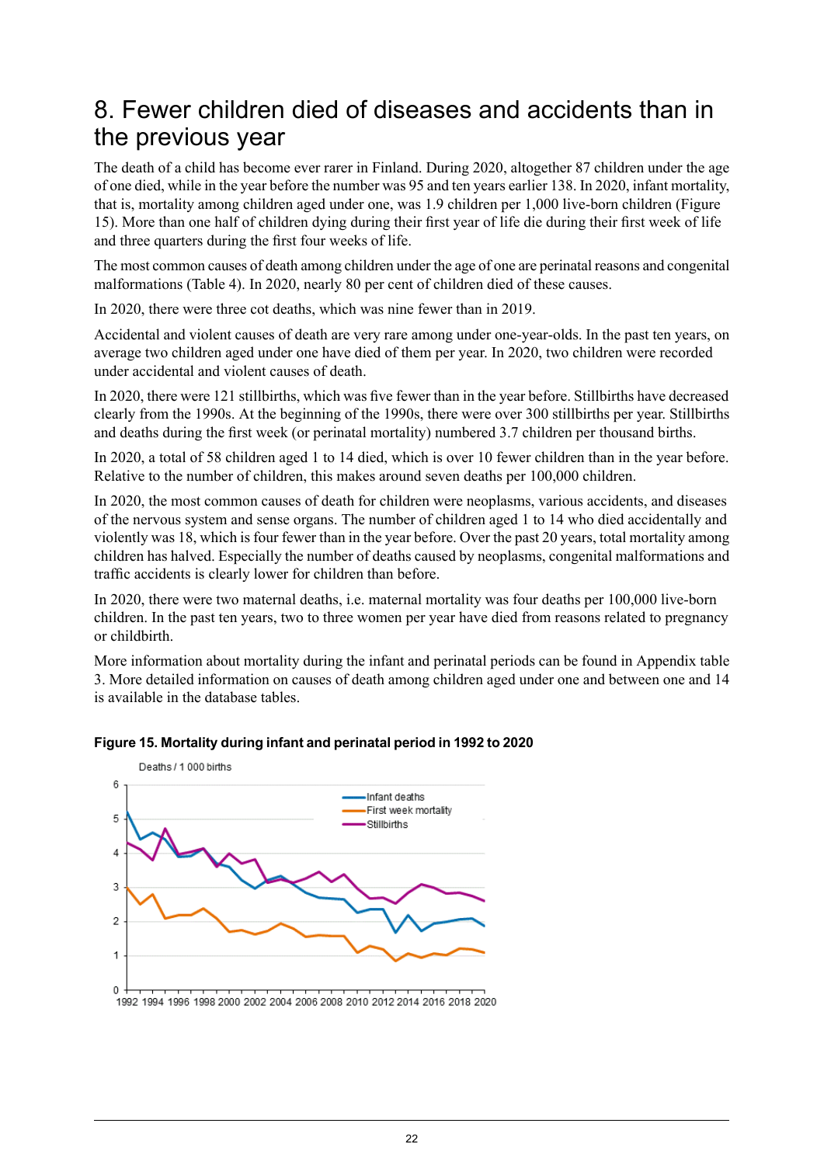## <span id="page-21-0"></span>8. Fewer children died of diseases and accidents than in the previous year

The death of a child has become ever rarer in Finland. During 2020, altogether 87 children under the age of one died, while in the year before the number was 95 and ten years earlier 138. In 2020, infant mortality, that is, mortality among children aged under one, was 1.9 children per 1,000 live-born children (Figure 15). More than one half of children dying during their first year of life die during their first week of life and three quarters during the first four weeks of life.

The most common causes of death among children under the age of one are perinatal reasons and congenital malformations (Table 4). In 2020, nearly 80 per cent of children died of these causes.

In 2020, there were three cot deaths, which was nine fewer than in 2019.

Accidental and violent causes of death are very rare among under one-year-olds. In the past ten years, on average two children aged under one have died of them per year. In 2020, two children were recorded under accidental and violent causes of death.

In 2020, there were 121 stillbirths, which was five fewer than in the year before. Stillbirths have decreased clearly from the 1990s. At the beginning of the 1990s, there were over 300 stillbirths per year. Stillbirths and deaths during the first week (or perinatal mortality) numbered 3.7 children per thousand births.

In 2020, a total of 58 children aged 1 to 14 died, which is over 10 fewer children than in the year before. Relative to the number of children, this makes around seven deaths per 100,000 children.

In 2020, the most common causes of death for children were neoplasms, various accidents, and diseases of the nervous system and sense organs. The number of children aged 1 to 14 who died accidentally and violently was 18, which is four fewer than in the year before. Over the past 20 years, total mortality among children has halved. Especially the number of deaths caused by neoplasms, congenital malformations and traffic accidents is clearly lower for children than before.

In 2020, there were two maternal deaths, i.e. maternal mortality was four deaths per 100,000 live-born children. In the past ten years, two to three women per year have died from reasons related to pregnancy or childbirth.

<span id="page-21-1"></span>More information about mortality during the infant and perinatal periods can be found in Appendix table 3. More detailed information on causes of death among children aged under one and between one and 14 is available in the database tables.



### **Figure 15. Mortality during infant and perinatal period in 1992 to 2020**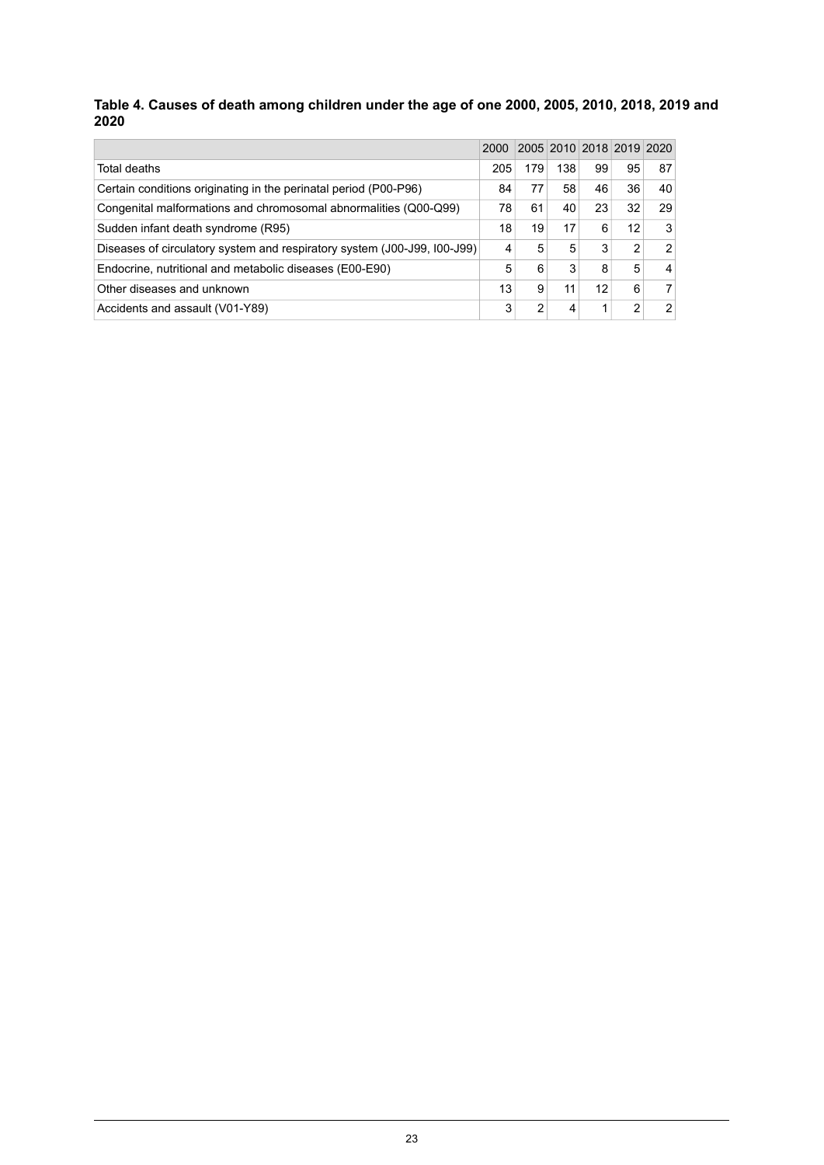#### <span id="page-22-0"></span>**Table 4. Causes of death among children under the age of one 2000, 2005, 2010, 2018, 2019 and 2020**

|                                                                          | 2000 |     |     | 2005 2010 2018 2019 2020 |    |                |
|--------------------------------------------------------------------------|------|-----|-----|--------------------------|----|----------------|
| Total deaths                                                             | 205  | 179 | 138 | 99                       | 95 | 87             |
| Certain conditions originating in the perinatal period (P00-P96)         | 84   | 77  | 58  | 46                       | 36 | 40             |
| Congenital malformations and chromosomal abnormalities (Q00-Q99)         | 78   | 61  | 40  | 23                       | 32 | 29             |
| Sudden infant death syndrome (R95)                                       | 18   | 19  | 17  | 6                        | 12 | 3              |
| Diseases of circulatory system and respiratory system (J00-J99, I00-J99) | 4    | 5   | 5   | 3                        | 2  | $\mathfrak{p}$ |
| Endocrine, nutritional and metabolic diseases (E00-E90)                  | 5    | 6   | 3   | 8                        | 5  | 4              |
| Other diseases and unknown                                               | 13   | 9   | 11  | 12                       | 6  |                |
| Accidents and assault (V01-Y89)                                          | 3    | 2   | 4   | 1                        | າ  | 2              |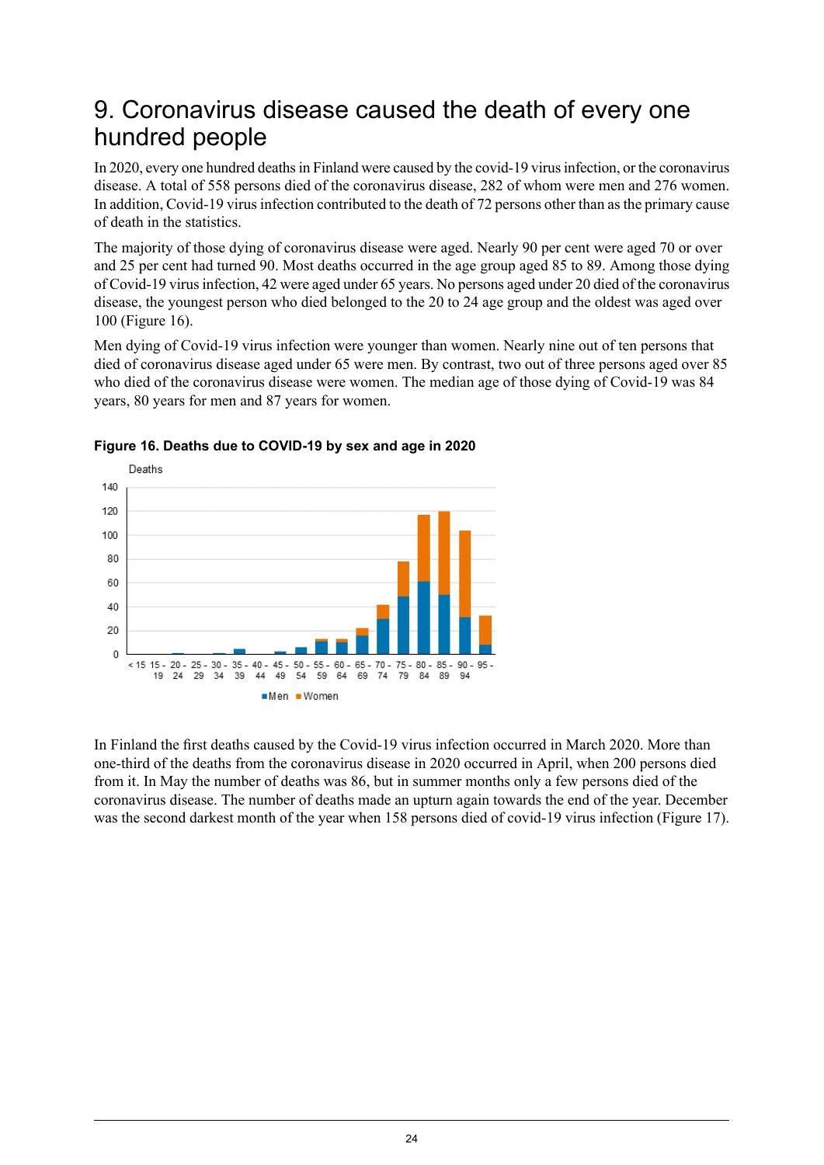## <span id="page-23-0"></span>9. Coronavirus disease caused the death of every one hundred people

In 2020, every one hundred deaths in Finland were caused by the covid-19 virus infection, or the coronavirus disease. A total of 558 persons died of the coronavirus disease, 282 of whom were men and 276 women. In addition, Covid-19 virus infection contributed to the death of 72 persons other than as the primary cause of death in the statistics.

The majority of those dying of coronavirus disease were aged. Nearly 90 per cent were aged 70 or over and 25 per cent had turned 90. Most deaths occurred in the age group aged 85 to 89. Among those dying of Covid-19 virusinfection, 42 were aged under 65 years. No persons aged under 20 died of the coronavirus disease, the youngest person who died belonged to the 20 to 24 age group and the oldest was aged over 100 (Figure 16).

Men dying of Covid-19 virus infection were younger than women. Nearly nine out of ten persons that died of coronavirus disease aged under 65 were men. By contrast, two out of three persons aged over 85 who died of the coronavirus disease were women. The median age of those dying of Covid-19 was 84 years, 80 years for men and 87 years for women.



<span id="page-23-1"></span>

In Finland the first deaths caused by the Covid-19 virus infection occurred in March 2020. More than one-third of the deaths from the coronavirus disease in 2020 occurred in April, when 200 persons died from it. In May the number of deaths was 86, but in summer months only a few persons died of the coronavirus disease. The number of deaths made an upturn again towards the end of the year. December was the second darkest month of the year when 158 persons died of covid-19 virus infection (Figure 17).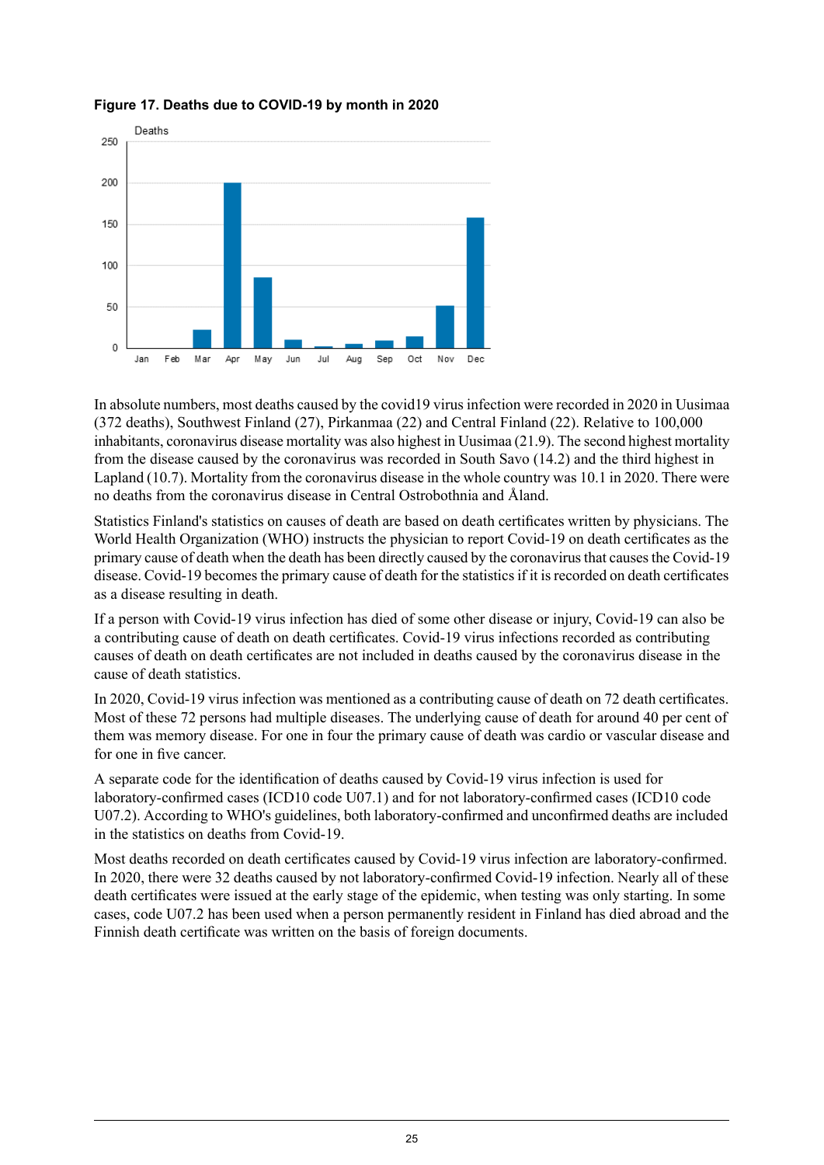

<span id="page-24-0"></span>**Figure 17. Deaths due to COVID-19 by month in 2020**

In absolute numbers, most deaths caused by the covid19 virus infection were recorded in 2020 in Uusimaa (372 deaths), Southwest Finland (27), Pirkanmaa (22) and Central Finland (22). Relative to 100,000 inhabitants, coronavirus disease mortality was also highest in Uusimaa (21.9). The second highest mortality from the disease caused by the coronavirus was recorded in South Savo (14.2) and the third highest in Lapland (10.7). Mortality from the coronavirus disease in the whole country was 10.1 in 2020. There were no deaths from the coronavirus disease in Central Ostrobothnia and Åland.

Statistics Finland's statistics on causes of death are based on death certificates written by physicians. The World Health Organization (WHO) instructs the physician to report Covid-19 on death certificates as the primary cause of death when the death has been directly caused by the coronavirus that causes the Covid-19 disease. Covid-19 becomes the primary cause of death for the statistics if it is recorded on death certificates as a disease resulting in death.

If a person with Covid-19 virus infection has died of some other disease or injury, Covid-19 can also be a contributing cause of death on death certificates. Covid-19 virus infections recorded as contributing causes of death on death certificates are not included in deaths caused by the coronavirus disease in the cause of death statistics.

In 2020, Covid-19 virus infection was mentioned as a contributing cause of death on 72 death certificates. Most of these 72 persons had multiple diseases. The underlying cause of death for around 40 per cent of them was memory disease. For one in four the primary cause of death was cardio or vascular disease and for one in five cancer.

A separate code for the identification of deaths caused by Covid-19 virus infection is used for laboratory-confirmed cases (ICD10 code U07.1) and for not laboratory-confirmed cases (ICD10 code U07.2). According to WHO's guidelines, both laboratory-confirmed and unconfirmed deaths are included in the statistics on deaths from Covid-19.

Most deaths recorded on death certificates caused by Covid-19 virus infection are laboratory-confirmed. In 2020, there were 32 deaths caused by not laboratory-confirmed Covid-19 infection. Nearly all of these death certificates were issued at the early stage of the epidemic, when testing was only starting. In some cases, code U07.2 has been used when a person permanently resident in Finland has died abroad and the Finnish death certificate was written on the basis of foreign documents.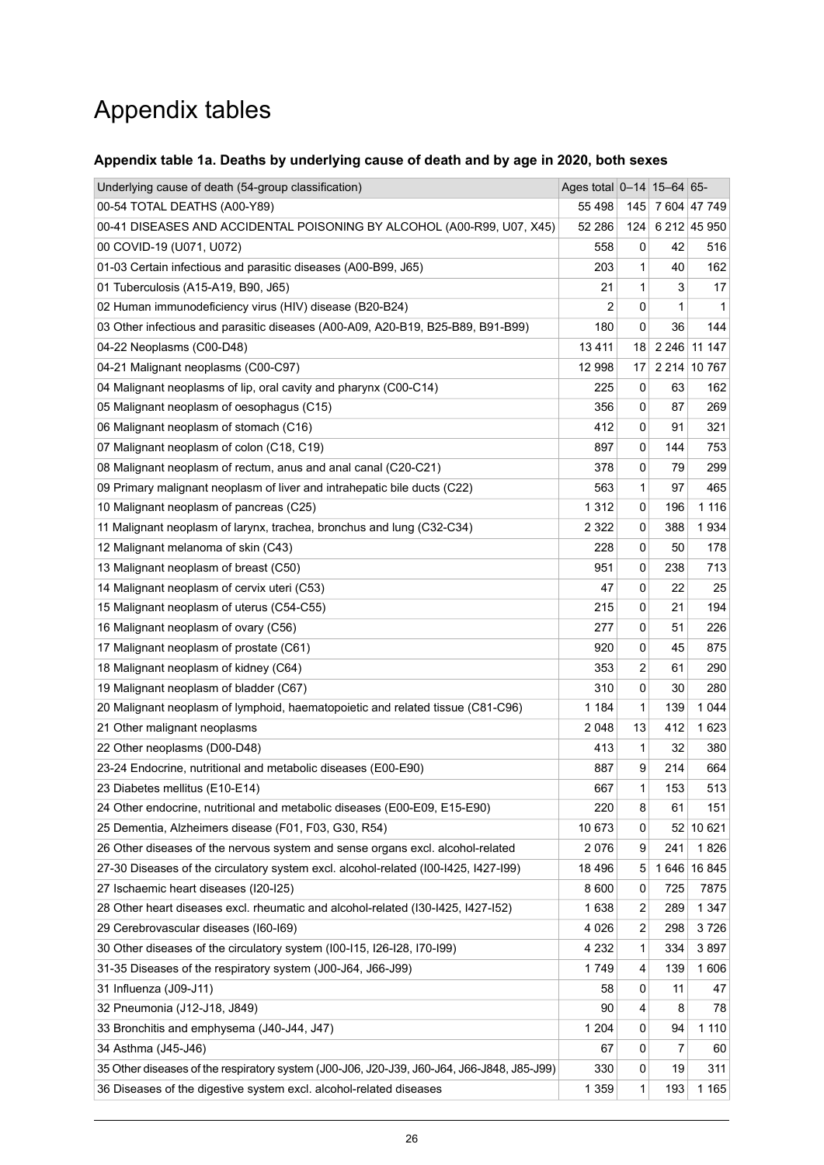## Appendix tables

### <span id="page-25-0"></span>**Appendix table 1a. Deaths by underlying cause of death and by age in 2020, both sexes**

| Underlying cause of death (54-group classification)                                        | Ages total 0-14 15-64 65- |             |     |                  |
|--------------------------------------------------------------------------------------------|---------------------------|-------------|-----|------------------|
| 00-54 TOTAL DEATHS (A00-Y89)                                                               | 55 4 98                   |             |     | 145 7 604 47 749 |
| 00-41 DISEASES AND ACCIDENTAL POISONING BY ALCOHOL (A00-R99, U07, X45)                     | 52 286                    | 124         |     | 6 212 45 950     |
| 00 COVID-19 (U071, U072)                                                                   | 558                       | 0           | 42  | 516              |
| 01-03 Certain infectious and parasitic diseases (A00-B99, J65)                             | 203                       | 1           | 40  | 162              |
| 01 Tuberculosis (A15-A19, B90, J65)                                                        | 21                        | 1           | 3   | 17               |
| 02 Human immunodeficiency virus (HIV) disease (B20-B24)                                    | $\overline{2}$            | 0           | 1   | 1                |
| 03 Other infectious and parasitic diseases (A00-A09, A20-B19, B25-B89, B91-B99)            | 180                       | 0           | 36  | 144              |
| 04-22 Neoplasms (C00-D48)                                                                  | 13411                     | 18          |     | 2 246 11 147     |
| 04-21 Malignant neoplasms (C00-C97)                                                        | 12 998                    | 17          |     | 2 2 14 10 767    |
| 04 Malignant neoplasms of lip, oral cavity and pharynx (C00-C14)                           | 225                       | 0           | 63  | 162              |
| 05 Malignant neoplasm of oesophagus (C15)                                                  | 356                       | 0           | 87  | 269              |
| 06 Malignant neoplasm of stomach (C16)                                                     | 412                       | 0           | 91  | 321              |
| 07 Malignant neoplasm of colon (C18, C19)                                                  | 897                       | 0           | 144 | 753              |
| 08 Malignant neoplasm of rectum, anus and anal canal (C20-C21)                             | 378                       | 0           | 79  | 299              |
| 09 Primary malignant neoplasm of liver and intrahepatic bile ducts (C22)                   | 563                       | 1           | 97  | 465              |
| 10 Malignant neoplasm of pancreas (C25)                                                    | 1 3 1 2                   | 0           | 196 | 1 1 1 6          |
| 11 Malignant neoplasm of larynx, trachea, bronchus and lung (C32-C34)                      | 2 3 2 2                   | $\pmb{0}$   | 388 | 1934             |
| 12 Malignant melanoma of skin (C43)                                                        | 228                       | 0           | 50  | 178              |
| 13 Malignant neoplasm of breast (C50)                                                      | 951                       | 0           | 238 | 713              |
| 14 Malignant neoplasm of cervix uteri (C53)                                                | 47                        | 0           | 22  | 25               |
| 15 Malignant neoplasm of uterus (C54-C55)                                                  | 215                       | 0           | 21  | 194              |
| 16 Malignant neoplasm of ovary (C56)                                                       | 277                       | 0           | 51  | 226              |
| 17 Malignant neoplasm of prostate (C61)                                                    | 920                       | $\mathbf 0$ | 45  | 875              |
| 18 Malignant neoplasm of kidney (C64)                                                      | 353                       | 2           | 61  | 290              |
| 19 Malignant neoplasm of bladder (C67)                                                     | 310                       | 0           | 30  | 280              |
| 20 Malignant neoplasm of lymphoid, haematopoietic and related tissue (C81-C96)             | 1 1 8 4                   | 1           | 139 | 1 0 4 4          |
| 21 Other malignant neoplasms                                                               | 2048                      | 13          | 412 | 1623             |
| 22 Other neoplasms (D00-D48)                                                               | 413                       | 1           | 32  | 380              |
| 23-24 Endocrine, nutritional and metabolic diseases (E00-E90)                              | 887                       | 9           | 214 | 664              |
| 23 Diabetes mellitus (E10-E14)                                                             | 667                       | 1           | 153 | 513              |
| 24 Other endocrine, nutritional and metabolic diseases (E00-E09, E15-E90)                  | 220                       | 8           | 61  | 151              |
| 25 Dementia, Alzheimers disease (F01, F03, G30, R54)                                       | 10 673                    | 0           |     | 52 10 621        |
| 26 Other diseases of the nervous system and sense organs excl. alcohol-related             | 2076                      | 9           | 241 | 1826             |
| 27-30 Diseases of the circulatory system excl. alcohol-related (I00-I425, I427-I99)        | 18 4 96                   | 5           |     | 1646 16845       |
| 27 Ischaemic heart diseases (I20-I25)                                                      | 8 6 0 0                   | 0           | 725 | 7875             |
| 28 Other heart diseases excl. rheumatic and alcohol-related (I30-I425, I427-I52)           | 1638                      | 2           | 289 | 1 3 4 7          |
| 29 Cerebrovascular diseases (I60-I69)                                                      | 4 0 2 6                   | 2           | 298 | 3726             |
| 30 Other diseases of the circulatory system (I00-I15, I26-I28, I70-I99)                    | 4 2 3 2                   | 1           | 334 | 3897             |
| 31-35 Diseases of the respiratory system (J00-J64, J66-J99)                                | 1749                      | 4           | 139 | 1606             |
| 31 Influenza (J09-J11)                                                                     | 58                        | 0           | 11  | 47               |
| 32 Pneumonia (J12-J18, J849)                                                               | 90                        | 4           | 8   | 78               |
| 33 Bronchitis and emphysema (J40-J44, J47)                                                 | 1 2 0 4                   | 0           | 94  | 1 1 1 0          |
| 34 Asthma (J45-J46)                                                                        | 67                        | 0           | 7   | 60               |
| 35 Other diseases of the respiratory system (J00-J06, J20-J39, J60-J64, J66-J848, J85-J99) | 330                       | 0           | 19  | 311              |
| 36 Diseases of the digestive system excl. alcohol-related diseases                         | 1 3 5 9                   | 1           | 193 | 1 1 6 5          |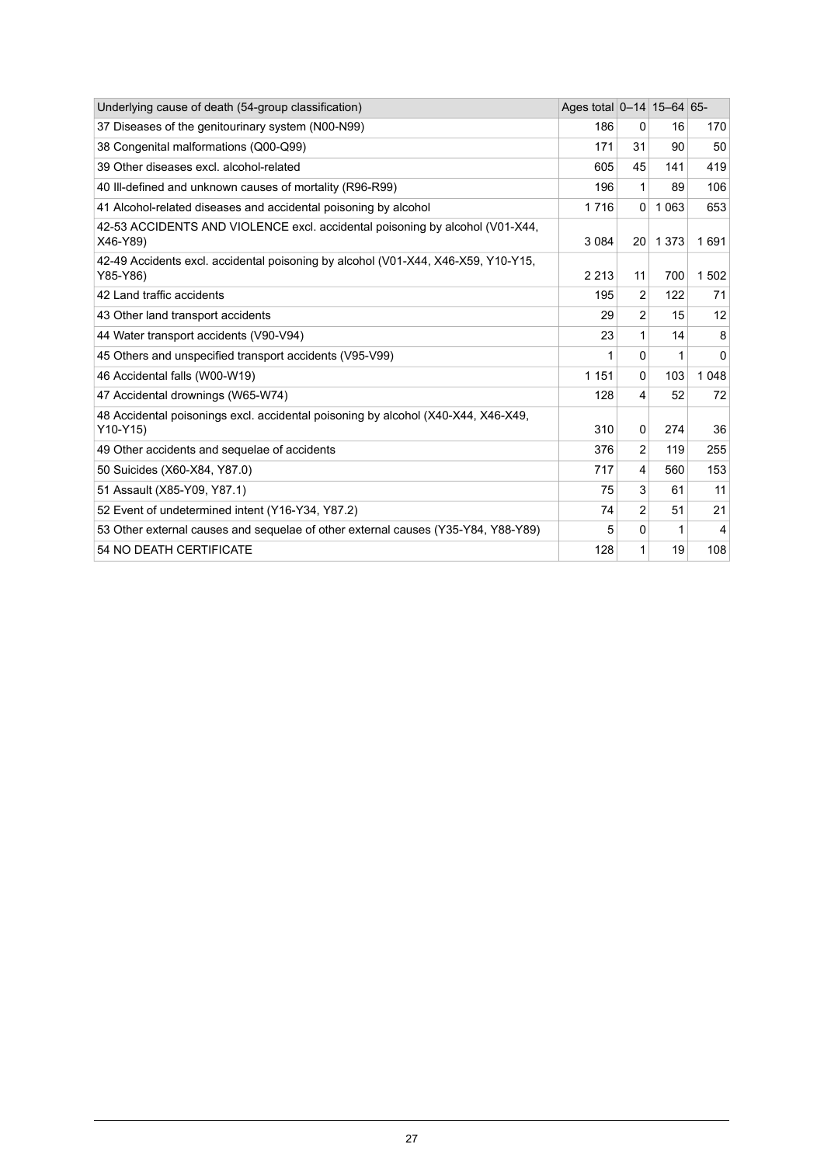| Underlying cause of death (54-group classification)                                            | Ages total 0-14 15-64 65- |                 |         |                 |
|------------------------------------------------------------------------------------------------|---------------------------|-----------------|---------|-----------------|
| 37 Diseases of the genitourinary system (N00-N99)                                              | 186                       | 0               | 16      | 170             |
| 38 Congenital malformations (Q00-Q99)                                                          | 171                       | 31              | 90      | 50              |
| 39 Other diseases excl. alcohol-related                                                        | 605                       | 45              | 141     | 419             |
| 40 III-defined and unknown causes of mortality (R96-R99)                                       | 196                       | 1               | 89      | 106             |
| 41 Alcohol-related diseases and accidental poisoning by alcohol                                | 1716                      | $\Omega$        | 1 0 6 3 | 653             |
| 42-53 ACCIDENTS AND VIOLENCE excl. accidental poisoning by alcohol (V01-X44,<br>X46-Y89)       | 3 0 8 4                   | 20 <sub>1</sub> | 1 3 7 3 | 1691            |
| 42-49 Accidents excl. accidental poisoning by alcohol (V01-X44, X46-X59, Y10-Y15,<br>Y85-Y86)  | 2 2 1 3                   | 11              | 700     | 1502            |
| 42 Land traffic accidents                                                                      | 195                       | $\overline{2}$  | 122     | 71              |
| 43 Other land transport accidents                                                              | 29                        | 2               | 15      | 12 <sup>2</sup> |
| 44 Water transport accidents (V90-V94)                                                         | 23                        | 1               | 14      | 8               |
| 45 Others and unspecified transport accidents (V95-V99)                                        | 1                         | 0               | 1       | $\Omega$        |
| 46 Accidental falls (W00-W19)                                                                  | 1 1 5 1                   | $\Omega$        | 103     | 1 0 4 8         |
| 47 Accidental drownings (W65-W74)                                                              | 128                       | 4               | 52      | 72              |
| 48 Accidental poisonings excl. accidental poisoning by alcohol (X40-X44, X46-X49,<br>$Y10-Y15$ | 310                       | $\Omega$        | 274     | 36              |
| 49 Other accidents and sequelae of accidents                                                   | 376                       | $\overline{2}$  | 119     | 255             |
| 50 Suicides (X60-X84, Y87.0)                                                                   | 717                       | 4               | 560     | 153             |
| 51 Assault (X85-Y09, Y87.1)                                                                    | 75                        | 3               | 61      | 11              |
| 52 Event of undetermined intent (Y16-Y34, Y87.2)                                               | 74                        | $\overline{2}$  | 51      | 21              |
| 53 Other external causes and sequelae of other external causes (Y35-Y84, Y88-Y89)              | 5                         | 0               | 1       | $\overline{4}$  |
| 54 NO DEATH CERTIFICATE                                                                        | 128                       | 1               | 19      | 108             |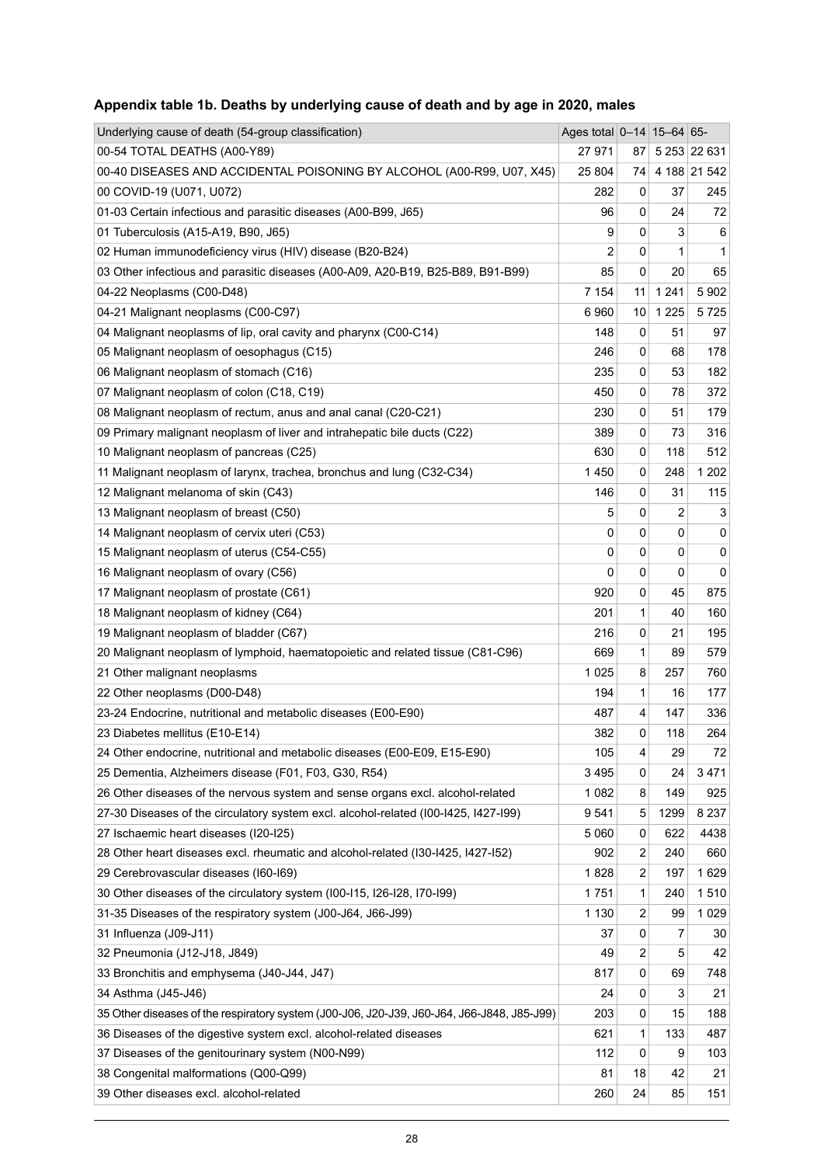| Underlying cause of death (54-group classification)                                        | Ages total 0-14 15-64 65- |     |         |              |
|--------------------------------------------------------------------------------------------|---------------------------|-----|---------|--------------|
| 00-54 TOTAL DEATHS (A00-Y89)                                                               | 27 971                    | 87. |         | 5 253 22 631 |
| 00-40 DISEASES AND ACCIDENTAL POISONING BY ALCOHOL (A00-R99, U07, X45)                     | 25 804                    | 74  |         | 4 188 21 542 |
| 00 COVID-19 (U071, U072)                                                                   | 282                       | 0   | 37      | 245          |
| 01-03 Certain infectious and parasitic diseases (A00-B99, J65)                             | 96                        | 0   | 24      | 72           |
| 01 Tuberculosis (A15-A19, B90, J65)                                                        | 9                         | 0   | 3       | 6            |
| 02 Human immunodeficiency virus (HIV) disease (B20-B24)                                    | 2                         | 0   | 1       | $\mathbf{1}$ |
| 03 Other infectious and parasitic diseases (A00-A09, A20-B19, B25-B89, B91-B99)            | 85                        | 0   | 20      | 65           |
| 04-22 Neoplasms (C00-D48)                                                                  | 7 1 5 4                   | 11  | 1 2 4 1 | 5902         |
| 04-21 Malignant neoplasms (C00-C97)                                                        | 6960                      | 10  | 1 2 2 5 | 5725         |
| 04 Malignant neoplasms of lip, oral cavity and pharynx (C00-C14)                           | 148                       | 0   | 51      | 97           |
| 05 Malignant neoplasm of oesophagus (C15)                                                  | 246                       | 0   | 68      | 178          |
| 06 Malignant neoplasm of stomach (C16)                                                     | 235                       | 0   | 53      | 182          |
| 07 Malignant neoplasm of colon (C18, C19)                                                  | 450                       | 0   | 78      | 372          |
| 08 Malignant neoplasm of rectum, anus and anal canal (C20-C21)                             | 230                       | 0   | 51      | 179          |
| 09 Primary malignant neoplasm of liver and intrahepatic bile ducts (C22)                   | 389                       | 0   | 73      | 316          |
| 10 Malignant neoplasm of pancreas (C25)                                                    | 630                       | 0   | 118     | 512          |
| 11 Malignant neoplasm of larynx, trachea, bronchus and lung (C32-C34)                      | 1450                      | 0   | 248     | 1 2 0 2      |
| 12 Malignant melanoma of skin (C43)                                                        | 146                       | 0   | 31      | 115          |
| 13 Malignant neoplasm of breast (C50)                                                      | 5                         | 0   | 2       | 3            |
| 14 Malignant neoplasm of cervix uteri (C53)                                                | 0                         | 0   | 0       | 0            |
| 15 Malignant neoplasm of uterus (C54-C55)                                                  | 0                         | 0   | 0       | 0            |
| 16 Malignant neoplasm of ovary (C56)                                                       | 0                         | 0   | 0       | 0            |
| 17 Malignant neoplasm of prostate (C61)                                                    | 920                       | 0   | 45      | 875          |
| 18 Malignant neoplasm of kidney (C64)                                                      | 201                       | 1   | 40      | 160          |
| 19 Malignant neoplasm of bladder (C67)                                                     | 216                       | 0   | 21      | 195          |
| 20 Malignant neoplasm of lymphoid, haematopoietic and related tissue (C81-C96)             | 669                       | 1   | 89      | 579          |
| 21 Other malignant neoplasms                                                               | 1025                      | 8   | 257     | 760          |
| 22 Other neoplasms (D00-D48)                                                               | 194                       | 1   | 16      | 177          |
| 23-24 Endocrine, nutritional and metabolic diseases (E00-E90)                              | 487                       | 4   | 147     | 336          |
| 23 Diabetes mellitus (E10-E14)                                                             | 382                       | 0   | 118     | 264          |
| 24 Other endocrine, nutritional and metabolic diseases (E00-E09, E15-E90)                  | 105                       | 4   | 29      | 72           |
| 25 Dementia, Alzheimers disease (F01, F03, G30, R54)                                       | 3495                      | 0   | 24      | 3471         |
| 26 Other diseases of the nervous system and sense organs excl. alcohol-related             | 1 0 8 2                   | 8   | 149     | 925          |
| 27-30 Diseases of the circulatory system excl. alcohol-related (I00-I425, I427-I99)        | 9541                      | 5   | 1299    | 8 2 3 7      |
| 27 Ischaemic heart diseases (I20-I25)                                                      | 5 0 6 0                   | 0   | 622     | 4438         |
| 28 Other heart diseases excl. rheumatic and alcohol-related (I30-I425, I427-I52)           | 902                       | 2   | 240     | 660          |
| 29 Cerebrovascular diseases (I60-I69)                                                      | 1828                      | 2   | 197     | 1629         |
| 30 Other diseases of the circulatory system (I00-I15, I26-I28, I70-I99)                    | 1751                      | 1   | 240     | 1510         |
| 31-35 Diseases of the respiratory system (J00-J64, J66-J99)                                | 1 1 3 0                   | 2   | 99      | 1 0 2 9      |
| 31 Influenza (J09-J11)                                                                     | 37                        | 0   | 7       | 30           |
| 32 Pneumonia (J12-J18, J849)                                                               | 49                        | 2   | 5       | 42           |
| 33 Bronchitis and emphysema (J40-J44, J47)                                                 | 817                       | 0   | 69      | 748          |
| 34 Asthma (J45-J46)                                                                        | 24                        | 0   | 3       | 21           |
| 35 Other diseases of the respiratory system (J00-J06, J20-J39, J60-J64, J66-J848, J85-J99) | 203                       | 0   | 15      | 188          |
| 36 Diseases of the digestive system excl. alcohol-related diseases                         | 621                       | 1   | 133     | 487          |
| 37 Diseases of the genitourinary system (N00-N99)                                          | 112                       | 0   | 9       | 103          |
| 38 Congenital malformations (Q00-Q99)                                                      | 81                        | 18  | 42      | 21           |
| 39 Other diseases excl. alcohol-related                                                    | 260                       | 24  | 85      | 151          |

## <span id="page-27-0"></span>**Appendix table 1b. Deaths by underlying cause of death and by age in 2020, males**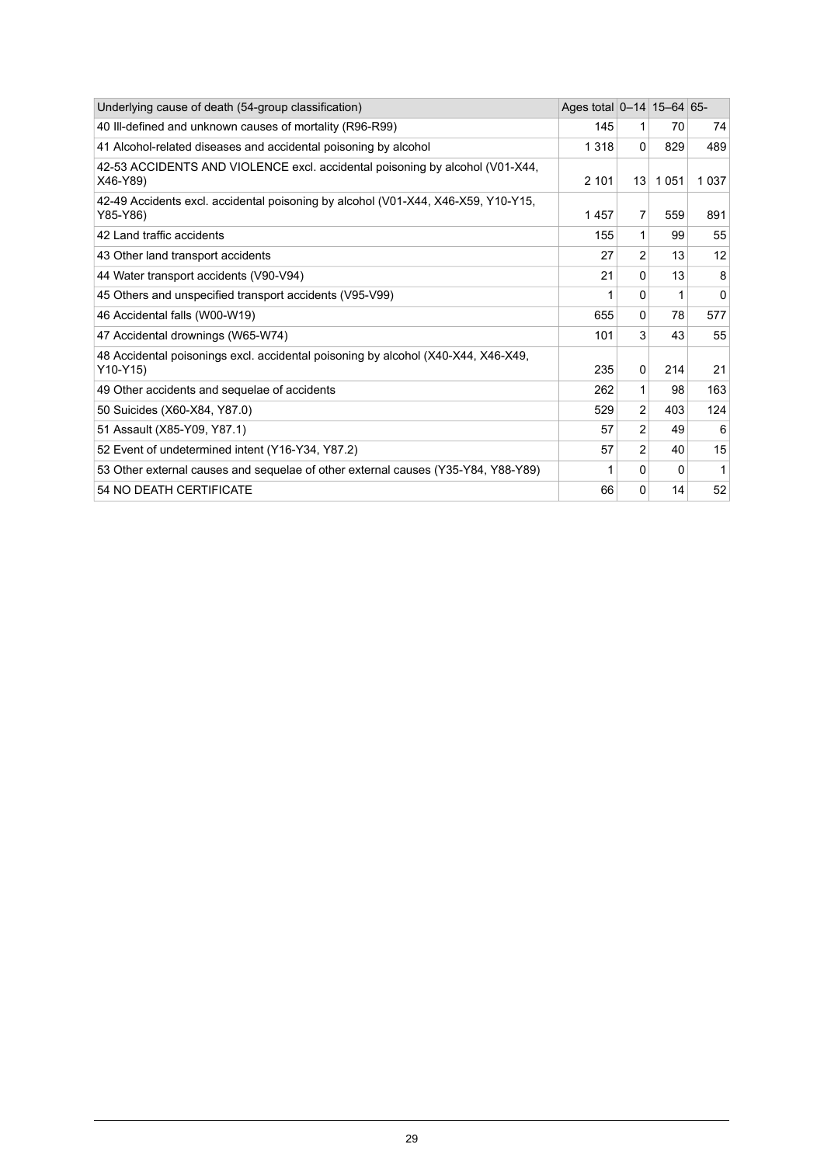| Underlying cause of death (54-group classification)                                           | Ages total $ 0-14 15-64 65-$ |                |              |              |
|-----------------------------------------------------------------------------------------------|------------------------------|----------------|--------------|--------------|
| 40 III-defined and unknown causes of mortality (R96-R99)                                      | 145                          | 1              | 70           | 74           |
| 41 Alcohol-related diseases and accidental poisoning by alcohol                               | 1318                         | $\Omega$       | 829          | 489          |
| 42-53 ACCIDENTS AND VIOLENCE excl. accidental poisoning by alcohol (V01-X44,<br>X46-Y89)      | 2 1 0 1                      | 13             | 1051         | 1037         |
| 42-49 Accidents excl. accidental poisoning by alcohol (V01-X44, X46-X59, Y10-Y15,<br>Y85-Y86) | 1457                         | 7              | 559          | 891          |
| 42 Land traffic accidents                                                                     | 155                          | 1              | 99           | 55           |
| 43 Other land transport accidents                                                             | 27                           | $\overline{2}$ | 13           | 12           |
| 44 Water transport accidents (V90-V94)                                                        | 21                           | 0              | 13           | 8            |
| 45 Others and unspecified transport accidents (V95-V99)                                       | 1                            | 0              | 1            | 0            |
| 46 Accidental falls (W00-W19)                                                                 | 655                          | 0              | 78           | 577          |
| 47 Accidental drownings (W65-W74)                                                             | 101                          | 3              | 43           | 55           |
| 48 Accidental poisonings excl. accidental poisoning by alcohol (X40-X44, X46-X49,<br>Y10-Y15) | 235                          | $\mathbf{0}$   | 214          | 21           |
| 49 Other accidents and sequelae of accidents                                                  | 262                          | 1              | 98           | 163          |
| 50 Suicides (X60-X84, Y87.0)                                                                  | 529                          | 2              | 403          | 124          |
| 51 Assault (X85-Y09, Y87.1)                                                                   | 57                           | $\overline{2}$ | 49           | 6            |
| 52 Event of undetermined intent (Y16-Y34, Y87.2)                                              | 57                           | $\overline{2}$ | 40           | 15           |
| 53 Other external causes and sequelae of other external causes (Y35-Y84, Y88-Y89)             |                              | 0              | <sup>0</sup> | $\mathbf{1}$ |
| 54 NO DEATH CERTIFICATE                                                                       | 66                           | 0              | 14           | 52           |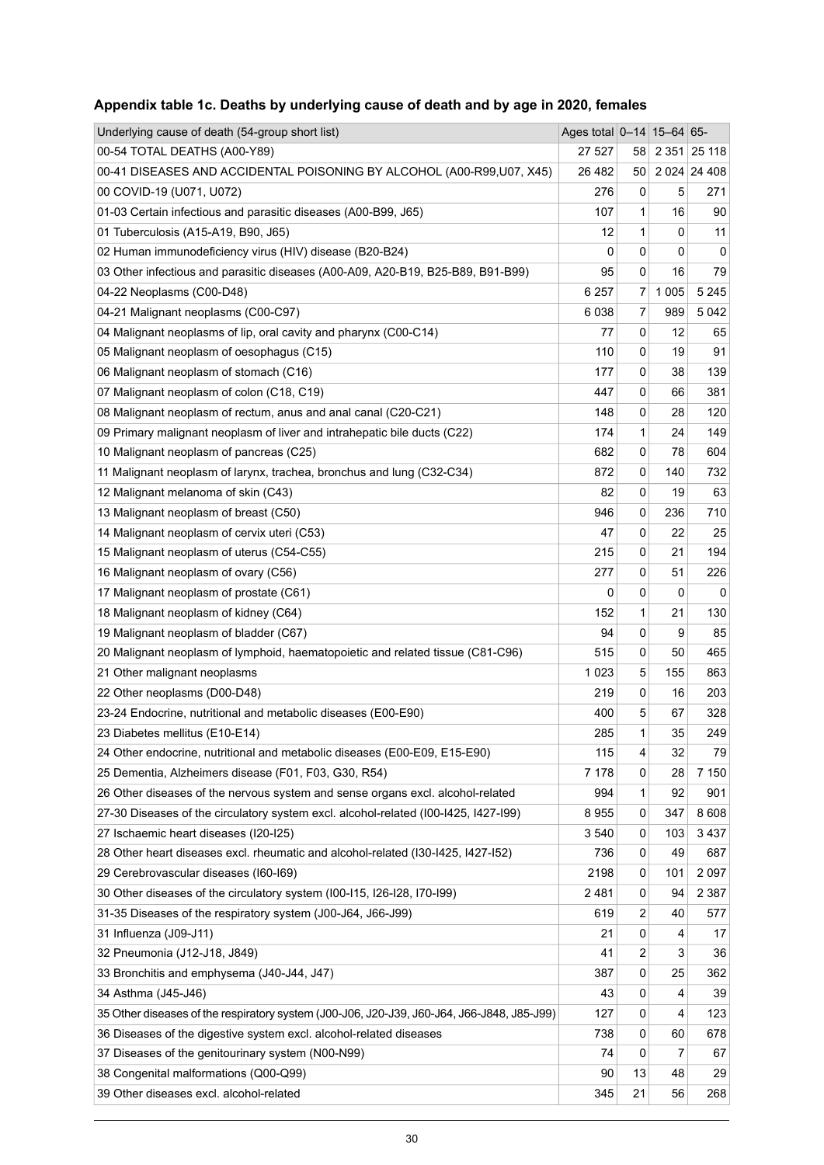| Underlying cause of death (54-group short list)                                            | Ages total 0-14 15-64 65- |    |         |                |
|--------------------------------------------------------------------------------------------|---------------------------|----|---------|----------------|
| 00-54 TOTAL DEATHS (A00-Y89)                                                               | 27 527                    | 58 |         | 2 351 25 118   |
| 00-41 DISEASES AND ACCIDENTAL POISONING BY ALCOHOL (A00-R99,U07, X45)                      | 26 4 8 2                  | 50 |         | 2 0 24 24 4 08 |
| 00 COVID-19 (U071, U072)                                                                   | 276                       | 0  | 5       | 271            |
| 01-03 Certain infectious and parasitic diseases (A00-B99, J65)                             | 107                       | 1  | 16      | 90             |
| 01 Tuberculosis (A15-A19, B90, J65)                                                        | 12                        | 1  | 0       | 11             |
| 02 Human immunodeficiency virus (HIV) disease (B20-B24)                                    | 0                         | 0  | 0       | 0              |
| 03 Other infectious and parasitic diseases (A00-A09, A20-B19, B25-B89, B91-B99)            | 95                        | 0  | 16      | 79             |
| 04-22 Neoplasms (C00-D48)                                                                  | 6 2 5 7                   | 7  | 1 0 0 5 | 5 2 4 5        |
| 04-21 Malignant neoplasms (C00-C97)                                                        | 6038                      | 7  | 989     | 5 0 4 2        |
| 04 Malignant neoplasms of lip, oral cavity and pharynx (C00-C14)                           | 77                        | 0  | 12      | 65             |
| 05 Malignant neoplasm of oesophagus (C15)                                                  | 110                       | 0  | 19      | 91             |
| 06 Malignant neoplasm of stomach (C16)                                                     | 177                       | 0  | 38      | 139            |
| 07 Malignant neoplasm of colon (C18, C19)                                                  | 447                       | 0  | 66      | 381            |
| 08 Malignant neoplasm of rectum, anus and anal canal (C20-C21)                             | 148                       | 0  | 28      | 120            |
| 09 Primary malignant neoplasm of liver and intrahepatic bile ducts (C22)                   | 174                       | 1  | 24      | 149            |
| 10 Malignant neoplasm of pancreas (C25)                                                    | 682                       | 0  | 78      | 604            |
| 11 Malignant neoplasm of larynx, trachea, bronchus and lung (C32-C34)                      | 872                       | 0  | 140     | 732            |
| 12 Malignant melanoma of skin (C43)                                                        | 82                        | 0  | 19      | 63             |
| 13 Malignant neoplasm of breast (C50)                                                      | 946                       | 0  | 236     | 710            |
| 14 Malignant neoplasm of cervix uteri (C53)                                                | 47                        | 0  | 22      | 25             |
| 15 Malignant neoplasm of uterus (C54-C55)                                                  | 215                       | 0  | 21      | 194            |
| 16 Malignant neoplasm of ovary (C56)                                                       | 277                       | 0  | 51      | 226            |
| 17 Malignant neoplasm of prostate (C61)                                                    | 0                         | 0  | 0       | 0              |
| 18 Malignant neoplasm of kidney (C64)                                                      | 152                       | 1  | 21      | 130            |
| 19 Malignant neoplasm of bladder (C67)                                                     | 94                        | 0  | 9       | 85             |
| 20 Malignant neoplasm of lymphoid, haematopoietic and related tissue (C81-C96)             | 515                       | 0  | 50      | 465            |
| 21 Other malignant neoplasms                                                               | 1023                      | 5  | 155     | 863            |
| 22 Other neoplasms (D00-D48)                                                               | 219                       | 0  | 16      | 203            |
| 23-24 Endocrine, nutritional and metabolic diseases (E00-E90)                              | 400                       | 5  | 67      | 328            |
| 23 Diabetes mellitus (E10-E14)                                                             | 285                       | 1  | 35      | 249            |
| 24 Other endocrine, nutritional and metabolic diseases (E00-E09, E15-E90)                  | 115                       | 4  | 32      | 79             |
| 25 Dementia, Alzheimers disease (F01, F03, G30, R54)                                       | 7 178                     | 0  | 28      | 7 150          |
| 26 Other diseases of the nervous system and sense organs excl. alcohol-related             | 994                       | 1  | 92      | 901            |
| 27-30 Diseases of the circulatory system excl. alcohol-related (I00-I425, I427-I99)        | 8955                      | 0  | 347     | 8608           |
| 27 Ischaemic heart diseases (I20-I25)                                                      | 3540                      | 0  | 103     | 3437           |
| 28 Other heart diseases excl. rheumatic and alcohol-related (I30-I425, I427-I52)           | 736                       | 0  | 49      | 687            |
| 29 Cerebrovascular diseases (160-169)                                                      | 2198                      | 0  | 101     | 2 0 9 7        |
| 30 Other diseases of the circulatory system (I00-I15, I26-I28, I70-I99)                    | 2481                      | 0  | 94      | 2 3 8 7        |
| 31-35 Diseases of the respiratory system (J00-J64, J66-J99)                                | 619                       | 2  | 40      | 577            |
| 31 Influenza (J09-J11)                                                                     | 21                        | 0  | 4       | 17             |
| 32 Pneumonia (J12-J18, J849)                                                               | 41                        | 2  | 3       | 36             |
| 33 Bronchitis and emphysema (J40-J44, J47)                                                 | 387                       | 0  | 25      | 362            |
| 34 Asthma (J45-J46)                                                                        | 43                        | 0  | 4       | 39             |
| 35 Other diseases of the respiratory system (J00-J06, J20-J39, J60-J64, J66-J848, J85-J99) | 127                       | 0  | 4       | 123            |
| 36 Diseases of the digestive system excl. alcohol-related diseases                         | 738                       | 0  | 60      | 678            |
| 37 Diseases of the genitourinary system (N00-N99)                                          | 74                        | 0  | 7       | 67             |
| 38 Congenital malformations (Q00-Q99)                                                      | 90                        | 13 | 48      | 29             |
| 39 Other diseases excl. alcohol-related                                                    | 345                       | 21 | 56      | 268            |

## <span id="page-29-0"></span>**Appendix table 1c. Deaths by underlying cause of death and by age in 2020, females**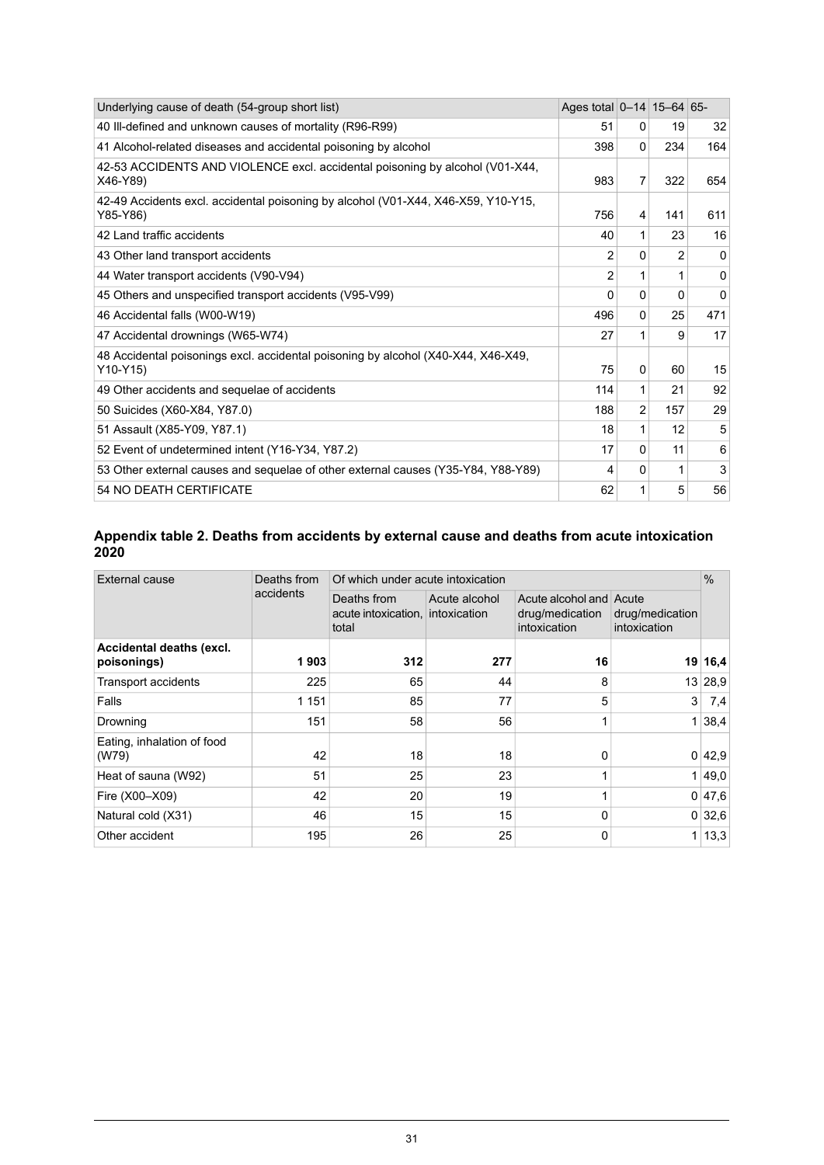| Underlying cause of death (54-group short list)                                               | Ages total 0-14 15-64 65- |                |                |          |
|-----------------------------------------------------------------------------------------------|---------------------------|----------------|----------------|----------|
| 40 III-defined and unknown causes of mortality (R96-R99)                                      | 51                        | 0              | 19             | 32       |
| 41 Alcohol-related diseases and accidental poisoning by alcohol                               | 398                       | $\Omega$       | 234            | 164      |
| 42-53 ACCIDENTS AND VIOLENCE excl. accidental poisoning by alcohol (V01-X44,<br>X46-Y89)      | 983                       | $\overline{7}$ | 322            | 654      |
| 42-49 Accidents excl. accidental poisoning by alcohol (V01-X44, X46-X59, Y10-Y15,<br>Y85-Y86) | 756                       | 4              | 141            | 611      |
| 42 Land traffic accidents                                                                     | 40                        | 1              | 23             | 16       |
| 43 Other land transport accidents                                                             | $\overline{2}$            | 0              | $\overline{2}$ | $\Omega$ |
| 44 Water transport accidents (V90-V94)                                                        | 2                         | 1              |                | 0        |
| 45 Others and unspecified transport accidents (V95-V99)                                       | 0                         | $\Omega$       | <sup>0</sup>   | 0        |
| 46 Accidental falls (W00-W19)                                                                 | 496                       | 0              | 25             | 471      |
| 47 Accidental drownings (W65-W74)                                                             | 27                        | 1              | 9              | 17       |
| 48 Accidental poisonings excl. accidental poisoning by alcohol (X40-X44, X46-X49,<br>Y10-Y15) | 75                        | $\mathbf{0}$   | 60             | 15       |
| 49 Other accidents and sequelae of accidents                                                  | 114                       | 1              | 21             | 92       |
| 50 Suicides (X60-X84, Y87.0)                                                                  | 188                       | 2              | 157            | 29       |
| 51 Assault (X85-Y09, Y87.1)                                                                   | 18                        | 1              | 12             | 5        |
| 52 Event of undetermined intent (Y16-Y34, Y87.2)                                              | 17                        | 0              | 11             | 6        |
| 53 Other external causes and sequelae of other external causes (Y35-Y84, Y88-Y89)             | 4                         | $\Omega$       | 1              | 3        |
| 54 NO DEATH CERTIFICATE                                                                       | 62                        | 1              | 5              | 56       |

#### <span id="page-30-0"></span>**Appendix table 2. Deaths from accidents by external cause and deaths from acute intoxication 2020**

| <b>External cause</b>                   | Deaths from | Of which under acute intoxication                                         |     |                                                                                               |              |        |  |
|-----------------------------------------|-------------|---------------------------------------------------------------------------|-----|-----------------------------------------------------------------------------------------------|--------------|--------|--|
|                                         | accidents   | Deaths from<br>Acute alcohol<br>acute intoxication, intoxication<br>total |     | Acute alcohol and Acute<br>drug/medication<br>drug/medication<br>intoxication<br>intoxication |              |        |  |
| Accidental deaths (excl.<br>poisonings) | 1903        | 312                                                                       | 277 | 16                                                                                            | 19           | 16,4   |  |
| <b>Transport accidents</b>              | 225         | 65                                                                        | 44  | 8                                                                                             | 13           | 28,9   |  |
| Falls                                   | 1 1 5 1     | 85                                                                        | 77  | 5                                                                                             | 3            | 7,4    |  |
| Drowning                                | 151         | 58                                                                        | 56  | 1                                                                                             |              | 38,4   |  |
| Eating, inhalation of food<br>(W79)     | 42          | 18                                                                        | 18  | 0                                                                                             |              | 0 42,9 |  |
| Heat of sauna (W92)                     | 51          | 25                                                                        | 23  | 1                                                                                             |              | 1 49.0 |  |
| Fire (X00-X09)                          | 42          | 20                                                                        | 19  | 1                                                                                             |              | 0 47,6 |  |
| Natural cold (X31)                      | 46          | 15                                                                        | 15  | 0                                                                                             |              | 0 32,6 |  |
| Other accident                          | 195         | 26                                                                        | 25  | 0                                                                                             | $\mathbf{1}$ | 13,3   |  |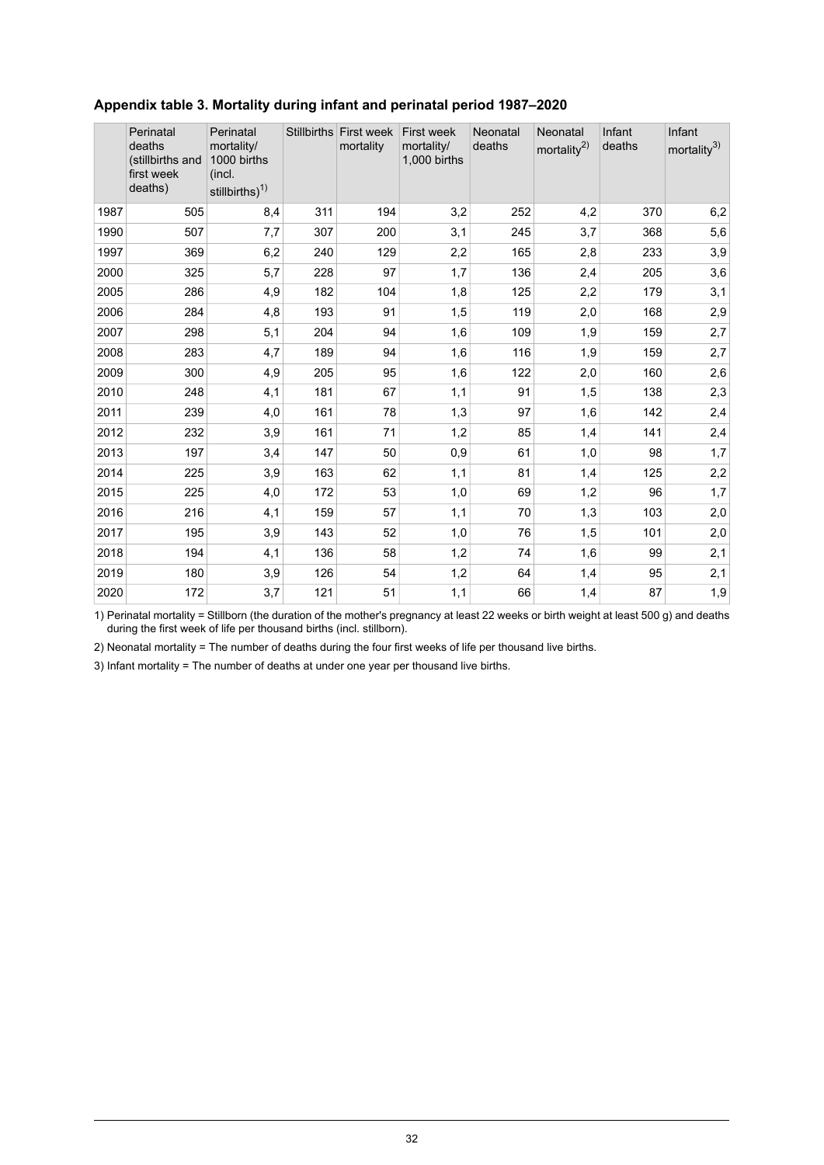|      | Perinatal<br>deaths<br>(stillbirths and<br>first week<br>deaths) | Perinatal<br>mortality/<br>1000 births<br>(incl.<br>stillbirths) <sup>1)</sup> |     | Stillbirths First week<br>mortality | <b>First week</b><br>mortality/<br>1,000 births | Neonatal<br>deaths | Neonatal<br>mortality <sup>2)</sup> | Infant<br>deaths | Infant<br>mortality <sup>3)</sup> |
|------|------------------------------------------------------------------|--------------------------------------------------------------------------------|-----|-------------------------------------|-------------------------------------------------|--------------------|-------------------------------------|------------------|-----------------------------------|
| 1987 | 505                                                              | 8,4                                                                            | 311 | 194                                 | 3,2                                             | 252                | 4,2                                 | 370              | 6,2                               |
| 1990 | 507                                                              | 7,7                                                                            | 307 | 200                                 | 3,1                                             | 245                | 3,7                                 | 368              | 5,6                               |
| 1997 | 369                                                              | 6,2                                                                            | 240 | 129                                 | 2,2                                             | 165                | 2,8                                 | 233              | 3,9                               |
| 2000 | 325                                                              | 5,7                                                                            | 228 | 97                                  | 1,7                                             | 136                | 2,4                                 | 205              | 3,6                               |
| 2005 | 286                                                              | 4,9                                                                            | 182 | 104                                 | 1,8                                             | 125                | 2,2                                 | 179              | 3,1                               |
| 2006 | 284                                                              | 4,8                                                                            | 193 | 91                                  | 1,5                                             | 119                | 2,0                                 | 168              | 2,9                               |
| 2007 | 298                                                              | 5,1                                                                            | 204 | 94                                  | 1,6                                             | 109                | 1,9                                 | 159              | 2,7                               |
| 2008 | 283                                                              | 4,7                                                                            | 189 | 94                                  | 1,6                                             | 116                | 1,9                                 | 159              | 2,7                               |
| 2009 | 300                                                              | 4,9                                                                            | 205 | 95                                  | 1,6                                             | 122                | 2,0                                 | 160              | 2,6                               |
| 2010 | 248                                                              | 4,1                                                                            | 181 | 67                                  | 1,1                                             | 91                 | 1,5                                 | 138              | 2,3                               |
| 2011 | 239                                                              | 4,0                                                                            | 161 | 78                                  | 1,3                                             | 97                 | 1,6                                 | 142              | 2,4                               |
| 2012 | 232                                                              | 3,9                                                                            | 161 | 71                                  | 1,2                                             | 85                 | 1,4                                 | 141              | 2,4                               |
| 2013 | 197                                                              | 3,4                                                                            | 147 | 50                                  | 0,9                                             | 61                 | 1,0                                 | 98               | 1,7                               |
| 2014 | 225                                                              | 3,9                                                                            | 163 | 62                                  | 1,1                                             | 81                 | 1,4                                 | 125              | 2,2                               |
| 2015 | 225                                                              | 4,0                                                                            | 172 | 53                                  | 1,0                                             | 69                 | 1,2                                 | 96               | 1,7                               |
| 2016 | 216                                                              | 4,1                                                                            | 159 | 57                                  | 1,1                                             | 70                 | 1,3                                 | 103              | 2,0                               |
| 2017 | 195                                                              | 3,9                                                                            | 143 | 52                                  | 1,0                                             | 76                 | 1,5                                 | 101              | 2,0                               |
| 2018 | 194                                                              | 4,1                                                                            | 136 | 58                                  | 1,2                                             | 74                 | 1,6                                 | 99               | 2,1                               |
| 2019 | 180                                                              | 3,9                                                                            | 126 | 54                                  | 1,2                                             | 64                 | 1,4                                 | 95               | 2,1                               |
| 2020 | 172                                                              | 3,7                                                                            | 121 | 51                                  | 1,1                                             | 66                 | 1,4                                 | 87               | 1,9                               |

#### <span id="page-31-0"></span>**Appendix table 3. Mortality during infant and perinatal period 1987–2020**

1) Perinatal mortality = Stillborn (the duration of the mother's pregnancy at least 22 weeks or birth weight at least 500 g) and deaths during the first week of life per thousand births (incl. stillborn).

2) Neonatal mortality = The number of deaths during the four first weeks of life per thousand live births.

3) Infant mortality = The number of deaths at under one year per thousand live births.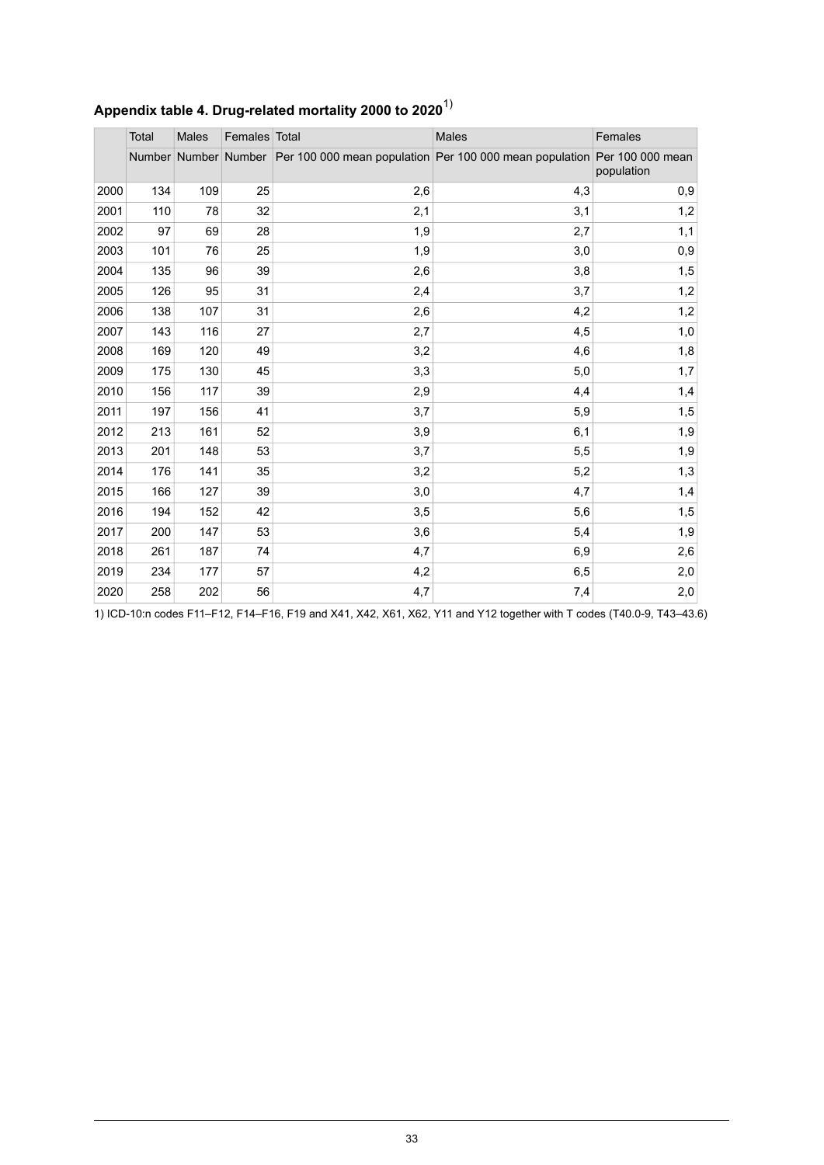|      | Total | Males | Females Total |     | <b>Males</b>                                                                                  | Females    |
|------|-------|-------|---------------|-----|-----------------------------------------------------------------------------------------------|------------|
|      |       |       |               |     | Number Number Number Per 100 000 mean population Per 100 000 mean population Per 100 000 mean | population |
| 2000 | 134   | 109   | 25            | 2,6 | 4,3                                                                                           | 0,9        |
| 2001 | 110   | 78    | 32            | 2,1 | 3,1                                                                                           | 1,2        |
| 2002 | 97    | 69    | 28            | 1,9 | 2,7                                                                                           | 1,1        |
| 2003 | 101   | 76    | 25            | 1,9 | 3,0                                                                                           | 0,9        |
| 2004 | 135   | 96    | 39            | 2,6 | 3,8                                                                                           | 1,5        |
| 2005 | 126   | 95    | 31            | 2,4 | 3,7                                                                                           | 1,2        |
| 2006 | 138   | 107   | 31            | 2,6 | 4,2                                                                                           | 1,2        |
| 2007 | 143   | 116   | 27            | 2,7 | 4,5                                                                                           | 1,0        |
| 2008 | 169   | 120   | 49            | 3,2 | 4,6                                                                                           | 1,8        |
| 2009 | 175   | 130   | 45            | 3,3 | 5,0                                                                                           | 1,7        |
| 2010 | 156   | 117   | 39            | 2,9 | 4,4                                                                                           | 1,4        |
| 2011 | 197   | 156   | 41            | 3,7 | 5,9                                                                                           | 1,5        |
| 2012 | 213   | 161   | 52            | 3,9 | 6,1                                                                                           | 1,9        |
| 2013 | 201   | 148   | 53            | 3,7 | 5,5                                                                                           | 1,9        |
| 2014 | 176   | 141   | 35            | 3,2 | 5,2                                                                                           | 1,3        |
| 2015 | 166   | 127   | 39            | 3,0 | 4,7                                                                                           | 1,4        |
| 2016 | 194   | 152   | 42            | 3,5 | 5,6                                                                                           | 1,5        |
| 2017 | 200   | 147   | 53            | 3,6 | 5,4                                                                                           | 1,9        |
| 2018 | 261   | 187   | 74            | 4,7 | 6,9                                                                                           | 2,6        |
| 2019 | 234   | 177   | 57            | 4,2 | 6,5                                                                                           | 2,0        |
| 2020 | 258   | 202   | 56            | 4,7 | 7,4                                                                                           | 2,0        |

## <span id="page-32-0"></span>**Appendix table 4. Drug-related mortality 2000 to 2020**1)

1) ICD-10:n codes F11–F12, F14–F16, F19 and X41, X42, X61, X62, Y11 and Y12 together with T codes (T40.0-9, T43–43.6)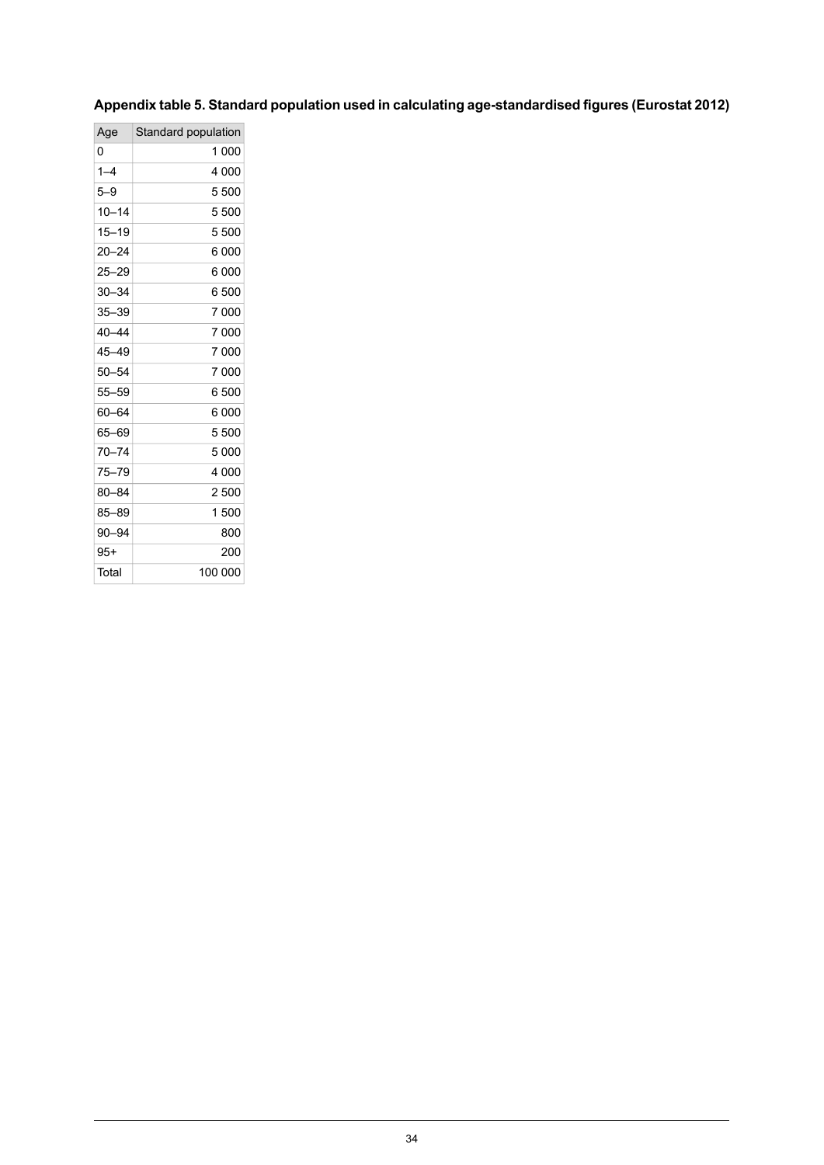## <span id="page-33-0"></span>**Appendixtable5. Standard population used in calculating age-standardised figures(Eurostat2012)**

| Standard population |
|---------------------|
| 1 000               |
| 4 000               |
| 5 500               |
| 5 500               |
| 5 500               |
| 6 000               |
| 6 000               |
| 6 500               |
| 7 000               |
| 7 000               |
| 7 000               |
| 7 000               |
| 6 500               |
| 6 000               |
| 5 500               |
| 5 000               |
| 4 000               |
| 2 500               |
| 1 500               |
| 800                 |
| 200                 |
| 100 000             |
|                     |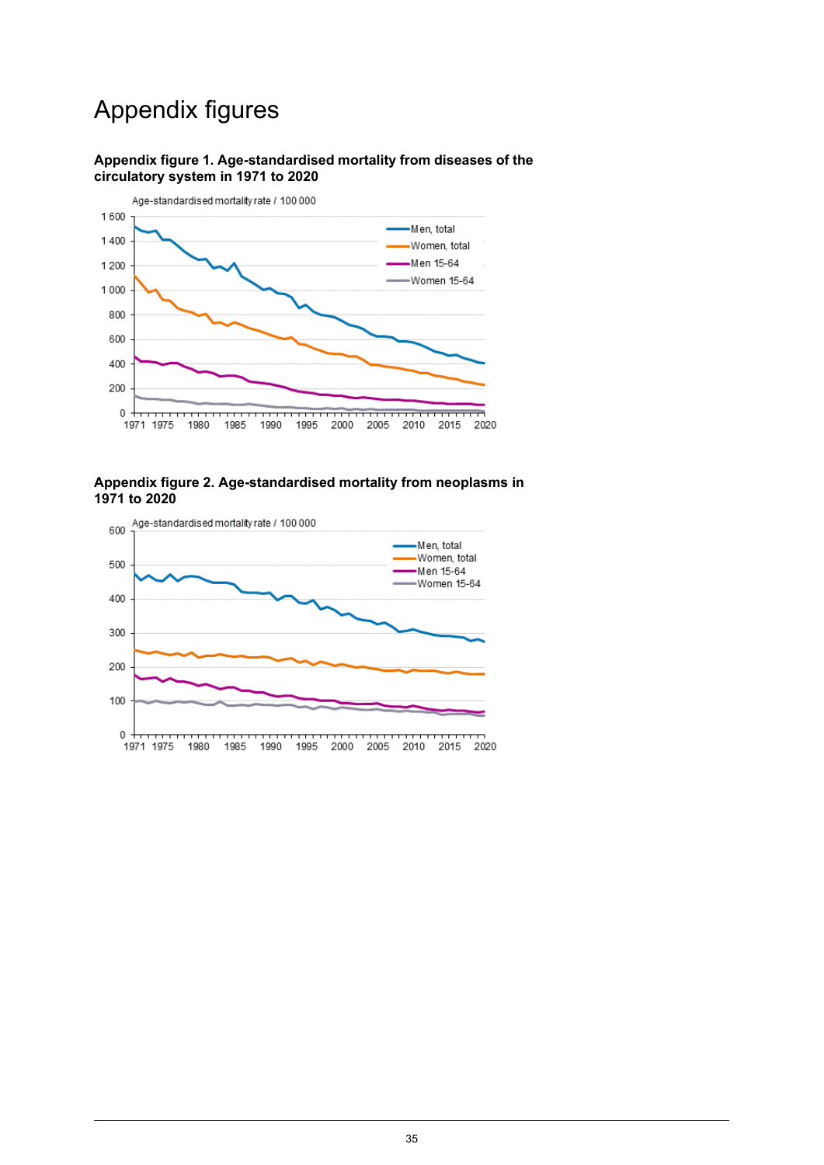## Appendix figures



#### <span id="page-34-0"></span>**Appendix figure 1. Age-standardised mortality from diseases of the circulatory system in 1971 to 2020**

#### <span id="page-34-1"></span>**Appendix figure 2. Age-standardised mortality from neoplasms in 1971 to 2020**

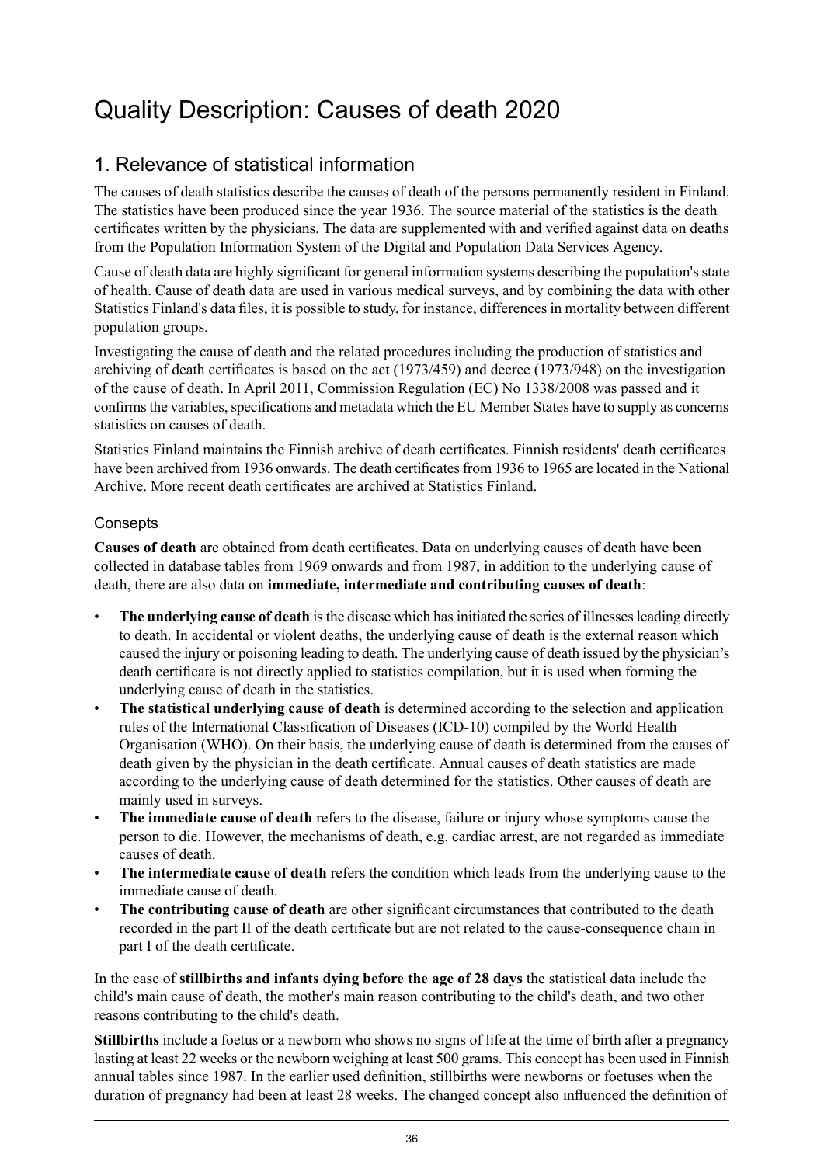## <span id="page-35-0"></span>Quality Description: Causes of death 2020

## 1. Relevance of statistical information

The causes of death statistics describe the causes of death of the persons permanently resident in Finland. The statistics have been produced since the year 1936. The source material of the statistics is the death certificates written by the physicians. The data are supplemented with and verified against data on deaths from the Population Information System of the Digital and Population Data Services Agency.

Cause of death data are highly significant for general information systems describing the population'sstate of health. Cause of death data are used in various medical surveys, and by combining the data with other Statistics Finland's data files, it is possible to study, for instance, differences in mortality between different population groups.

Investigating the cause of death and the related procedures including the production of statistics and archiving of death certificates is based on the act (1973/459) and decree (1973/948) on the investigation of the cause of death. In April 2011, Commission Regulation (EC) No 1338/2008 was passed and it confirms the variables, specifications and metadata which the EU Member States have to supply as concerns statistics on causes of death.

Statistics Finland maintains the Finnish archive of death certificates. Finnish residents' death certificates have been archived from 1936 onwards. The death certificates from 1936 to 1965 are located in the National Archive. More recent death certificates are archived at Statistics Finland.

### **Consepts**

**Causes of death** are obtained from death certificates. Data on underlying causes of death have been collected in database tables from 1969 onwards and from 1987, in addition to the underlying cause of death, there are also data on **immediate, intermediate and contributing causes of death**:

- **The underlying cause of death** isthe disease which hasinitiated the series of illnessesleading directly to death. In accidental or violent deaths, the underlying cause of death is the external reason which caused the injury or poisoning leading to death. The underlying cause of death issued by the physician's death certificate is not directly applied to statistics compilation, but it is used when forming the underlying cause of death in the statistics.
- **The statistical underlying cause of death** is determined according to the selection and application rules of the International Classification of Diseases (ICD-10) compiled by the World Health Organisation (WHO). On their basis, the underlying cause of death is determined from the causes of death given by the physician in the death certificate. Annual causes of death statistics are made according to the underlying cause of death determined for the statistics. Other causes of death are mainly used in surveys.
- **The immediate cause of death** refers to the disease, failure or injury whose symptoms cause the person to die. However, the mechanisms of death, e.g. cardiac arrest, are not regarded as immediate causes of death.
- **The intermediate cause of death** refers the condition which leads from the underlying cause to the immediate cause of death.
- **The contributing cause of death** are other significant circumstances that contributed to the death recorded in the part II of the death certificate but are not related to the cause-consequence chain in part I of the death certificate.

In the case of **stillbirths and infants dying before the age of 28 days** the statistical data include the child's main cause of death, the mother's main reason contributing to the child's death, and two other reasons contributing to the child's death.

**Stillbirths** include a foetus or a newborn who shows no signs of life at the time of birth after a pregnancy lasting at least 22 weeks or the newborn weighing at least 500 grams. This concept has been used in Finnish annual tables since 1987. In the earlier used definition, stillbirths were newborns or foetuses when the duration of pregnancy had been at least 28 weeks. The changed concept also influenced the definition of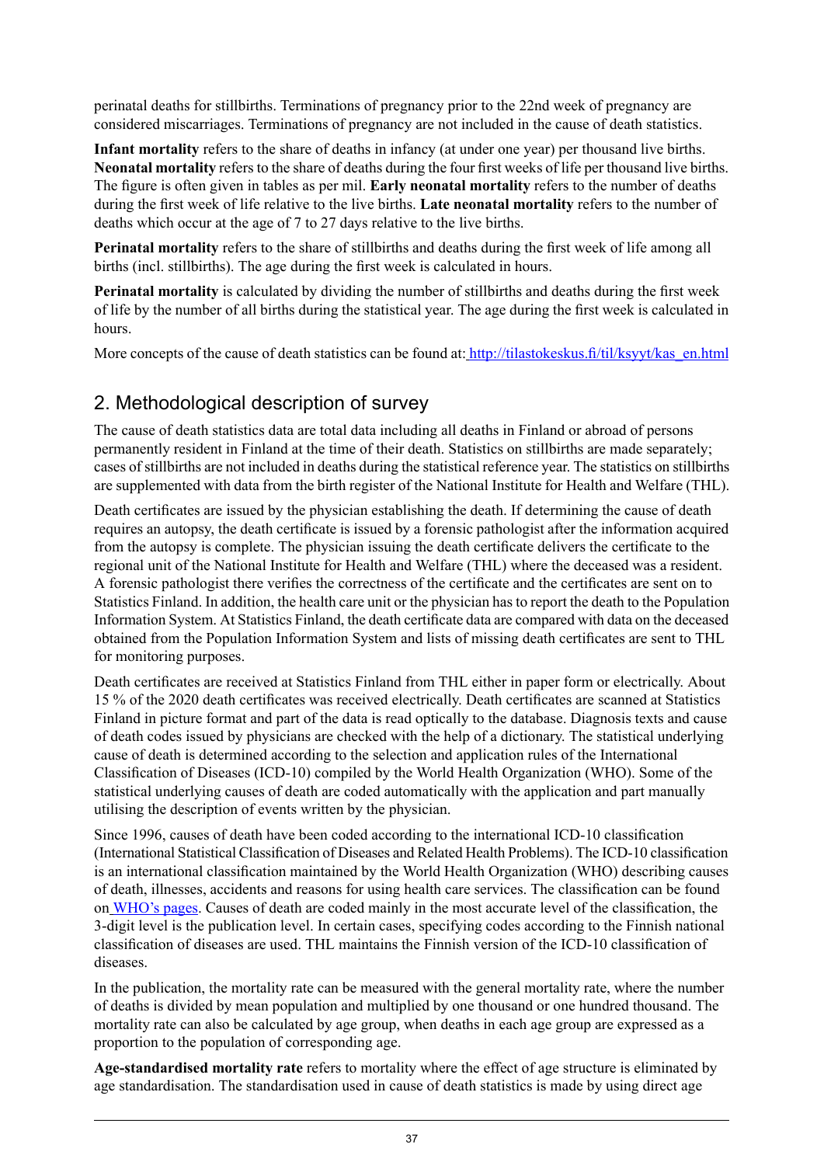perinatal deaths for stillbirths. Terminations of pregnancy prior to the 22nd week of pregnancy are considered miscarriages. Terminations of pregnancy are not included in the cause of death statistics.

**Infant mortality** refers to the share of deaths in infancy (at under one year) per thousand live births. **Neonatal mortality** refers to the share of deaths during the four first weeks of life per thousand live births. The figure is often given in tables as per mil. **Early neonatal mortality** refers to the number of deaths during the first week of life relative to the live births. **Late neonatal mortality** refers to the number of deaths which occur at the age of 7 to 27 days relative to the live births.

**Perinatal mortality** refers to the share of stillbirths and deaths during the first week of life among all births (incl. stillbirths). The age during the first week is calculated in hours.

**Perinatal mortality** is calculated by dividing the number of stillbirths and deaths during the first week of life by the number of all births during the statistical year. The age during the first week is calculated in hours.

More concepts of the cause of death statistics can be found at: [http://tilastokeskus.fi/til/ksyyt/kas\\_en.html](http://tilastokeskus.fi/til/ksyyt/kas_en.html)

## 2. Methodological description of survey

The cause of death statistics data are total data including all deaths in Finland or abroad of persons permanently resident in Finland at the time of their death. Statistics on stillbirths are made separately; cases of stillbirths are not included in deaths during the statistical reference year. The statistics on stillbirths are supplemented with data from the birth register of the National Institute for Health and Welfare (THL).

Death certificates are issued by the physician establishing the death. If determining the cause of death requires an autopsy, the death certificate is issued by a forensic pathologist after the information acquired from the autopsy is complete. The physician issuing the death certificate delivers the certificate to the regional unit of the National Institute for Health and Welfare (THL) where the deceased was a resident. A forensic pathologist there verifies the correctness of the certificate and the certificates are sent on to Statistics Finland. In addition, the health care unit or the physician has to report the death to the Population Information System. At Statistics Finland, the death certificate data are compared with data on the deceased obtained from the Population Information System and lists of missing death certificates are sent to THL for monitoring purposes.

Death certificates are received at Statistics Finland from THL either in paper form or electrically. About 15 % of the 2020 death certificates was received electrically. Death certificates are scanned at Statistics Finland in picture format and part of the data is read optically to the database. Diagnosis texts and cause of death codes issued by physicians are checked with the help of a dictionary. The statistical underlying cause of death is determined according to the selection and application rules of the International Classification of Diseases (ICD-10) compiled by the World Health Organization (WHO). Some of the statistical underlying causes of death are coded automatically with the application and part manually utilising the description of events written by the physician.

Since 1996, causes of death have been coded according to the international ICD-10 classification (International Statistical Classification of Diseases and Related Health Problems). The ICD-10 classification is an international classification maintained by the World Health Organization (WHO) describing causes of death, illnesses, accidents and reasons for using health care services. The classification can be found on [WHO's](http://www.who.int/standards/classifications/) pages. Causes of death are coded mainly in the most accurate level of the classification, the 3-digit level is the publication level. In certain cases, specifying codes according to the Finnish national classification of diseases are used. THL maintains the Finnish version of the ICD-10 classification of diseases.

In the publication, the mortality rate can be measured with the general mortality rate, where the number of deaths is divided by mean population and multiplied by one thousand or one hundred thousand. The mortality rate can also be calculated by age group, when deaths in each age group are expressed as a proportion to the population of corresponding age.

**Age-standardised mortality rate** refers to mortality where the effect of age structure is eliminated by age standardisation. The standardisation used in cause of death statistics is made by using direct age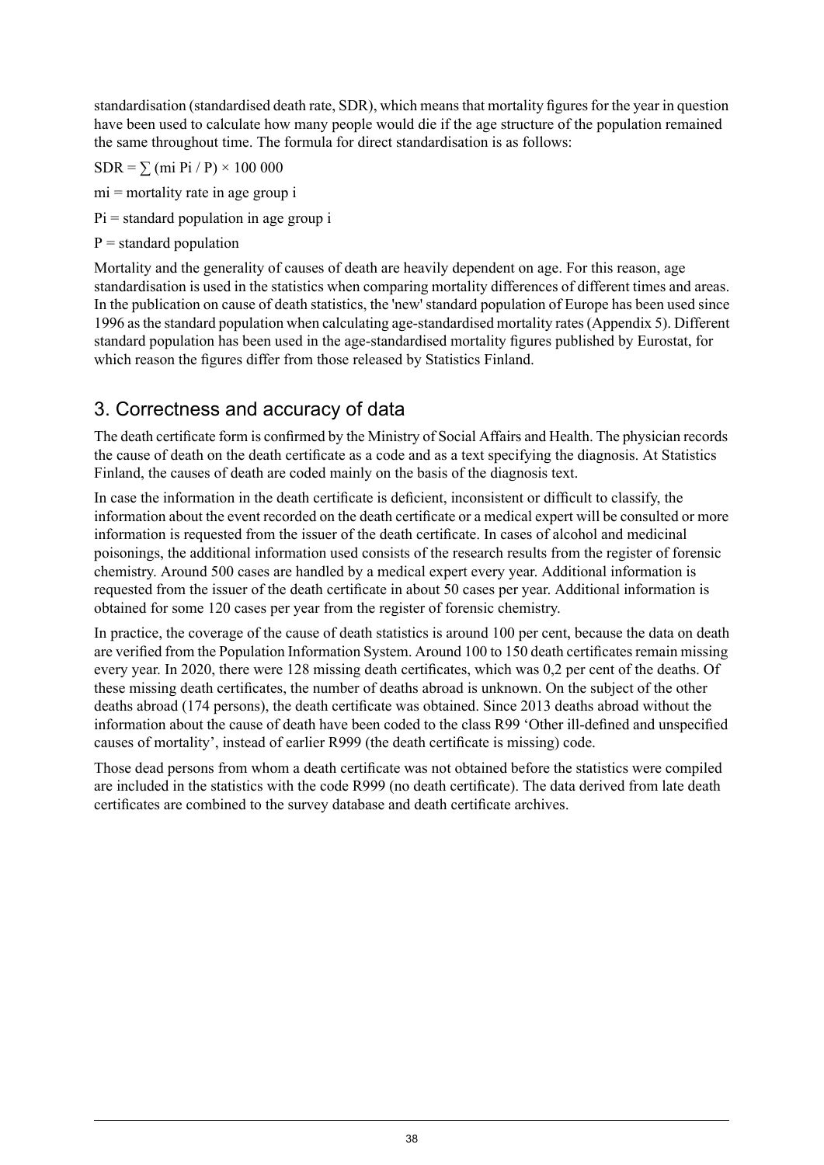standardisation (standardised death rate, SDR), which means that mortality figures for the year in question have been used to calculate how many people would die if the age structure of the population remained the same throughout time. The formula for direct standardisation is as follows:

 $SDR = \sum (mi \text{Pi} / \text{P}) \times 100\,000$ 

mi = mortality rate in age group i

 $Pi$  = standard population in age group i

 $P =$ standard population

Mortality and the generality of causes of death are heavily dependent on age. For this reason, age standardisation is used in the statistics when comparing mortality differences of different times and areas. In the publication on cause of death statistics, the 'new' standard population of Europe has been used since 1996 asthe standard population when calculating age-standardised mortality rates(Appendix 5). Different standard population has been used in the age-standardised mortality figures published by Eurostat, for which reason the figures differ from those released by Statistics Finland.

## 3. Correctness and accuracy of data

The death certificate form is confirmed by the Ministry of Social Affairs and Health. The physician records the cause of death on the death certificate as a code and as a text specifying the diagnosis. At Statistics Finland, the causes of death are coded mainly on the basis of the diagnosis text.

In case the information in the death certificate is deficient, inconsistent or difficult to classify, the information about the event recorded on the death certificate or a medical expert will be consulted or more information is requested from the issuer of the death certificate. In cases of alcohol and medicinal poisonings, the additional information used consists of the research results from the register of forensic chemistry. Around 500 cases are handled by a medical expert every year. Additional information is requested from the issuer of the death certificate in about 50 cases per year. Additional information is obtained for some 120 cases per year from the register of forensic chemistry.

In practice, the coverage of the cause of death statistics is around 100 per cent, because the data on death are verified from the Population Information System. Around 100 to 150 death certificatesremain missing every year. In 2020, there were 128 missing death certificates, which was 0,2 per cent of the deaths. Of these missing death certificates, the number of deaths abroad is unknown. On the subject of the other deaths abroad (174 persons), the death certificate was obtained. Since 2013 deaths abroad without the information about the cause of death have been coded to the class R99 'Other ill-defined and unspecified causes of mortality', instead of earlier R999 (the death certificate is missing) code.

Those dead persons from whom a death certificate was not obtained before the statistics were compiled are included in the statistics with the code R999 (no death certificate). The data derived from late death certificates are combined to the survey database and death certificate archives.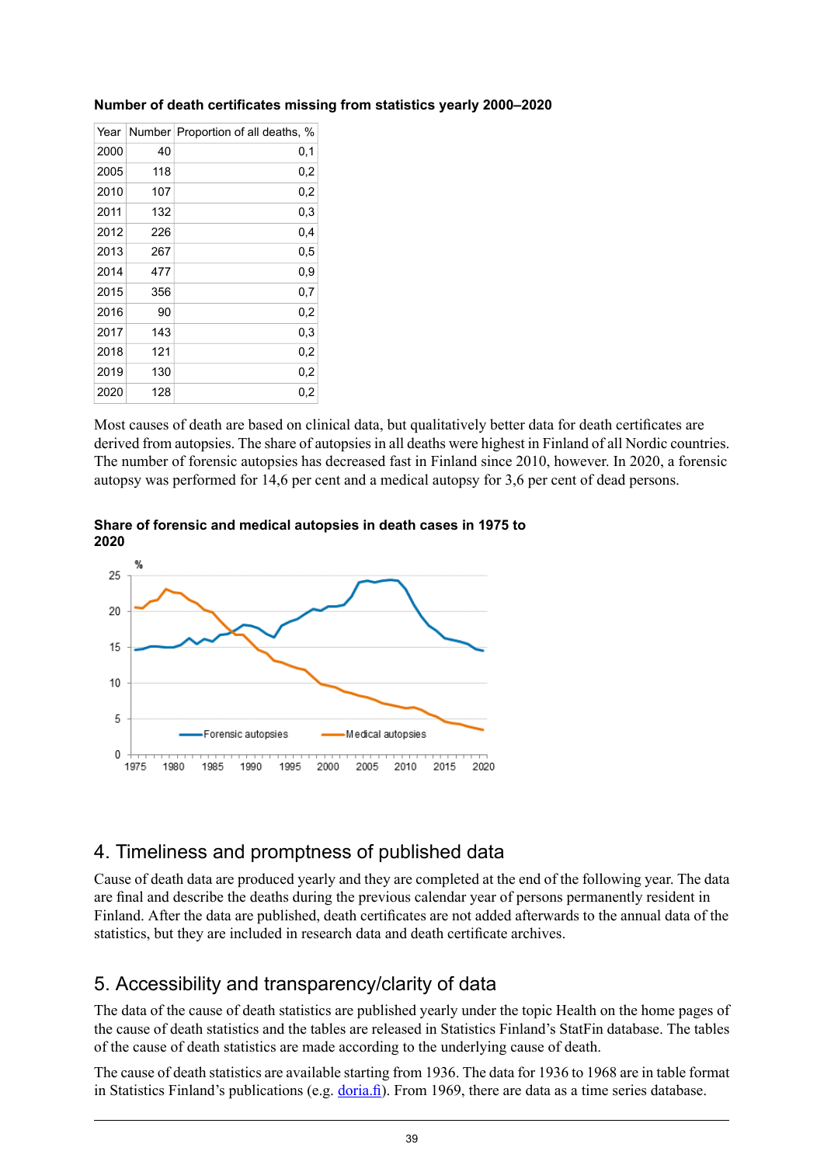| 2000<br>40<br>0,1<br>2005<br>0,2<br>118<br>2010<br>107<br>0,2<br>2011<br>132<br>0,3<br>2012<br>226<br>0,4<br>2013<br>267<br>0,5<br>2014<br>477<br>0,9<br>2015<br>356<br>0,7<br>2016<br>90<br>0,2<br>2017<br>143<br>0,3<br>2018<br>121<br>0,2<br>2019<br>130<br>0,2<br>2020<br>128<br>0,2 | Year | Number Proportion of all deaths, % |
|------------------------------------------------------------------------------------------------------------------------------------------------------------------------------------------------------------------------------------------------------------------------------------------|------|------------------------------------|
|                                                                                                                                                                                                                                                                                          |      |                                    |
|                                                                                                                                                                                                                                                                                          |      |                                    |
|                                                                                                                                                                                                                                                                                          |      |                                    |
|                                                                                                                                                                                                                                                                                          |      |                                    |
|                                                                                                                                                                                                                                                                                          |      |                                    |
|                                                                                                                                                                                                                                                                                          |      |                                    |
|                                                                                                                                                                                                                                                                                          |      |                                    |
|                                                                                                                                                                                                                                                                                          |      |                                    |
|                                                                                                                                                                                                                                                                                          |      |                                    |
|                                                                                                                                                                                                                                                                                          |      |                                    |
|                                                                                                                                                                                                                                                                                          |      |                                    |
|                                                                                                                                                                                                                                                                                          |      |                                    |
|                                                                                                                                                                                                                                                                                          |      |                                    |

### **Number of death certificates missing from statistics yearly 2000–2020**

Most causes of death are based on clinical data, but qualitatively better data for death certificates are derived from autopsies. The share of autopsies in all deaths were highest in Finland of all Nordic countries. The number of forensic autopsies has decreased fast in Finland since 2010, however. In 2020, a forensic autopsy was performed for 14,6 per cent and a medical autopsy for 3,6 per cent of dead persons.





## 4. Timeliness and promptness of published data

Cause of death data are produced yearly and they are completed at the end of the following year. The data are final and describe the deaths during the previous calendar year of persons permanently resident in Finland. After the data are published, death certificates are not added afterwards to the annual data of the statistics, but they are included in research data and death certificate archives.

## 5. Accessibility and transparency/clarity of data

The data of the cause of death statistics are published yearly under the topic Health on the home pages of the cause of death statistics and the tables are released in Statistics Finland's StatFin database. The tables of the cause of death statistics are made according to the underlying cause of death.

The cause of death statistics are available starting from 1936. The data for 1936 to 1968 are in table format in Statistics Finland's publications (e.g. [doria.fi\)](https://www.doria.fi/). From 1969, there are data as a time series database.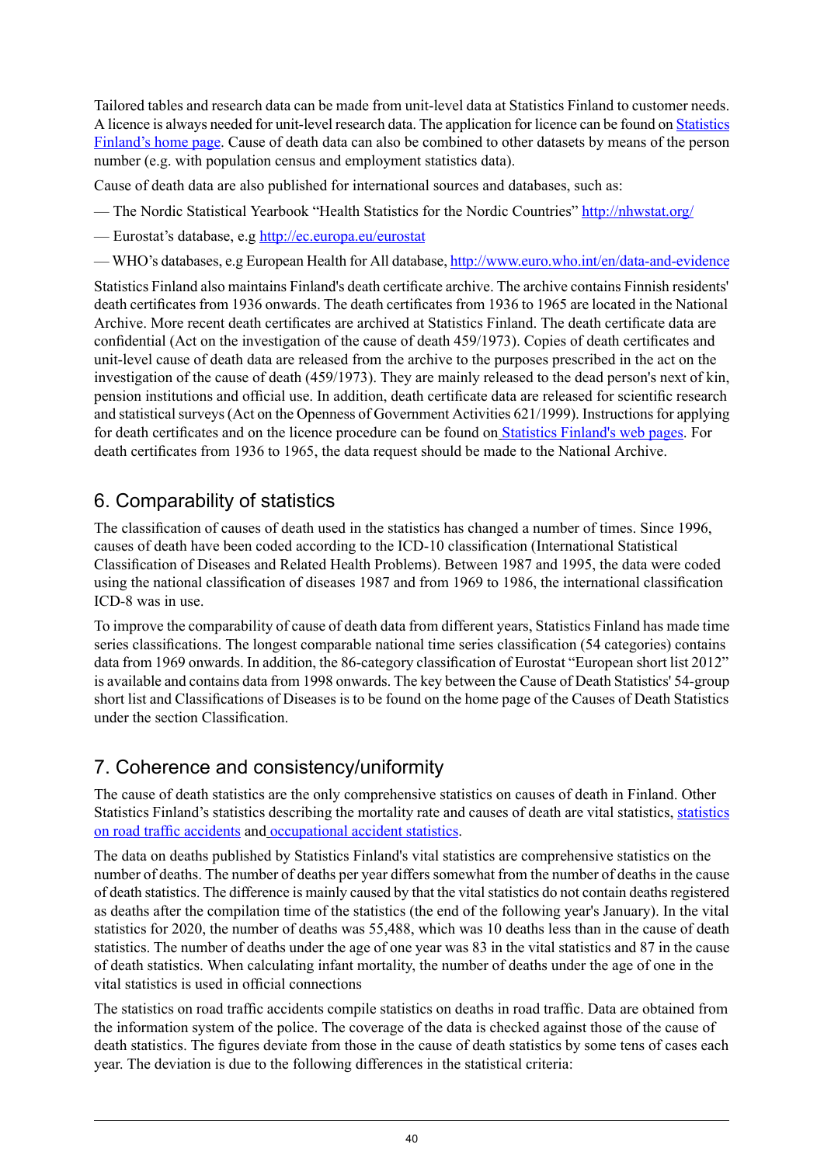Tailored tables and research data can be made from unit-level data at Statistics Finland to customer needs. A licence is always needed for unit-level research data. The application for licence can be found on [Statistics](http://tilastokeskus.fi/sivusto/lomakkeet/index_en.html) [Finland's](http://tilastokeskus.fi/sivusto/lomakkeet/index_en.html) home page. Cause of death data can also be combined to other datasets by means of the person number (e.g. with population census and employment statistics data).

Cause of death data are also published for international sources and databases, such as:

- The Nordic Statistical Yearbook "Health Statistics for the Nordic Countries" [http://nhwstat.org/](http://nowbase.org/)
- Eurostat's database, e.g <http://ec.europa.eu/eurostat>
- WHO's databases, e.g European Health for All database, <http://www.euro.who.int/en/data-and-evidence>

Statistics Finland also maintains Finland's death certificate archive. The archive contains Finnish residents' death certificates from 1936 onwards. The death certificates from 1936 to 1965 are located in the National Archive. More recent death certificates are archived at Statistics Finland. The death certificate data are confidential (Act on the investigation of the cause of death 459/1973). Copies of death certificates and unit-level cause of death data are released from the archive to the purposes prescribed in the act on the investigation of the cause of death (459/1973). They are mainly released to the dead person's next of kin, pension institutions and official use. In addition, death certificate data are released for scientific research and statistical surveys (Act on the Openness of Government Activities 621/1999). Instructions for applying for death certificates and on the licence procedure can be found on Statistics [Finland's](http://tilastokeskus.fi/tup/kuolintodistusarkisto/index_en.html) web pages. For death certificates from 1936 to 1965, the data request should be made to the National Archive.

## 6. Comparability of statistics

The classification of causes of death used in the statistics has changed a number of times. Since 1996, causes of death have been coded according to the ICD-10 classification (International Statistical Classification of Diseases and Related Health Problems). Between 1987 and 1995, the data were coded using the national classification of diseases 1987 and from 1969 to 1986, the international classification ICD-8 was in use.

To improve the comparability of cause of death data from different years, Statistics Finland has made time series classifications. The longest comparable national time series classification (54 categories) contains data from 1969 onwards. In addition, the 86-category classification of Eurostat "European short list 2012" is available and contains data from 1998 onwards. The key between the Cause of Death Statistics' 54-group short list and Classifications of Diseases is to be found on the home page of the Causes of Death Statistics under the section Classification.

## 7. Coherence and consistency/uniformity

The cause of death statistics are the only comprehensive statistics on causes of death in Finland. Other Statistics Finland's statistics describing the mortality rate and causes of death are vital statistics, [statistics](http://tilastokeskus.fi/til/ton/index_en.html) on road traffic [accidents](http://tilastokeskus.fi/til/ton/index_en.html) and [occupational](http://tilastokeskus.fi/til/ttap/index_en.html) accident statistics.

The data on deaths published by Statistics Finland's vital statistics are comprehensive statistics on the number of deaths. The number of deaths per year differs somewhat from the number of deaths in the cause of death statistics. The difference is mainly caused by that the vital statistics do not contain deaths registered as deaths after the compilation time of the statistics (the end of the following year's January). In the vital statistics for 2020, the number of deaths was 55,488, which was 10 deaths less than in the cause of death statistics. The number of deaths under the age of one year was 83 in the vital statistics and 87 in the cause of death statistics. When calculating infant mortality, the number of deaths under the age of one in the vital statistics is used in official connections

The statistics on road traffic accidents compile statistics on deaths in road traffic. Data are obtained from the information system of the police. The coverage of the data is checked against those of the cause of death statistics. The figures deviate from those in the cause of death statistics by some tens of cases each year. The deviation is due to the following differences in the statistical criteria: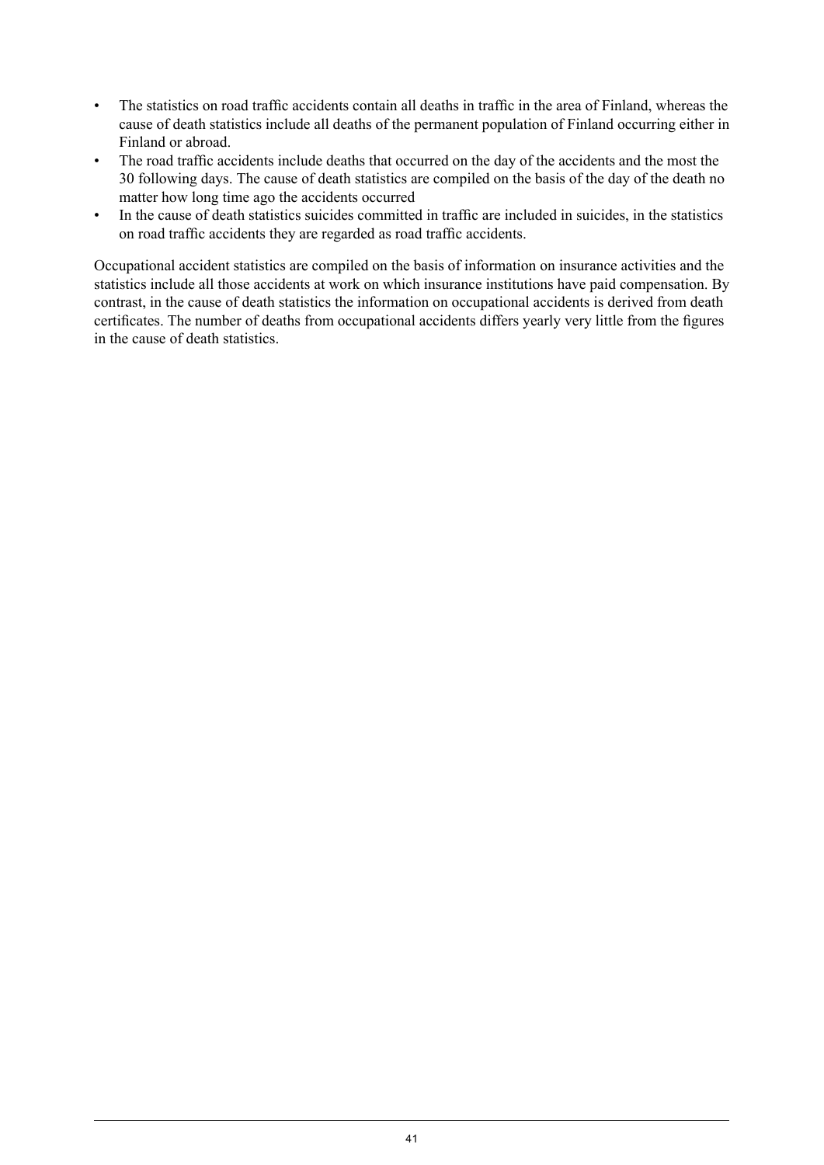- The statistics on road traffic accidents contain all deaths in traffic in the area of Finland, whereas the cause of death statistics include all deaths of the permanent population of Finland occurring either in Finland or abroad.
- The road traffic accidents include deaths that occurred on the day of the accidents and the most the 30 following days. The cause of death statistics are compiled on the basis of the day of the death no matter how long time ago the accidents occurred
- In the cause of death statistics suicides committed in traffic are included in suicides, in the statistics on road traffic accidents they are regarded as road traffic accidents.

Occupational accident statistics are compiled on the basis of information on insurance activities and the statistics include all those accidents at work on which insurance institutions have paid compensation. By contrast, in the cause of death statistics the information on occupational accidents is derived from death certificates. The number of deaths from occupational accidents differs yearly very little from the figures in the cause of death statistics.